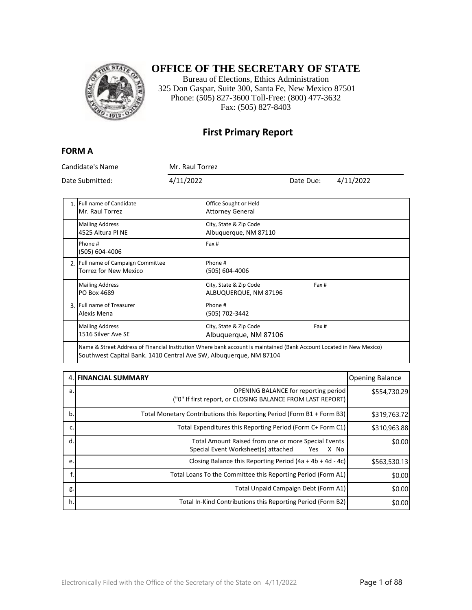

## **OFFICE OF THE SECRETARY OF STATE**

Bureau of Elections, Ethics Administration 325 Don Gaspar, Suite 300, Santa Fe, New Mexico 87501 Phone: (505) 827-3600 Toll-Free: (800) 477-3632 Fax: (505) 827-8403

### **First Primary Report**

#### **FORM A**

| Candidate's Name<br>Date Submitted:                                                                                                                                                        |                                                                    | Mr. Raul Torrez |                                                  |           |           |
|--------------------------------------------------------------------------------------------------------------------------------------------------------------------------------------------|--------------------------------------------------------------------|-----------------|--------------------------------------------------|-----------|-----------|
|                                                                                                                                                                                            |                                                                    | 4/11/2022       |                                                  | Date Due: | 4/11/2022 |
|                                                                                                                                                                                            | 1. Full name of Candidate<br>Mr. Raul Torrez                       |                 | Office Sought or Held<br><b>Attorney General</b> |           |           |
|                                                                                                                                                                                            | <b>Mailing Address</b><br>4525 Altura Pl NE                        |                 | City, State & Zip Code<br>Albuquerque, NM 87110  |           |           |
|                                                                                                                                                                                            | Phone #<br>(505) 604-4006                                          |                 | Fax #                                            |           |           |
|                                                                                                                                                                                            | 2. Full name of Campaign Committee<br><b>Torrez for New Mexico</b> |                 | Phone #<br>(505) 604-4006                        |           |           |
|                                                                                                                                                                                            | <b>Mailing Address</b><br>PO Box 4689                              |                 | City, State & Zip Code<br>ALBUQUERQUE, NM 87196  | Fax #     |           |
|                                                                                                                                                                                            | 3. Full name of Treasurer<br>Alexis Mena                           |                 | Phone #<br>(505) 702-3442                        |           |           |
|                                                                                                                                                                                            | <b>Mailing Address</b><br>1516 Silver Ave SE                       |                 | City, State & Zip Code<br>Albuguergue, NM 87106  | Fax #     |           |
| Name & Street Address of Financial Institution Where bank account is maintained (Bank Account Located in New Mexico)<br>Southwest Capital Bank. 1410 Central Ave SW, Albuguergue, NM 87104 |                                                                    |                 |                                                  |           |           |

|    | <b>4. FINANCIAL SUMMARY</b>                                                                               | <b>Opening Balance</b> |
|----|-----------------------------------------------------------------------------------------------------------|------------------------|
| a. | OPENING BALANCE for reporting period<br>("0" If first report, or CLOSING BALANCE FROM LAST REPORT)        | \$554,730.29           |
| b. | Total Monetary Contributions this Reporting Period (Form B1 + Form B3)                                    | \$319,763.72           |
| c. | Total Expenditures this Reporting Period (Form C+ Form C1)                                                | \$310,963.88           |
| d. | Total Amount Raised from one or more Special Events<br>Special Event Worksheet(s) attached<br>X No<br>Yes | \$0.00                 |
| e. | Closing Balance this Reporting Period $(4a + 4b + 4d - 4c)$                                               | \$563,530.13           |
| f. | Total Loans To the Committee this Reporting Period (Form A1)                                              | \$0.00                 |
| g. | Total Unpaid Campaign Debt (Form A1)                                                                      | \$0.00                 |
| h. | Total In-Kind Contributions this Reporting Period (Form B2)                                               | \$0.00                 |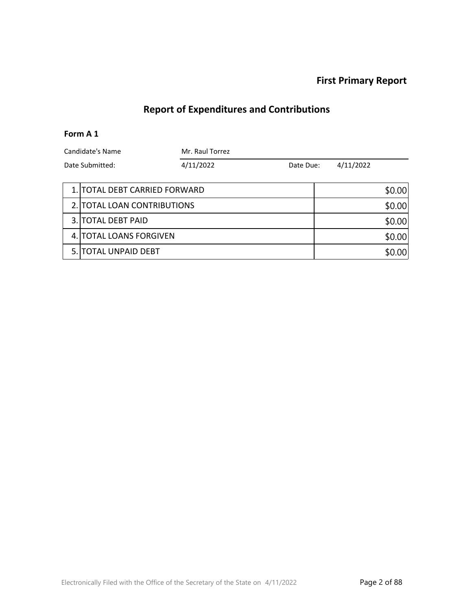### **First Primary Report**

# **Report of Expenditures and Contributions**

#### **Form A 1**

| Candidate's Name |                               | Mr. Raul Torrez |           |           |        |
|------------------|-------------------------------|-----------------|-----------|-----------|--------|
| Date Submitted:  |                               | 4/11/2022       | Date Due: | 4/11/2022 |        |
|                  |                               |                 |           |           |        |
|                  | 1. TOTAL DEBT CARRIED FORWARD |                 |           |           | \$0.00 |
|                  | 2. TOTAL LOAN CONTRIBUTIONS   |                 |           |           | \$0.00 |
|                  | 3. TOTAL DEBT PAID            |                 |           |           | \$0.00 |
|                  | 4. TOTAL LOANS FORGIVEN       |                 |           | \$0.00    |        |
| 5. F             | <b>TOTAL UNPAID DEBT</b>      |                 |           |           | \$0.00 |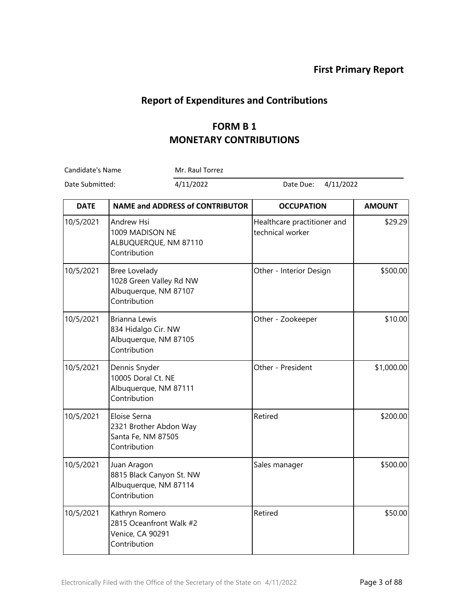## **Report of Expenditures and Contributions**

# **FORM B 1 MONETARY CONTRIBUTIONS**

Candidate's Name Mr. Raul Torrez

Date Submitted: 4/11/2022 Date Due: 4/11/2022

| <b>DATE</b> | <b>NAME and ADDRESS of CONTRIBUTOR</b>                                                   | <b>OCCUPATION</b>                               | <b>AMOUNT</b> |
|-------------|------------------------------------------------------------------------------------------|-------------------------------------------------|---------------|
| 10/5/2021   | Andrew Hsi<br>1009 MADISON NE<br>ALBUQUERQUE, NM 87110<br>Contribution                   | Healthcare practitioner and<br>technical worker | \$29.29       |
| 10/5/2021   | <b>Bree Lovelady</b><br>1028 Green Valley Rd NW<br>Albuquerque, NM 87107<br>Contribution | Other - Interior Design                         | \$500.00      |
| 10/5/2021   | <b>Brianna Lewis</b><br>834 Hidalgo Cir. NW<br>Albuquerque, NM 87105<br>Contribution     | Other - Zookeeper                               | \$10.00       |
| 10/5/2021   | Dennis Snyder<br>10005 Doral Ct. NE<br>Albuquerque, NM 87111<br>Contribution             | Other - President                               | \$1,000.00    |
| 10/5/2021   | Eloise Serna<br>2321 Brother Abdon Way<br>Santa Fe, NM 87505<br>Contribution             | Retired                                         | \$200.00      |
| 10/5/2021   | Juan Aragon<br>8815 Black Canyon St. NW<br>Albuquerque, NM 87114<br>Contribution         | Sales manager                                   | \$500.00      |
| 10/5/2021   | Kathryn Romero<br>2815 Oceanfront Walk #2<br>Venice, CA 90291<br>Contribution            | Retired                                         | \$50.00       |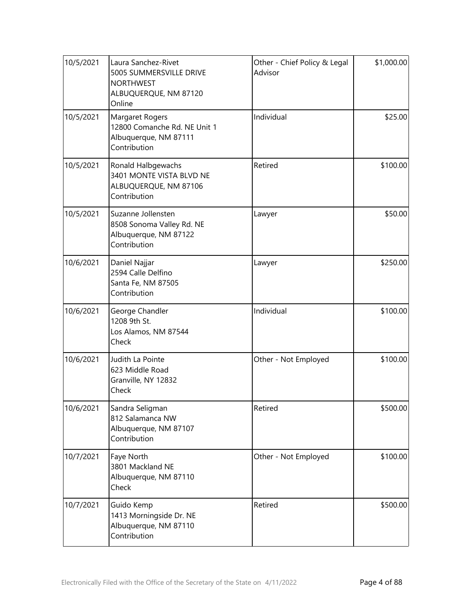| 10/5/2021 | Laura Sanchez-Rivet<br>5005 SUMMERSVILLE DRIVE<br><b>NORTHWEST</b><br>ALBUQUERQUE, NM 87120<br>Online | Other - Chief Policy & Legal<br>Advisor | \$1,000.00 |
|-----------|-------------------------------------------------------------------------------------------------------|-----------------------------------------|------------|
| 10/5/2021 | Margaret Rogers<br>12800 Comanche Rd. NE Unit 1<br>Albuquerque, NM 87111<br>Contribution              | Individual                              | \$25.00    |
| 10/5/2021 | Ronald Halbgewachs<br>3401 MONTE VISTA BLVD NE<br>ALBUQUERQUE, NM 87106<br>Contribution               | Retired                                 | \$100.00   |
| 10/5/2021 | Suzanne Jollensten<br>8508 Sonoma Valley Rd. NE<br>Albuquerque, NM 87122<br>Contribution              | Lawyer                                  | \$50.00    |
| 10/6/2021 | Daniel Najjar<br>2594 Calle Delfino<br>Santa Fe, NM 87505<br>Contribution                             | Lawyer                                  | \$250.00   |
| 10/6/2021 | George Chandler<br>1208 9th St.<br>Los Alamos, NM 87544<br>Check                                      | Individual                              | \$100.00   |
| 10/6/2021 | Judith La Pointe<br>623 Middle Road<br>Granville, NY 12832<br>Check                                   | Other - Not Employed                    | \$100.00   |
| 10/6/2021 | Sandra Seligman<br>812 Salamanca NW<br>Albuquerque, NM 87107<br>Contribution                          | Retired                                 | \$500.00   |
| 10/7/2021 | Faye North<br>3801 Mackland NE<br>Albuquerque, NM 87110<br>Check                                      | Other - Not Employed                    | \$100.00   |
| 10/7/2021 | Guido Kemp<br>1413 Morningside Dr. NE<br>Albuquerque, NM 87110<br>Contribution                        | Retired                                 | \$500.00   |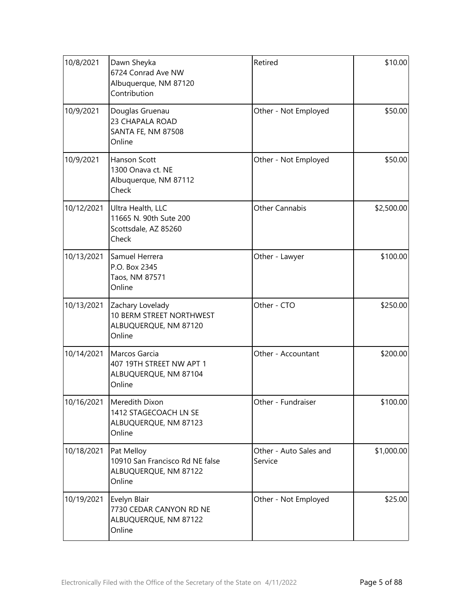| 10/8/2021  | Dawn Sheyka<br>6724 Conrad Ave NW<br>Albuquerque, NM 87120<br>Contribution            | Retired                           | \$10.00    |
|------------|---------------------------------------------------------------------------------------|-----------------------------------|------------|
| 10/9/2021  | Douglas Gruenau<br>23 CHAPALA ROAD<br>SANTA FE, NM 87508<br>Online                    | Other - Not Employed              | \$50.00    |
| 10/9/2021  | Hanson Scott<br>1300 Onava ct. NE<br>Albuquerque, NM 87112<br>Check                   | Other - Not Employed              | \$50.00    |
| 10/12/2021 | Ultra Health, LLC<br>11665 N. 90th Sute 200<br>Scottsdale, AZ 85260<br>Check          | <b>Other Cannabis</b>             | \$2,500.00 |
| 10/13/2021 | Samuel Herrera<br>P.O. Box 2345<br>Taos, NM 87571<br>Online                           | Other - Lawyer                    | \$100.00   |
| 10/13/2021 | Zachary Lovelady<br>10 BERM STREET NORTHWEST<br>ALBUQUERQUE, NM 87120<br>Online       | Other - CTO                       | \$250.00   |
| 10/14/2021 | Marcos Garcia<br>407 19TH STREET NW APT 1<br>ALBUQUERQUE, NM 87104<br>Online          | Other - Accountant                | \$200.00   |
|            | 10/16/2021 Meredith Dixon<br>1412 STAGECOACH LN SE<br>ALBUQUERQUE, NM 87123<br>Online | Other - Fundraiser                | \$100.00   |
| 10/18/2021 | Pat Melloy<br>10910 San Francisco Rd NE false<br>ALBUQUERQUE, NM 87122<br>Online      | Other - Auto Sales and<br>Service | \$1,000.00 |
| 10/19/2021 | Evelyn Blair<br>7730 CEDAR CANYON RD NE<br>ALBUQUERQUE, NM 87122<br>Online            | Other - Not Employed              | \$25.00    |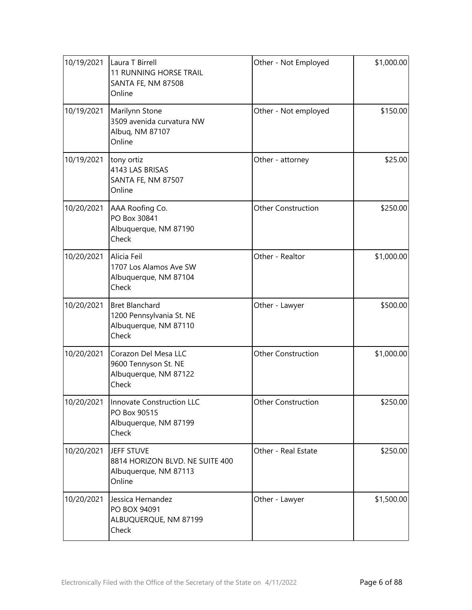| 10/19/2021 | Laura T Birrell<br><b>11 RUNNING HORSE TRAIL</b><br>SANTA FE, NM 87508<br>Online    | Other - Not Employed      | \$1,000.00 |
|------------|-------------------------------------------------------------------------------------|---------------------------|------------|
| 10/19/2021 | Marilynn Stone<br>3509 avenida curvatura NW<br>Albuq, NM 87107<br>Online            | Other - Not employed      | \$150.00   |
| 10/19/2021 | tony ortiz<br>4143 LAS BRISAS<br>SANTA FE, NM 87507<br>Online                       | Other - attorney          | \$25.00    |
| 10/20/2021 | AAA Roofing Co.<br>PO Box 30841<br>Albuquerque, NM 87190<br>Check                   | <b>Other Construction</b> | \$250.00   |
| 10/20/2021 | Alicia Feil<br>1707 Los Alamos Ave SW<br>Albuquerque, NM 87104<br>Check             | Other - Realtor           | \$1,000.00 |
| 10/20/2021 | <b>Bret Blanchard</b><br>1200 Pennsylvania St. NE<br>Albuquerque, NM 87110<br>Check | Other - Lawyer            | \$500.00   |
| 10/20/2021 | Corazon Del Mesa LLC<br>9600 Tennyson St. NE<br>Albuquerque, NM 87122<br>Check      | <b>Other Construction</b> | \$1,000.00 |
| 10/20/2021 | Innovate Construction LLC<br>PO Box 90515<br>Albuquerque, NM 87199<br>Check         | Other Construction        | \$250.00   |
| 10/20/2021 | JEFF STUVE<br>8814 HORIZON BLVD. NE SUITE 400<br>Albuquerque, NM 87113<br>Online    | Other - Real Estate       | \$250.00   |
| 10/20/2021 | Jessica Hernandez<br>PO BOX 94091<br>ALBUQUERQUE, NM 87199<br>Check                 | Other - Lawyer            | \$1,500.00 |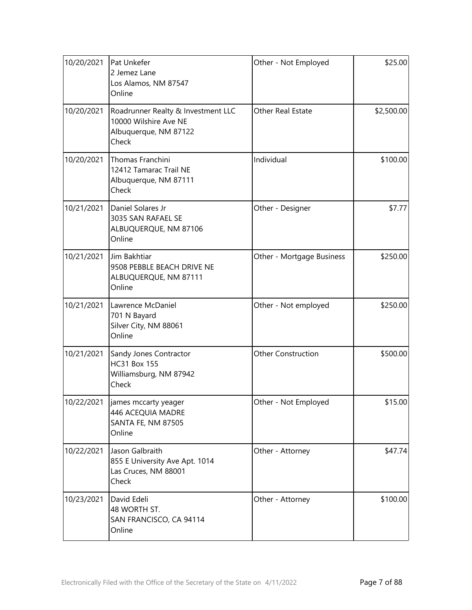| 10/20/2021 | Pat Unkefer<br>2 Jemez Lane<br>Los Alamos, NM 87547<br>Online                                 | Other - Not Employed      | \$25.00    |
|------------|-----------------------------------------------------------------------------------------------|---------------------------|------------|
| 10/20/2021 | Roadrunner Realty & Investment LLC<br>10000 Wilshire Ave NE<br>Albuquerque, NM 87122<br>Check | Other Real Estate         | \$2,500.00 |
| 10/20/2021 | Thomas Franchini<br>12412 Tamarac Trail NE<br>Albuquerque, NM 87111<br>Check                  | Individual                | \$100.00   |
| 10/21/2021 | Daniel Solares Jr<br>3035 SAN RAFAEL SE<br>ALBUQUERQUE, NM 87106<br>Online                    | Other - Designer          | \$7.77     |
| 10/21/2021 | Jim Bakhtiar<br>9508 PEBBLE BEACH DRIVE NE<br>ALBUQUERQUE, NM 87111<br>Online                 | Other - Mortgage Business | \$250.00   |
| 10/21/2021 | Lawrence McDaniel<br>701 N Bayard<br>Silver City, NM 88061<br>Online                          | Other - Not employed      | \$250.00   |
| 10/21/2021 | Sandy Jones Contractor<br><b>HC31 Box 155</b><br>Williamsburg, NM 87942<br>Check              | <b>Other Construction</b> | \$500.00   |
|            | 10/22/2021   james mccarty yeager<br>446 ACEQUIA MADRE<br>SANTA FE, NM 87505<br>Online        | Other - Not Employed      | \$15.00    |
| 10/22/2021 | Jason Galbraith<br>855 E University Ave Apt. 1014<br>Las Cruces, NM 88001<br>Check            | Other - Attorney          | \$47.74    |
| 10/23/2021 | David Edeli<br>48 WORTH ST.<br>SAN FRANCISCO, CA 94114<br>Online                              | Other - Attorney          | \$100.00   |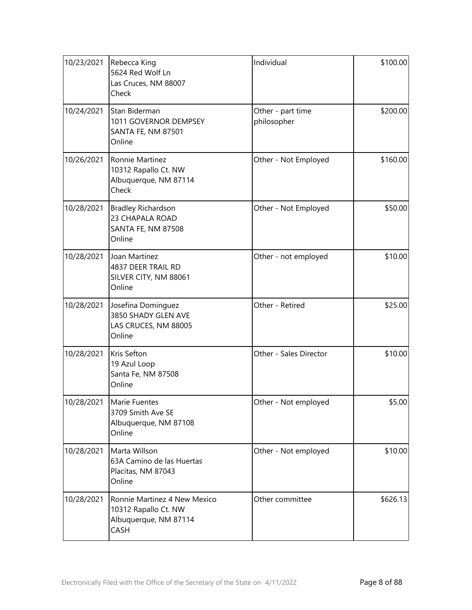| 10/23/2021 | Rebecca King<br>5624 Red Wolf Ln<br>Las Cruces, NM 88007<br>Check                     | Individual                       | \$100.00 |
|------------|---------------------------------------------------------------------------------------|----------------------------------|----------|
| 10/24/2021 | Stan Biderman<br>1011 GOVERNOR DEMPSEY<br><b>SANTA FE, NM 87501</b><br>Online         | Other - part time<br>philosopher | \$200.00 |
| 10/26/2021 | Ronnie Martinez<br>10312 Rapallo Ct. NW<br>Albuquerque, NM 87114<br>Check             | Other - Not Employed             | \$160.00 |
| 10/28/2021 | <b>Bradley Richardson</b><br>23 CHAPALA ROAD<br><b>SANTA FE, NM 87508</b><br>Online   | Other - Not Employed             | \$50.00  |
| 10/28/2021 | Joan Martinez<br>4837 DEER TRAIL RD<br>SILVER CITY, NM 88061<br>Online                | Other - not employed             | \$10.00  |
| 10/28/2021 | Josefina Dominguez<br>3850 SHADY GLEN AVE<br>LAS CRUCES, NM 88005<br>Online           | Other - Retired                  | \$25.00  |
| 10/28/2021 | Kris Sefton<br>19 Azul Loop<br>Santa Fe, NM 87508<br>Online                           | Other - Sales Director           | \$10.00  |
|            | 10/28/2021   Marie Fuentes<br>3709 Smith Ave SE<br>Albuquerque, NM 87108<br>Online    | Other - Not employed             | \$5.00   |
| 10/28/2021 | Marta Willson<br>63A Camino de las Huertas<br>Placitas, NM 87043<br>Online            | Other - Not employed             | \$10.00  |
| 10/28/2021 | Ronnie Martinez 4 New Mexico<br>10312 Rapallo Ct. NW<br>Albuquerque, NM 87114<br>CASH | Other committee                  | \$626.13 |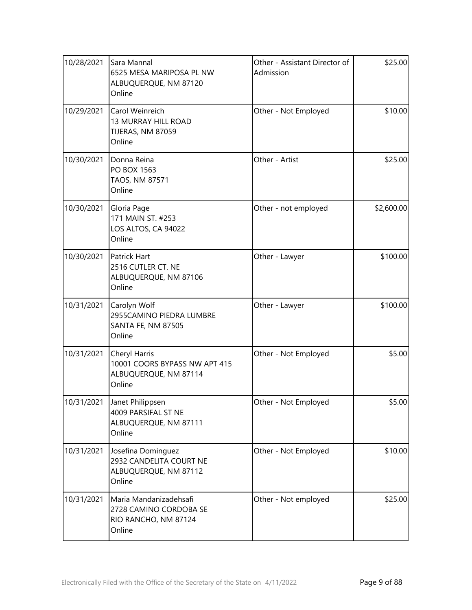| 10/28/2021 | Sara Mannal<br>6525 MESA MARIPOSA PL NW<br>ALBUQUERQUE, NM 87120<br>Online         | Other - Assistant Director of<br>Admission | \$25.00    |
|------------|------------------------------------------------------------------------------------|--------------------------------------------|------------|
| 10/29/2021 | Carol Weinreich<br>13 MURRAY HILL ROAD<br>TIJERAS, NM 87059<br>Online              | Other - Not Employed                       | \$10.00    |
| 10/30/2021 | Donna Reina<br>PO BOX 1563<br>TAOS, NM 87571<br>Online                             | Other - Artist                             | \$25.00    |
| 10/30/2021 | Gloria Page<br>171 MAIN ST. #253<br>LOS ALTOS, CA 94022<br>Online                  | Other - not employed                       | \$2,600.00 |
| 10/30/2021 | Patrick Hart<br>2516 CUTLER CT. NE<br>ALBUQUERQUE, NM 87106<br>Online              | Other - Lawyer                             | \$100.00   |
| 10/31/2021 | Carolyn Wolf<br>2955CAMINO PIEDRA LUMBRE<br><b>SANTA FE, NM 87505</b><br>Online    | Other - Lawyer                             | \$100.00   |
| 10/31/2021 | Cheryl Harris<br>10001 COORS BYPASS NW APT 415<br>ALBUQUERQUE, NM 87114<br>Online  | Other - Not Employed                       | \$5.00     |
| 10/31/2021 | Janet Philippsen<br>4009 PARSIFAL ST NE<br>ALBUQUERQUE, NM 87111<br>Online         | Other - Not Employed                       | \$5.00     |
| 10/31/2021 | Josefina Dominguez<br>2932 CANDELITA COURT NE<br>ALBUQUERQUE, NM 87112<br>Online   | Other - Not Employed                       | \$10.00    |
| 10/31/2021 | Maria Mandanizadehsafi<br>2728 CAMINO CORDOBA SE<br>RIO RANCHO, NM 87124<br>Online | Other - Not employed                       | \$25.00    |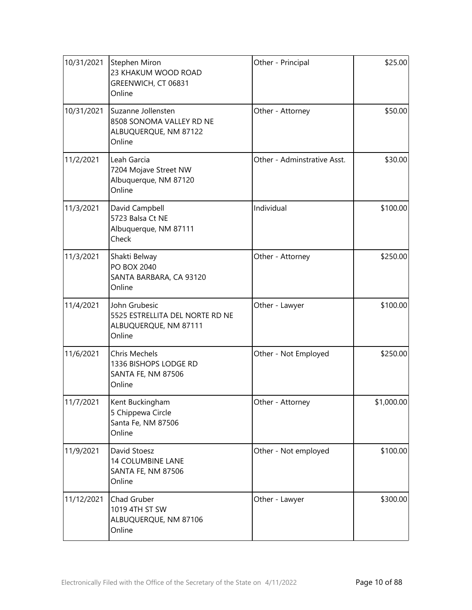| 10/31/2021 | <b>Stephen Miron</b><br>23 KHAKUM WOOD ROAD<br>GREENWICH, CT 06831<br>Online         | Other - Principal           | \$25.00    |
|------------|--------------------------------------------------------------------------------------|-----------------------------|------------|
| 10/31/2021 | Suzanne Jollensten<br>8508 SONOMA VALLEY RD NE<br>ALBUQUERQUE, NM 87122<br>Online    | Other - Attorney            | \$50.00    |
| 11/2/2021  | Leah Garcia<br>7204 Mojave Street NW<br>Albuquerque, NM 87120<br>Online              | Other - Adminstrative Asst. | \$30.00    |
| 11/3/2021  | David Campbell<br>5723 Balsa Ct NE<br>Albuquerque, NM 87111<br>Check                 | Individual                  | \$100.00   |
| 11/3/2021  | Shakti Belway<br>PO BOX 2040<br>SANTA BARBARA, CA 93120<br>Online                    | Other - Attorney            | \$250.00   |
| 11/4/2021  | John Grubesic<br>5525 ESTRELLITA DEL NORTE RD NE<br>ALBUQUERQUE, NM 87111<br>Online  | Other - Lawyer              | \$100.00   |
| 11/6/2021  | <b>Chris Mechels</b><br>1336 BISHOPS LODGE RD<br><b>SANTA FE, NM 87506</b><br>Online | Other - Not Employed        | \$250.00   |
| 11/7/2021  | Kent Buckingham<br>5 Chippewa Circle<br>Santa Fe, NM 87506<br>Online                 | Other - Attorney            | \$1,000.00 |
| 11/9/2021  | David Stoesz<br><b>14 COLUMBINE LANE</b><br>SANTA FE, NM 87506<br>Online             | Other - Not employed        | \$100.00   |
| 11/12/2021 | Chad Gruber<br>1019 4TH ST SW<br>ALBUQUERQUE, NM 87106<br>Online                     | Other - Lawyer              | \$300.00   |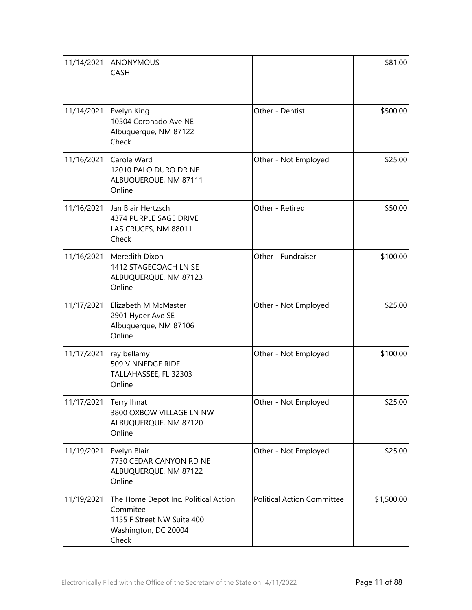| 11/14/2021 | <b>ANONYMOUS</b><br><b>CASH</b>                                                                                 |                                   | \$81.00    |
|------------|-----------------------------------------------------------------------------------------------------------------|-----------------------------------|------------|
| 11/14/2021 | Evelyn King<br>10504 Coronado Ave NE<br>Albuquerque, NM 87122<br>Check                                          | Other - Dentist                   | \$500.00   |
| 11/16/2021 | Carole Ward<br>12010 PALO DURO DR NE<br>ALBUQUERQUE, NM 87111<br>Online                                         | Other - Not Employed              | \$25.00    |
| 11/16/2021 | Jan Blair Hertzsch<br>4374 PURPLE SAGE DRIVE<br>LAS CRUCES, NM 88011<br>Check                                   | Other - Retired                   | \$50.00    |
| 11/16/2021 | Meredith Dixon<br>1412 STAGECOACH LN SE<br>ALBUQUERQUE, NM 87123<br>Online                                      | Other - Fundraiser                | \$100.00   |
| 11/17/2021 | Elizabeth M McMaster<br>2901 Hyder Ave SE<br>Albuquerque, NM 87106<br>Online                                    | Other - Not Employed              | \$25.00    |
| 11/17/2021 | ray bellamy<br>509 VINNEDGE RIDE<br>TALLAHASSEE, FL 32303<br>Online                                             | Other - Not Employed              | \$100.00   |
| 11/17/2021 | Terry Ihnat<br>3800 OXBOW VILLAGE LN NW<br>ALBUQUERQUE, NM 87120<br>Online                                      | Other - Not Employed              | \$25.00    |
| 11/19/2021 | Evelyn Blair<br>7730 CEDAR CANYON RD NE<br>ALBUQUERQUE, NM 87122<br>Online                                      | Other - Not Employed              | \$25.00    |
| 11/19/2021 | The Home Depot Inc. Political Action<br>Commitee<br>1155 F Street NW Suite 400<br>Washington, DC 20004<br>Check | <b>Political Action Committee</b> | \$1,500.00 |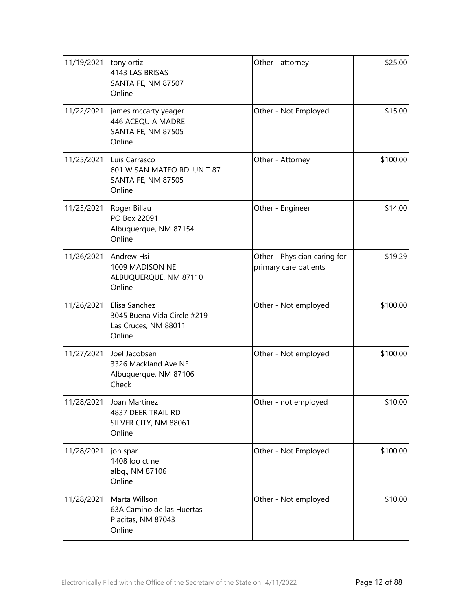| 11/19/2021 | tony ortiz<br>4143 LAS BRISAS<br>SANTA FE, NM 87507<br>Online                    | Other - attorney                                      | \$25.00  |
|------------|----------------------------------------------------------------------------------|-------------------------------------------------------|----------|
| 11/22/2021 | james mccarty yeager<br>446 ACEQUIA MADRE<br><b>SANTA FE, NM 87505</b><br>Online | Other - Not Employed                                  | \$15.00  |
| 11/25/2021 | Luis Carrasco<br>601 W SAN MATEO RD. UNIT 87<br>SANTA FE, NM 87505<br>Online     | Other - Attorney                                      | \$100.00 |
| 11/25/2021 | Roger Billau<br>PO Box 22091<br>Albuquerque, NM 87154<br>Online                  | Other - Engineer                                      | \$14.00  |
| 11/26/2021 | Andrew Hsi<br>1009 MADISON NE<br>ALBUQUERQUE, NM 87110<br>Online                 | Other - Physician caring for<br>primary care patients | \$19.29  |
| 11/26/2021 | Elisa Sanchez<br>3045 Buena Vida Circle #219<br>Las Cruces, NM 88011<br>Online   | Other - Not employed                                  | \$100.00 |
| 11/27/2021 | Joel Jacobsen<br>3326 Mackland Ave NE<br>Albuquerque, NM 87106<br>Check          | Other - Not employed                                  | \$100.00 |
| 11/28/2021 | Joan Martinez<br>4837 DEER TRAIL RD<br>SILVER CITY, NM 88061<br>Online           | Other - not employed                                  | \$10.00  |
| 11/28/2021 | jon spar<br>1408 loo ct ne<br>albq., NM 87106<br>Online                          | Other - Not Employed                                  | \$100.00 |
| 11/28/2021 | Marta Willson<br>63A Camino de las Huertas<br>Placitas, NM 87043<br>Online       | Other - Not employed                                  | \$10.00  |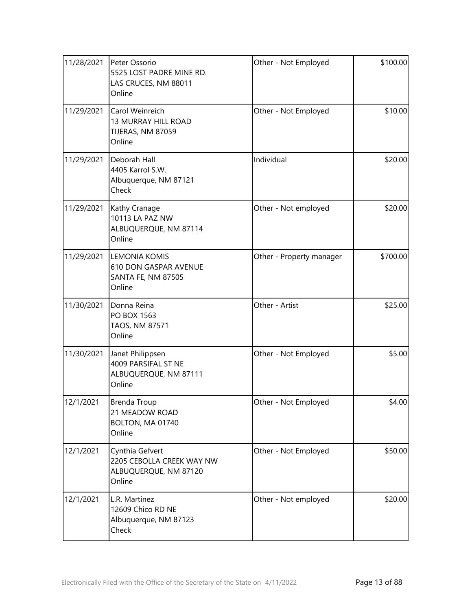| 11/28/2021 | Peter Ossorio<br>5525 LOST PADRE MINE RD.<br>LAS CRUCES, NM 88011<br>Online     | Other - Not Employed     | \$100.00 |
|------------|---------------------------------------------------------------------------------|--------------------------|----------|
| 11/29/2021 | Carol Weinreich<br>13 MURRAY HILL ROAD<br>TIJERAS, NM 87059<br>Online           | Other - Not Employed     | \$10.00  |
| 11/29/2021 | Deborah Hall<br>4405 Karrol S.W.<br>Albuquerque, NM 87121<br>Check              | Individual               | \$20.00  |
| 11/29/2021 | Kathy Cranage<br>10113 LA PAZ NW<br>ALBUQUERQUE, NM 87114<br>Online             | Other - Not employed     | \$20.00  |
| 11/29/2021 | <b>LEMONIA KOMIS</b><br>610 DON GASPAR AVENUE<br>SANTA FE, NM 87505<br>Online   | Other - Property manager | \$700.00 |
| 11/30/2021 | Donna Reina<br>PO BOX 1563<br>TAOS, NM 87571<br>Online                          | Other - Artist           | \$25.00  |
| 11/30/2021 | Janet Philippsen<br>4009 PARSIFAL ST NE<br>ALBUQUERQUE, NM 87111<br>Online      | Other - Not Employed     | \$5.00   |
| 12/1/2021  | <b>Brenda Troup</b><br>21 MEADOW ROAD<br>BOLTON, MA 01740<br>Online             | Other - Not Employed     | \$4.00   |
| 12/1/2021  | Cynthia Gefvert<br>2205 CEBOLLA CREEK WAY NW<br>ALBUQUERQUE, NM 87120<br>Online | Other - Not Employed     | \$50.00  |
| 12/1/2021  | L.R. Martinez<br>12609 Chico RD NE<br>Albuquerque, NM 87123<br>Check            | Other - Not employed     | \$20.00  |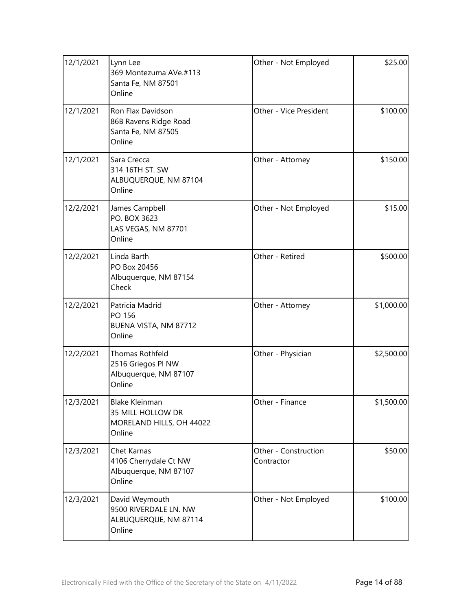| 12/1/2021 | Lynn Lee<br>369 Montezuma AVe.#113<br>Santa Fe, NM 87501<br>Online               | Other - Not Employed               | \$25.00    |
|-----------|----------------------------------------------------------------------------------|------------------------------------|------------|
| 12/1/2021 | Ron Flax Davidson<br>86B Ravens Ridge Road<br>Santa Fe, NM 87505<br>Online       | Other - Vice President             | \$100.00   |
| 12/1/2021 | Sara Crecca<br>314 16TH ST. SW<br>ALBUQUERQUE, NM 87104<br>Online                | Other - Attorney                   | \$150.00   |
| 12/2/2021 | James Campbell<br>PO. BOX 3623<br>LAS VEGAS, NM 87701<br>Online                  | Other - Not Employed               | \$15.00    |
| 12/2/2021 | Linda Barth<br>PO Box 20456<br>Albuquerque, NM 87154<br>Check                    | Other - Retired                    | \$500.00   |
| 12/2/2021 | Patricia Madrid<br>PO 156<br>BUENA VISTA, NM 87712<br>Online                     | Other - Attorney                   | \$1,000.00 |
| 12/2/2021 | Thomas Rothfeld<br>2516 Griegos PI NW<br>Albuquerque, NM 87107<br>Online         | Other - Physician                  | \$2,500.00 |
| 12/3/2021 | <b>Blake Kleinman</b><br>35 MILL HOLLOW DR<br>MORELAND HILLS, OH 44022<br>Online | Other - Finance                    | \$1,500.00 |
| 12/3/2021 | Chet Karnas<br>4106 Cherrydale Ct NW<br>Albuquerque, NM 87107<br>Online          | Other - Construction<br>Contractor | \$50.00    |
| 12/3/2021 | David Weymouth<br>9500 RIVERDALE LN. NW<br>ALBUQUERQUE, NM 87114<br>Online       | Other - Not Employed               | \$100.00   |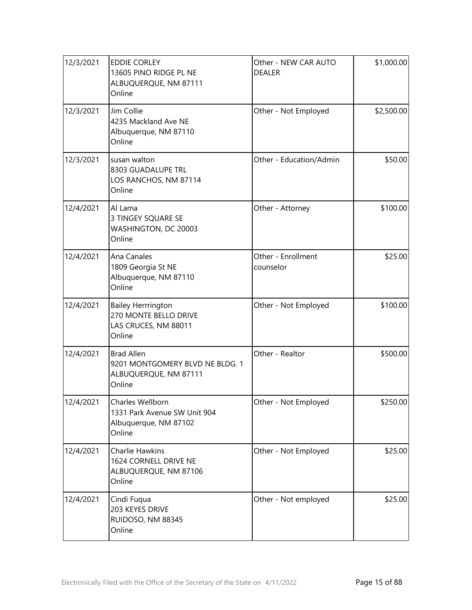| 12/3/2021 | <b>EDDIE CORLEY</b><br>13605 PINO RIDGE PL NE<br>ALBUQUERQUE, NM 87111<br>Online        | Other - NEW CAR AUTO<br><b>DEALER</b> | \$1,000.00 |
|-----------|-----------------------------------------------------------------------------------------|---------------------------------------|------------|
| 12/3/2021 | Jim Collie<br>4235 Mackland Ave NE<br>Albuquerque, NM 87110<br>Online                   | Other - Not Employed                  | \$2,500.00 |
| 12/3/2021 | susan walton<br>8303 GUADALUPE TRL<br>LOS RANCHOS, NM 87114<br>Online                   | Other - Education/Admin               | \$50.00    |
| 12/4/2021 | Al Lama<br>3 TINGEY SQUARE SE<br>WASHINGTON, DC 20003<br>Online                         | Other - Attorney                      | \$100.00   |
| 12/4/2021 | Ana Canales<br>1809 Georgia St NE<br>Albuquerque, NM 87110<br>Online                    | Other - Enrollment<br>counselor       | \$25.00    |
| 12/4/2021 | <b>Bailey Herrrington</b><br>270 MONTE BELLO DRIVE<br>LAS CRUCES, NM 88011<br>Online    | Other - Not Employed                  | \$100.00   |
| 12/4/2021 | <b>Brad Allen</b><br>9201 MONTGOMERY BLVD NE BLDG. 1<br>ALBUQUERQUE, NM 87111<br>Online | Other - Realtor                       | \$500.00   |
| 12/4/2021 | Charles Wellborn<br>1331 Park Avenue SW Unit 904<br>Albuquerque, NM 87102<br>Online     | Other - Not Employed                  | \$250.00   |
| 12/4/2021 | <b>Charlie Hawkins</b><br>1624 CORNELL DRIVE NE<br>ALBUQUERQUE, NM 87106<br>Online      | Other - Not Employed                  | \$25.00    |
| 12/4/2021 | Cindi Fuqua<br>203 KEYES DRIVE<br>RUIDOSO, NM 88345<br>Online                           | Other - Not employed                  | \$25.00    |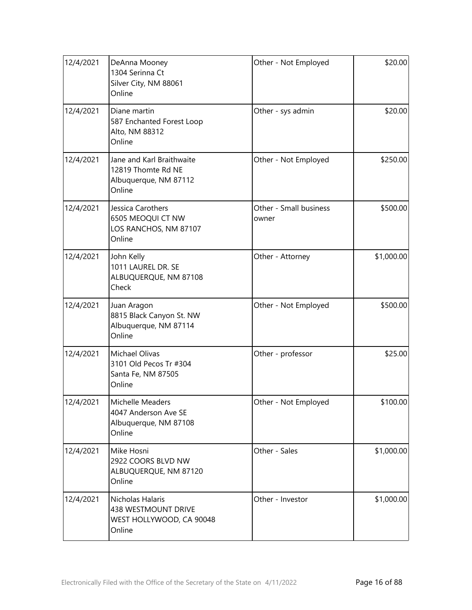| 12/4/2021 | DeAnna Mooney<br>1304 Serinna Ct<br>Silver City, NM 88061<br>Online                | Other - Not Employed            | \$20.00    |
|-----------|------------------------------------------------------------------------------------|---------------------------------|------------|
| 12/4/2021 | Diane martin<br>587 Enchanted Forest Loop<br>Alto, NM 88312<br>Online              | Other - sys admin               | \$20.00    |
| 12/4/2021 | Jane and Karl Braithwaite<br>12819 Thomte Rd NE<br>Albuquerque, NM 87112<br>Online | Other - Not Employed            | \$250.00   |
| 12/4/2021 | Jessica Carothers<br>6505 MEOQUI CT NW<br>LOS RANCHOS, NM 87107<br>Online          | Other - Small business<br>owner | \$500.00   |
| 12/4/2021 | John Kelly<br>1011 LAUREL DR. SE<br>ALBUQUERQUE, NM 87108<br>Check                 | Other - Attorney                | \$1,000.00 |
| 12/4/2021 | Juan Aragon<br>8815 Black Canyon St. NW<br>Albuquerque, NM 87114<br>Online         | Other - Not Employed            | \$500.00   |
| 12/4/2021 | Michael Olivas<br>3101 Old Pecos Tr #304<br>Santa Fe, NM 87505<br>Online           | Other - professor               | \$25.00    |
| 12/4/2021 | Michelle Meaders<br>4047 Anderson Ave SE<br>Albuquerque, NM 87108<br>Online        | Other - Not Employed            | \$100.00]  |
| 12/4/2021 | Mike Hosni<br>2922 COORS BLVD NW<br>ALBUQUERQUE, NM 87120<br>Online                | Other - Sales                   | \$1,000.00 |
| 12/4/2021 | Nicholas Halaris<br>438 WESTMOUNT DRIVE<br>WEST HOLLYWOOD, CA 90048<br>Online      | Other - Investor                | \$1,000.00 |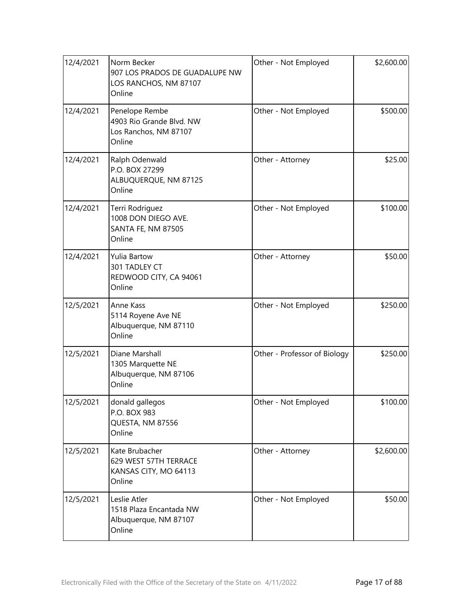| 12/4/2021 | Norm Becker<br>907 LOS PRADOS DE GUADALUPE NW<br>LOS RANCHOS, NM 87107<br>Online | Other - Not Employed         | \$2,600.00 |
|-----------|----------------------------------------------------------------------------------|------------------------------|------------|
| 12/4/2021 | Penelope Rembe<br>4903 Rio Grande Blvd. NW<br>Los Ranchos, NM 87107<br>Online    | Other - Not Employed         | \$500.00   |
| 12/4/2021 | Ralph Odenwald<br>P.O. BOX 27299<br>ALBUQUERQUE, NM 87125<br>Online              | Other - Attorney             | \$25.00    |
| 12/4/2021 | Terri Rodriguez<br>1008 DON DIEGO AVE.<br><b>SANTA FE, NM 87505</b><br>Online    | Other - Not Employed         | \$100.00   |
| 12/4/2021 | <b>Yulia Bartow</b><br>301 TADLEY CT<br>REDWOOD CITY, CA 94061<br>Online         | Other - Attorney             | \$50.00    |
| 12/5/2021 | Anne Kass<br>5114 Royene Ave NE<br>Albuquerque, NM 87110<br>Online               | Other - Not Employed         | \$250.00   |
| 12/5/2021 | Diane Marshall<br>1305 Marquette NE<br>Albuquerque, NM 87106<br>Online           | Other - Professor of Biology | \$250.00   |
| 12/5/2021 | donald gallegos<br>P.O. BOX 983<br>QUESTA, NM 87556<br>Online                    | Other - Not Employed         | \$100.00   |
| 12/5/2021 | Kate Brubacher<br>629 WEST 57TH TERRACE<br>KANSAS CITY, MO 64113<br>Online       | Other - Attorney             | \$2,600.00 |
| 12/5/2021 | Leslie Atler<br>1518 Plaza Encantada NW<br>Albuquerque, NM 87107<br>Online       | Other - Not Employed         | \$50.00    |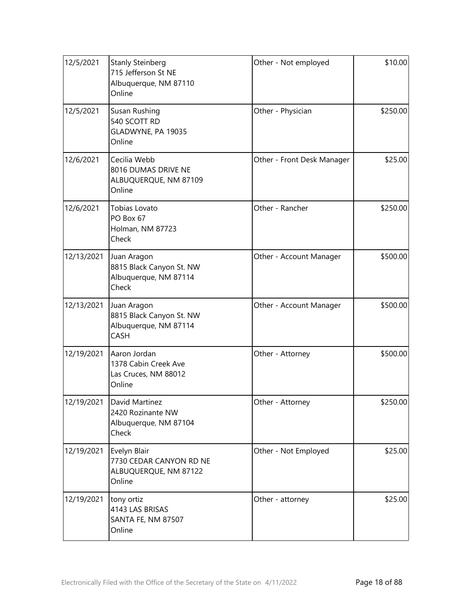| 12/5/2021  | <b>Stanly Steinberg</b><br>715 Jefferson St NE<br>Albuquerque, NM 87110<br>Online | Other - Not employed       | \$10.00  |
|------------|-----------------------------------------------------------------------------------|----------------------------|----------|
| 12/5/2021  | Susan Rushing<br>540 SCOTT RD<br>GLADWYNE, PA 19035<br>Online                     | Other - Physician          | \$250.00 |
| 12/6/2021  | Cecilia Webb<br>8016 DUMAS DRIVE NE<br>ALBUQUERQUE, NM 87109<br>Online            | Other - Front Desk Manager | \$25.00  |
| 12/6/2021  | Tobias Lovato<br>PO Box 67<br>Holman, NM 87723<br>Check                           | Other - Rancher            | \$250.00 |
| 12/13/2021 | Juan Aragon<br>8815 Black Canyon St. NW<br>Albuquerque, NM 87114<br>Check         | Other - Account Manager    | \$500.00 |
| 12/13/2021 | Juan Aragon<br>8815 Black Canyon St. NW<br>Albuquerque, NM 87114<br>CASH          | Other - Account Manager    | \$500.00 |
| 12/19/2021 | Aaron Jordan<br>1378 Cabin Creek Ave<br>Las Cruces, NM 88012<br>Online            | Other - Attorney           | \$500.00 |
| 12/19/2021 | David Martinez<br>2420 Rozinante NW<br>Albuquerque, NM 87104<br>Check             | Other - Attorney           | \$250.00 |
| 12/19/2021 | Evelyn Blair<br>7730 CEDAR CANYON RD NE<br>ALBUQUERQUE, NM 87122<br>Online        | Other - Not Employed       | \$25.00  |
| 12/19/2021 | tony ortiz<br>4143 LAS BRISAS<br>SANTA FE, NM 87507<br>Online                     | Other - attorney           | \$25.00  |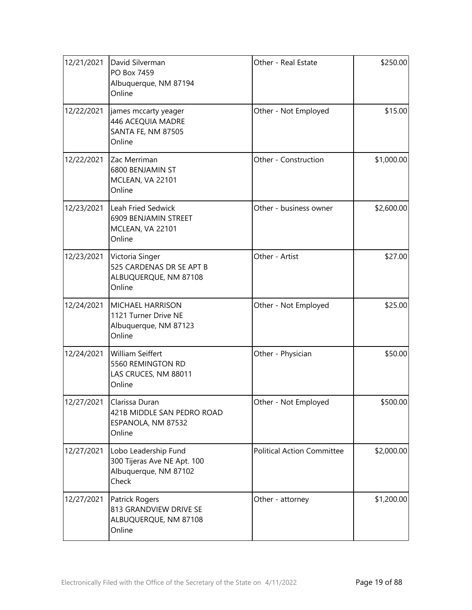| 12/21/2021 | David Silverman<br>PO Box 7459<br>Albuquerque, NM 87194<br>Online                     | Other - Real Estate               | \$250.00   |
|------------|---------------------------------------------------------------------------------------|-----------------------------------|------------|
| 12/22/2021 | james mccarty yeager<br>446 ACEQUIA MADRE<br>SANTA FE, NM 87505<br>Online             | Other - Not Employed              | \$15.00    |
| 12/22/2021 | Zac Merriman<br>6800 BENJAMIN ST<br>MCLEAN, VA 22101<br>Online                        | Other - Construction              | \$1,000.00 |
| 12/23/2021 | Leah Fried Sedwick<br>6909 BENJAMIN STREET<br>MCLEAN, VA 22101<br>Online              | Other - business owner            | \$2,600.00 |
| 12/23/2021 | Victoria Singer<br>525 CARDENAS DR SE APT B<br>ALBUQUERQUE, NM 87108<br>Online        | Other - Artist                    | \$27.00    |
| 12/24/2021 | <b>MICHAEL HARRISON</b><br>1121 Turner Drive NE<br>Albuquerque, NM 87123<br>Online    | Other - Not Employed              | \$25.00    |
| 12/24/2021 | <b>William Seiffert</b><br>5560 REMINGTON RD<br>LAS CRUCES, NM 88011<br>Online        | Other - Physician                 | \$50.00    |
| 12/27/2021 | Clarissa Duran<br>421B MIDDLE SAN PEDRO ROAD<br>ESPANOLA, NM 87532<br>Online          | Other - Not Employed              | \$500.00   |
| 12/27/2021 | Lobo Leadership Fund<br>300 Tijeras Ave NE Apt. 100<br>Albuquerque, NM 87102<br>Check | <b>Political Action Committee</b> | \$2,000.00 |
| 12/27/2021 | Patrick Rogers<br>813 GRANDVIEW DRIVE SE<br>ALBUQUERQUE, NM 87108<br>Online           | Other - attorney                  | \$1,200.00 |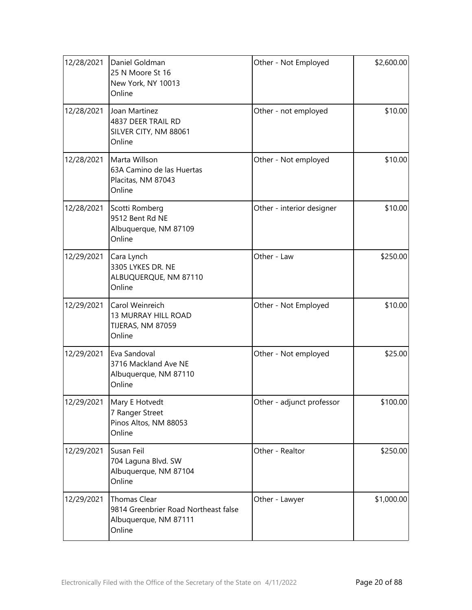| 12/28/2021 | Daniel Goldman<br>25 N Moore St 16<br>New York, NY 10013<br>Online                      | Other - Not Employed      | \$2,600.00 |
|------------|-----------------------------------------------------------------------------------------|---------------------------|------------|
| 12/28/2021 | Joan Martinez<br>4837 DEER TRAIL RD<br>SILVER CITY, NM 88061<br>Online                  | Other - not employed      | \$10.00    |
| 12/28/2021 | Marta Willson<br>63A Camino de las Huertas<br>Placitas, NM 87043<br>Online              | Other - Not employed      | \$10.00    |
| 12/28/2021 | Scotti Romberg<br>9512 Bent Rd NE<br>Albuquerque, NM 87109<br>Online                    | Other - interior designer | \$10.00    |
| 12/29/2021 | Cara Lynch<br>3305 LYKES DR. NE<br>ALBUQUERQUE, NM 87110<br>Online                      | Other - Law               | \$250.00   |
| 12/29/2021 | Carol Weinreich<br>13 MURRAY HILL ROAD<br>TIJERAS, NM 87059<br>Online                   | Other - Not Employed      | \$10.00    |
| 12/29/2021 | Eva Sandoval<br>3716 Mackland Ave NE<br>Albuquerque, NM 87110<br>Online                 | Other - Not employed      | \$25.00    |
|            | 12/29/2021   Mary E Hotvedt<br>7 Ranger Street<br>Pinos Altos, NM 88053<br>Online       | Other - adjunct professor | \$100.00   |
| 12/29/2021 | Susan Feil<br>704 Laguna Blvd. SW<br>Albuquerque, NM 87104<br>Online                    | Other - Realtor           | \$250.00   |
| 12/29/2021 | Thomas Clear<br>9814 Greenbrier Road Northeast false<br>Albuquerque, NM 87111<br>Online | Other - Lawyer            | \$1,000.00 |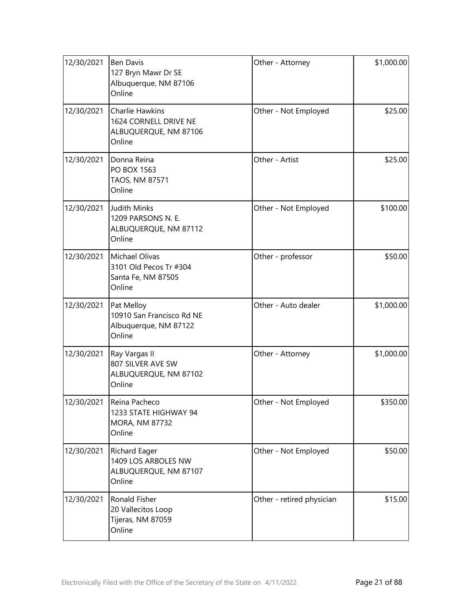| 12/30/2021 | <b>Ben Davis</b><br>127 Bryn Mawr Dr SE<br>Albuquerque, NM 87106<br>Online         | Other - Attorney          | \$1,000.00 |
|------------|------------------------------------------------------------------------------------|---------------------------|------------|
| 12/30/2021 | <b>Charlie Hawkins</b><br>1624 CORNELL DRIVE NE<br>ALBUQUERQUE, NM 87106<br>Online | Other - Not Employed      | \$25.00    |
| 12/30/2021 | Donna Reina<br>PO BOX 1563<br>TAOS, NM 87571<br>Online                             | Other - Artist            | \$25.00    |
| 12/30/2021 | <b>Judith Minks</b><br>1209 PARSONS N. E.<br>ALBUQUERQUE, NM 87112<br>Online       | Other - Not Employed      | \$100.00   |
| 12/30/2021 | Michael Olivas<br>3101 Old Pecos Tr #304<br>Santa Fe, NM 87505<br>Online           | Other - professor         | \$50.00    |
| 12/30/2021 | Pat Melloy<br>10910 San Francisco Rd NE<br>Albuquerque, NM 87122<br>Online         | Other - Auto dealer       | \$1,000.00 |
| 12/30/2021 | Ray Vargas II<br>807 SILVER AVE SW<br>ALBUQUERQUE, NM 87102<br>Online              | Other - Attorney          | \$1,000.00 |
| 12/30/2021 | Reina Pacheco<br>1233 STATE HIGHWAY 94<br>MORA, NM 87732<br>Online                 | Other - Not Employed      | \$350.00   |
| 12/30/2021 | Richard Eager<br>1409 LOS ARBOLES NW<br>ALBUQUERQUE, NM 87107<br>Online            | Other - Not Employed      | \$50.00    |
| 12/30/2021 | Ronald Fisher<br>20 Vallecitos Loop<br>Tijeras, NM 87059<br>Online                 | Other - retired physician | \$15.00    |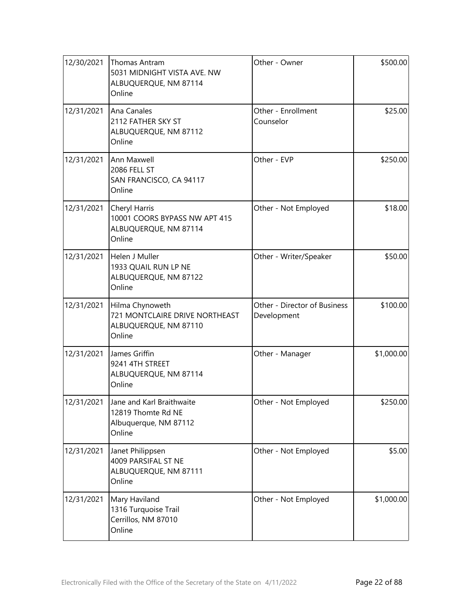| 12/30/2021 | Thomas Antram<br>5031 MIDNIGHT VISTA AVE. NW<br>ALBUQUERQUE, NM 87114<br>Online      | Other - Owner                               | \$500.00   |
|------------|--------------------------------------------------------------------------------------|---------------------------------------------|------------|
| 12/31/2021 | Ana Canales<br>2112 FATHER SKY ST<br>ALBUQUERQUE, NM 87112<br>Online                 | Other - Enrollment<br>Counselor             | \$25.00    |
| 12/31/2021 | Ann Maxwell<br>2086 FELL ST<br>SAN FRANCISCO, CA 94117<br>Online                     | Other - EVP                                 | \$250.00   |
| 12/31/2021 | Cheryl Harris<br>10001 COORS BYPASS NW APT 415<br>ALBUQUERQUE, NM 87114<br>Online    | Other - Not Employed                        | \$18.00    |
| 12/31/2021 | Helen J Muller<br>1933 QUAIL RUN LP NE<br>ALBUQUERQUE, NM 87122<br>Online            | Other - Writer/Speaker                      | \$50.00    |
| 12/31/2021 | Hilma Chynoweth<br>721 MONTCLAIRE DRIVE NORTHEAST<br>ALBUQUERQUE, NM 87110<br>Online | Other - Director of Business<br>Development | \$100.00   |
| 12/31/2021 | James Griffin<br>9241 4TH STREET<br>ALBUQUERQUE, NM 87114<br>Online                  | Other - Manager                             | \$1,000.00 |
| 12/31/2021 | Jane and Karl Braithwaite<br>12819 Thomte Rd NE<br>Albuquerque, NM 87112<br>Online   | Other - Not Employed                        | \$250.00   |
| 12/31/2021 | Janet Philippsen<br>4009 PARSIFAL ST NE<br>ALBUQUERQUE, NM 87111<br>Online           | Other - Not Employed                        | \$5.00     |
| 12/31/2021 | Mary Haviland<br>1316 Turquoise Trail<br>Cerrillos, NM 87010<br>Online               | Other - Not Employed                        | \$1,000.00 |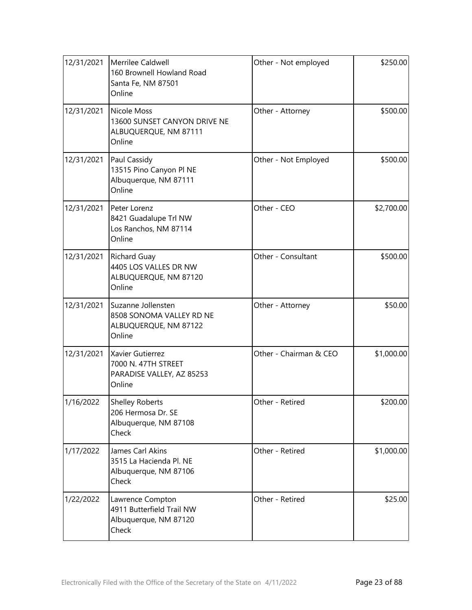| 12/31/2021 | Merrilee Caldwell<br>160 Brownell Howland Road<br>Santa Fe, NM 87501<br>Online        | Other - Not employed   | \$250.00   |
|------------|---------------------------------------------------------------------------------------|------------------------|------------|
| 12/31/2021 | Nicole Moss<br>13600 SUNSET CANYON DRIVE NE<br>ALBUQUERQUE, NM 87111<br>Online        | Other - Attorney       | \$500.00   |
| 12/31/2021 | Paul Cassidy<br>13515 Pino Canyon Pl NE<br>Albuquerque, NM 87111<br>Online            | Other - Not Employed   | \$500.00   |
| 12/31/2021 | Peter Lorenz<br>8421 Guadalupe Trl NW<br>Los Ranchos, NM 87114<br>Online              | Other - CEO            | \$2,700.00 |
| 12/31/2021 | <b>Richard Guay</b><br>4405 LOS VALLES DR NW<br>ALBUQUERQUE, NM 87120<br>Online       | Other - Consultant     | \$500.00   |
| 12/31/2021 | Suzanne Jollensten<br>8508 SONOMA VALLEY RD NE<br>ALBUQUERQUE, NM 87122<br>Online     | Other - Attorney       | \$50.00    |
| 12/31/2021 | <b>Xavier Gutierrez</b><br>7000 N. 47TH STREET<br>PARADISE VALLEY, AZ 85253<br>Online | Other - Chairman & CEO | \$1,000.00 |
| 1/16/2022  | <b>Shelley Roberts</b><br>206 Hermosa Dr. SE<br>Albuquerque, NM 87108<br>Check        | Other - Retired        | \$200.00   |
| 1/17/2022  | James Carl Akins<br>3515 La Hacienda Pl. NE<br>Albuquerque, NM 87106<br>Check         | Other - Retired        | \$1,000.00 |
| 1/22/2022  | Lawrence Compton<br>4911 Butterfield Trail NW<br>Albuquerque, NM 87120<br>Check       | Other - Retired        | \$25.00    |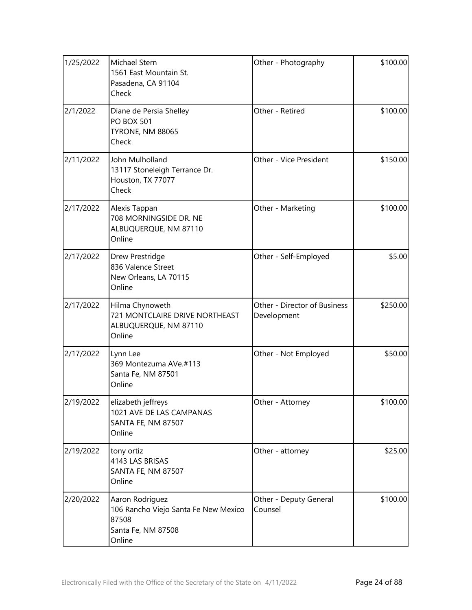| 1/25/2022 | Michael Stern<br>1561 East Mountain St.<br>Pasadena, CA 91104<br>Check                           | Other - Photography                         | \$100.00 |
|-----------|--------------------------------------------------------------------------------------------------|---------------------------------------------|----------|
| 2/1/2022  | Diane de Persia Shelley<br><b>PO BOX 501</b><br><b>TYRONE, NM 88065</b><br>Check                 | Other - Retired                             | \$100.00 |
| 2/11/2022 | John Mulholland<br>13117 Stoneleigh Terrance Dr.<br>Houston, TX 77077<br>Check                   | Other - Vice President                      | \$150.00 |
| 2/17/2022 | Alexis Tappan<br>708 MORNINGSIDE DR. NE<br>ALBUQUERQUE, NM 87110<br>Online                       | Other - Marketing                           | \$100.00 |
| 2/17/2022 | Drew Prestridge<br>836 Valence Street<br>New Orleans, LA 70115<br>Online                         | Other - Self-Employed                       | \$5.00   |
| 2/17/2022 | Hilma Chynoweth<br>721 MONTCLAIRE DRIVE NORTHEAST<br>ALBUQUERQUE, NM 87110<br>Online             | Other - Director of Business<br>Development | \$250.00 |
| 2/17/2022 | Lynn Lee<br>369 Montezuma AVe.#113<br>Santa Fe, NM 87501<br>Online                               | Other - Not Employed                        | \$50.00  |
| 2/19/2022 | elizabeth jeffreys<br>1021 AVE DE LAS CAMPANAS<br>SANTA FE, NM 87507<br>Online                   | Other - Attorney                            | \$100.00 |
| 2/19/2022 | tony ortiz<br>4143 LAS BRISAS<br>SANTA FE, NM 87507<br>Online                                    | Other - attorney                            | \$25.00  |
| 2/20/2022 | Aaron Rodriguez<br>106 Rancho Viejo Santa Fe New Mexico<br>87508<br>Santa Fe, NM 87508<br>Online | Other - Deputy General<br>Counsel           | \$100.00 |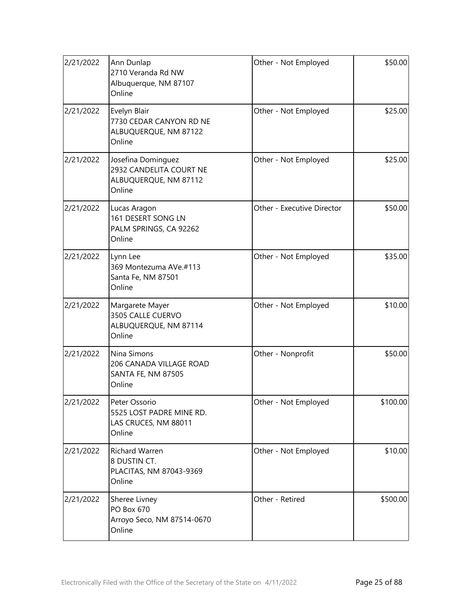| 2/21/2022 | Ann Dunlap<br>2710 Veranda Rd NW<br>Albuquerque, NM 87107<br>Online              | Other - Not Employed       | \$50.00  |
|-----------|----------------------------------------------------------------------------------|----------------------------|----------|
| 2/21/2022 | Evelyn Blair<br>7730 CEDAR CANYON RD NE<br>ALBUQUERQUE, NM 87122<br>Online       | Other - Not Employed       | \$25.00  |
| 2/21/2022 | Josefina Dominguez<br>2932 CANDELITA COURT NE<br>ALBUQUERQUE, NM 87112<br>Online | Other - Not Employed       | \$25.00  |
| 2/21/2022 | Lucas Aragon<br>161 DESERT SONG LN<br>PALM SPRINGS, CA 92262<br>Online           | Other - Executive Director | \$50.00  |
| 2/21/2022 | Lynn Lee<br>369 Montezuma AVe.#113<br>Santa Fe, NM 87501<br>Online               | Other - Not Employed       | \$35.00  |
| 2/21/2022 | Margarete Mayer<br>3505 CALLE CUERVO<br>ALBUQUERQUE, NM 87114<br>Online          | Other - Not Employed       | \$10.00  |
| 2/21/2022 | Nina Simons<br>206 CANADA VILLAGE ROAD<br>SANTA FE, NM 87505<br>Online           | Other - Nonprofit          | \$50.00  |
| 2/21/2022 | Peter Ossorio<br>5525 LOST PADRE MINE RD.<br>LAS CRUCES, NM 88011<br>Online      | Other - Not Employed       | \$100.00 |
| 2/21/2022 | Richard Warren<br>8 DUSTIN CT.<br>PLACITAS, NM 87043-9369<br>Online              | Other - Not Employed       | \$10.00  |
| 2/21/2022 | Sheree Livney<br>PO Box 670<br>Arroyo Seco, NM 87514-0670<br>Online              | Other - Retired            | \$500.00 |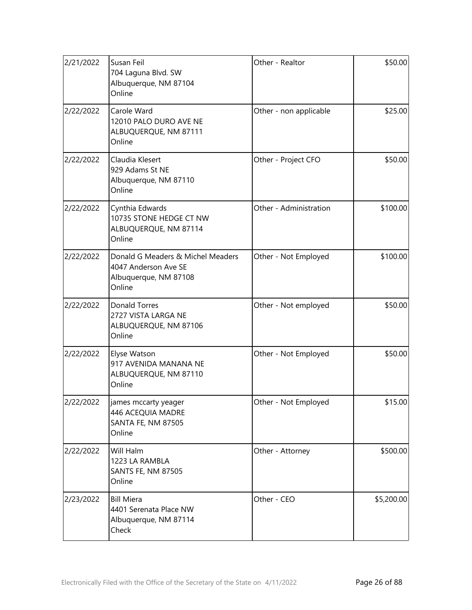| 2/21/2022 | Susan Feil<br>704 Laguna Blvd. SW<br>Albuquerque, NM 87104<br>Online                         | Other - Realtor        | \$50.00    |
|-----------|----------------------------------------------------------------------------------------------|------------------------|------------|
| 2/22/2022 | Carole Ward<br>12010 PALO DURO AVE NE<br>ALBUQUERQUE, NM 87111<br>Online                     | Other - non applicable | \$25.00    |
| 2/22/2022 | Claudia Klesert<br>929 Adams St NE<br>Albuquerque, NM 87110<br>Online                        | Other - Project CFO    | \$50.00    |
| 2/22/2022 | Cynthia Edwards<br>10735 STONE HEDGE CT NW<br>ALBUQUERQUE, NM 87114<br>Online                | Other - Administration | \$100.00   |
| 2/22/2022 | Donald G Meaders & Michel Meaders<br>4047 Anderson Ave SE<br>Albuquerque, NM 87108<br>Online | Other - Not Employed   | \$100.00   |
| 2/22/2022 | <b>Donald Torres</b><br>2727 VISTA LARGA NE<br>ALBUQUERQUE, NM 87106<br>Online               | Other - Not employed   | \$50.00    |
| 2/22/2022 | Elyse Watson<br>917 AVENIDA MANANA NE<br>ALBUQUERQUE, NM 87110<br>Online                     | Other - Not Employed   | \$50.00    |
| 2/22/2022 | james mccarty yeager<br>446 ACEQUIA MADRE<br>SANTA FE, NM 87505<br>Online                    | Other - Not Employed   | \$15.00    |
| 2/22/2022 | Will Halm<br>1223 LA RAMBLA<br><b>SANTS FE, NM 87505</b><br>Online                           | Other - Attorney       | \$500.00   |
| 2/23/2022 | <b>Bill Miera</b><br>4401 Serenata Place NW<br>Albuquerque, NM 87114<br>Check                | Other - CEO            | \$5,200.00 |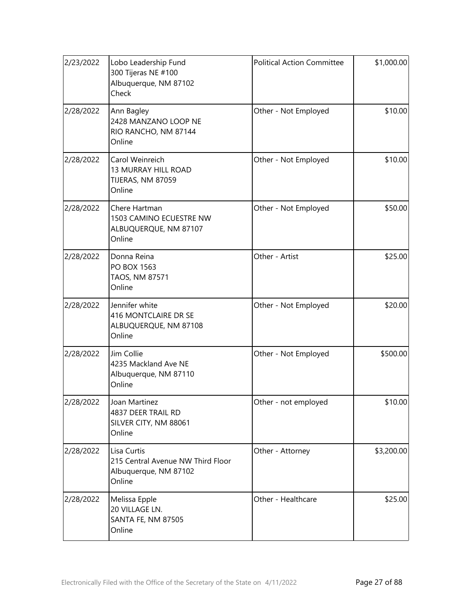| 2/23/2022 | Lobo Leadership Fund<br>300 Tijeras NE #100<br>Albuquerque, NM 87102<br>Check       | <b>Political Action Committee</b> | \$1,000.00 |
|-----------|-------------------------------------------------------------------------------------|-----------------------------------|------------|
| 2/28/2022 | Ann Bagley<br>2428 MANZANO LOOP NE<br>RIO RANCHO, NM 87144<br>Online                | Other - Not Employed              | \$10.00    |
| 2/28/2022 | Carol Weinreich<br><b>13 MURRAY HILL ROAD</b><br>TIJERAS, NM 87059<br>Online        | Other - Not Employed              | \$10.00    |
| 2/28/2022 | Chere Hartman<br>1503 CAMINO ECUESTRE NW<br>ALBUQUERQUE, NM 87107<br>Online         | Other - Not Employed              | \$50.00    |
| 2/28/2022 | Donna Reina<br>PO BOX 1563<br>TAOS, NM 87571<br>Online                              | Other - Artist                    | \$25.00    |
| 2/28/2022 | Jennifer white<br>416 MONTCLAIRE DR SE<br>ALBUQUERQUE, NM 87108<br>Online           | Other - Not Employed              | \$20.00    |
| 2/28/2022 | Jim Collie<br>4235 Mackland Ave NE<br>Albuquerque, NM 87110<br>Online               | Other - Not Employed              | \$500.00   |
| 2/28/2022 | Joan Martinez<br>4837 DEER TRAIL RD<br>SILVER CITY, NM 88061<br>Online              | Other - not employed              | \$10.00    |
| 2/28/2022 | Lisa Curtis<br>215 Central Avenue NW Third Floor<br>Albuquerque, NM 87102<br>Online | Other - Attorney                  | \$3,200.00 |
| 2/28/2022 | Melissa Epple<br>20 VILLAGE LN.<br><b>SANTA FE, NM 87505</b><br>Online              | Other - Healthcare                | \$25.00    |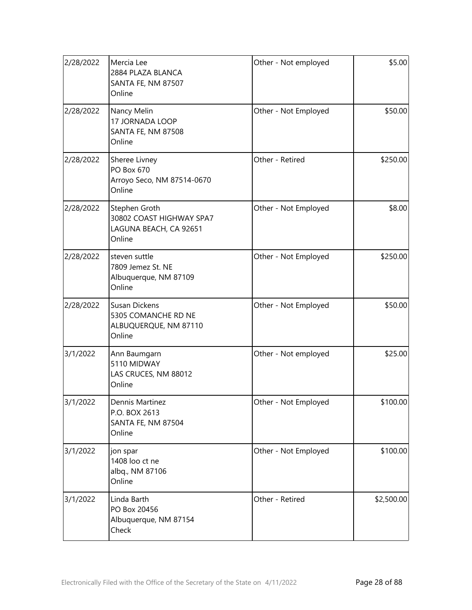| 2/28/2022 | Mercia Lee<br>2884 PLAZA BLANCA<br>SANTA FE, NM 87507<br>Online                | Other - Not employed | \$5.00     |
|-----------|--------------------------------------------------------------------------------|----------------------|------------|
| 2/28/2022 | Nancy Melin<br>17 JORNADA LOOP<br>SANTA FE, NM 87508<br>Online                 | Other - Not Employed | \$50.00    |
| 2/28/2022 | Sheree Livney<br><b>PO Box 670</b><br>Arroyo Seco, NM 87514-0670<br>Online     | Other - Retired      | \$250.00   |
| 2/28/2022 | Stephen Groth<br>30802 COAST HIGHWAY SPA7<br>LAGUNA BEACH, CA 92651<br>Online  | Other - Not Employed | \$8.00     |
| 2/28/2022 | steven suttle<br>7809 Jemez St. NE<br>Albuquerque, NM 87109<br>Online          | Other - Not Employed | \$250.00   |
| 2/28/2022 | <b>Susan Dickens</b><br>5305 COMANCHE RD NE<br>ALBUQUERQUE, NM 87110<br>Online | Other - Not Employed | \$50.00    |
| 3/1/2022  | Ann Baumgarn<br>5110 MIDWAY<br>LAS CRUCES, NM 88012<br>Online                  | Other - Not employed | \$25.00    |
| 3/1/2022  | Dennis Martinez<br>P.O. BOX 2613<br>SANTA FE, NM 87504<br>Online               | Other - Not Employed | \$100.00   |
| 3/1/2022  | jon spar<br>1408 loo ct ne<br>albq., NM 87106<br>Online                        | Other - Not Employed | \$100.00   |
| 3/1/2022  | Linda Barth<br>PO Box 20456<br>Albuquerque, NM 87154<br>Check                  | Other - Retired      | \$2,500.00 |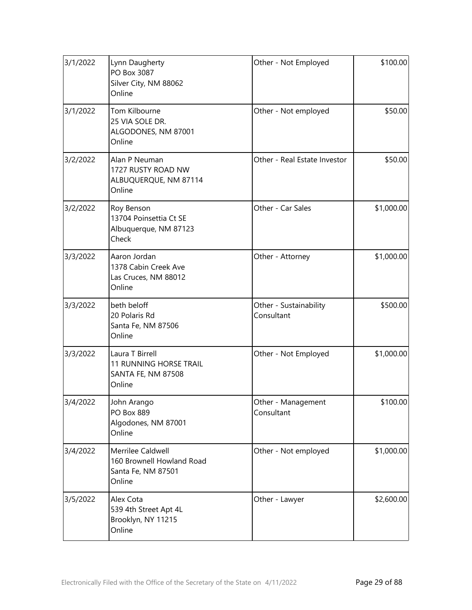| 3/1/2022 | Lynn Daugherty<br>PO Box 3087<br>Silver City, NM 88062<br>Online                        | Other - Not Employed                 | \$100.00   |
|----------|-----------------------------------------------------------------------------------------|--------------------------------------|------------|
| 3/1/2022 | Tom Kilbourne<br>25 VIA SOLE DR.<br>ALGODONES, NM 87001<br>Online                       | Other - Not employed                 | \$50.00    |
| 3/2/2022 | Alan P Neuman<br>1727 RUSTY ROAD NW<br>ALBUQUERQUE, NM 87114<br>Online                  | Other - Real Estate Investor         | \$50.00    |
| 3/2/2022 | Roy Benson<br>13704 Poinsettia Ct SE<br>Albuquerque, NM 87123<br>Check                  | Other - Car Sales                    | \$1,000.00 |
| 3/3/2022 | Aaron Jordan<br>1378 Cabin Creek Ave<br>Las Cruces, NM 88012<br>Online                  | Other - Attorney                     | \$1,000.00 |
| 3/3/2022 | beth beloff<br>20 Polaris Rd<br>Santa Fe, NM 87506<br>Online                            | Other - Sustainability<br>Consultant | \$500.00   |
| 3/3/2022 | Laura T Birrell<br><b>11 RUNNING HORSE TRAIL</b><br><b>SANTA FE, NM 87508</b><br>Online | Other - Not Employed                 | \$1,000.00 |
| 3/4/2022 | John Arango<br>PO Box 889<br>Algodones, NM 87001<br>Online                              | Other - Management<br>Consultant     | \$100.00]  |
| 3/4/2022 | Merrilee Caldwell<br>160 Brownell Howland Road<br>Santa Fe, NM 87501<br>Online          | Other - Not employed                 | \$1,000.00 |
| 3/5/2022 | Alex Cota<br>539 4th Street Apt 4L<br>Brooklyn, NY 11215<br>Online                      | Other - Lawyer                       | \$2,600.00 |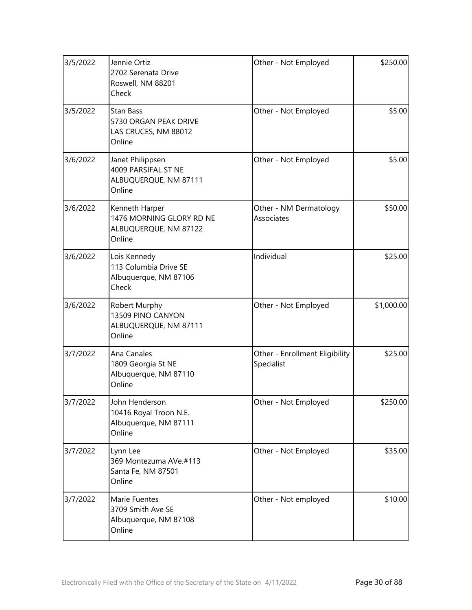| 3/5/2022 | Jennie Ortiz<br>2702 Serenata Drive<br>Roswell, NM 88201<br>Check             | Other - Not Employed                         | \$250.00   |
|----------|-------------------------------------------------------------------------------|----------------------------------------------|------------|
| 3/5/2022 | <b>Stan Bass</b><br>5730 ORGAN PEAK DRIVE<br>LAS CRUCES, NM 88012<br>Online   | Other - Not Employed                         | \$5.00     |
| 3/6/2022 | Janet Philippsen<br>4009 PARSIFAL ST NE<br>ALBUQUERQUE, NM 87111<br>Online    | Other - Not Employed                         | \$5.00     |
| 3/6/2022 | Kenneth Harper<br>1476 MORNING GLORY RD NE<br>ALBUQUERQUE, NM 87122<br>Online | Other - NM Dermatology<br>Associates         | \$50.00    |
| 3/6/2022 | Lois Kennedy<br>113 Columbia Drive SE<br>Albuquerque, NM 87106<br>Check       | Individual                                   | \$25.00    |
| 3/6/2022 | Robert Murphy<br>13509 PINO CANYON<br>ALBUQUERQUE, NM 87111<br>Online         | Other - Not Employed                         | \$1,000.00 |
| 3/7/2022 | Ana Canales<br>1809 Georgia St NE<br>Albuquerque, NM 87110<br>Online          | Other - Enrollment Eligibility<br>Specialist | \$25.00    |
| 3/7/2022 | John Henderson<br>10416 Royal Troon N.E.<br>Albuquerque, NM 87111<br>Online   | Other - Not Employed                         | \$250.00   |
| 3/7/2022 | Lynn Lee<br>369 Montezuma AVe.#113<br>Santa Fe, NM 87501<br>Online            | Other - Not Employed                         | \$35.00    |
| 3/7/2022 | Marie Fuentes<br>3709 Smith Ave SE<br>Albuquerque, NM 87108<br>Online         | Other - Not employed                         | \$10.00    |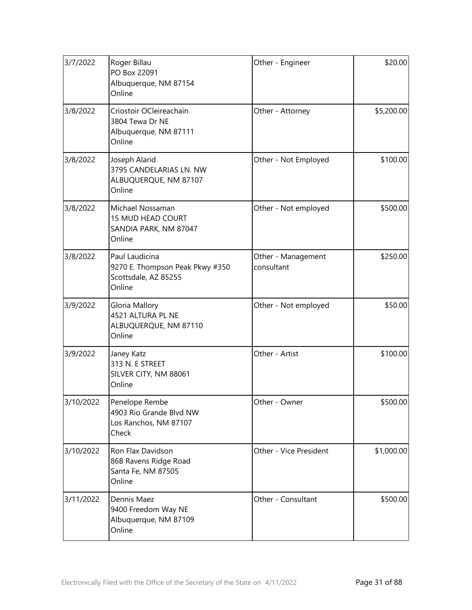| 3/7/2022  | Roger Billau<br>PO Box 22091<br>Albuquerque, NM 87154<br>Online                     | Other - Engineer                 | \$20.00    |
|-----------|-------------------------------------------------------------------------------------|----------------------------------|------------|
| 3/8/2022  | Criostoir OCleireachain<br>3804 Tewa Dr NE<br>Albuquerque, NM 87111<br>Online       | Other - Attorney                 | \$5,200.00 |
| 3/8/2022  | Joseph Alarid<br>3795 CANDELARIAS LN. NW<br>ALBUQUERQUE, NM 87107<br>Online         | Other - Not Employed             | \$100.00   |
| 3/8/2022  | Michael Nossaman<br>15 MUD HEAD COURT<br>SANDIA PARK, NM 87047<br>Online            | Other - Not employed             | \$500.00   |
| 3/8/2022  | Paul Laudicina<br>9270 E. Thompson Peak Pkwy #350<br>Scottsdale, AZ 85255<br>Online | Other - Management<br>consultant | \$250.00   |
| 3/9/2022  | Gloria Mallory<br>4521 ALTURA PL NE<br>ALBUQUERQUE, NM 87110<br>Online              | Other - Not employed             | \$50.00    |
| 3/9/2022  | Janey Katz<br>313 N. E STREET<br>SILVER CITY, NM 88061<br>Online                    | Other - Artist                   | \$100.00   |
| 3/10/2022 | Penelope Rembe<br>4903 Rio Grande Blvd NW<br>Los Ranchos, NM 87107<br>Check         | Other - Owner                    | \$500.00   |
| 3/10/2022 | Ron Flax Davidson<br>86B Ravens Ridge Road<br>Santa Fe, NM 87505<br>Online          | Other - Vice President           | \$1,000.00 |
| 3/11/2022 | Dennis Maez<br>9400 Freedom Way NE<br>Albuquerque, NM 87109<br>Online               | Other - Consultant               | \$500.00   |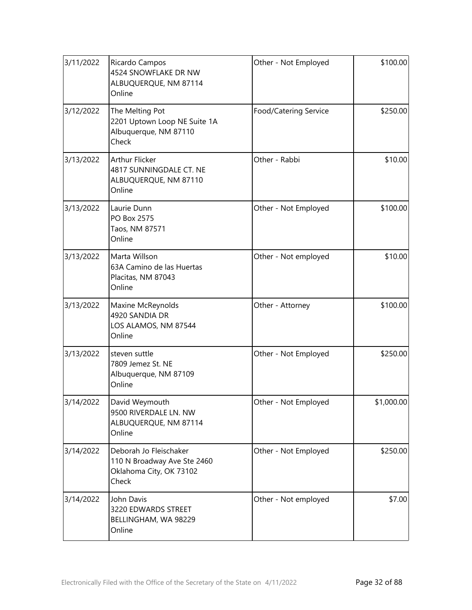| 3/11/2022 | Ricardo Campos<br>4524 SNOWFLAKE DR NW<br>ALBUQUERQUE, NM 87114<br>Online                 | Other - Not Employed  | \$100.00   |
|-----------|-------------------------------------------------------------------------------------------|-----------------------|------------|
| 3/12/2022 | The Melting Pot<br>2201 Uptown Loop NE Suite 1A<br>Albuquerque, NM 87110<br>Check         | Food/Catering Service | \$250.00   |
| 3/13/2022 | <b>Arthur Flicker</b><br>4817 SUNNINGDALE CT. NE<br>ALBUQUERQUE, NM 87110<br>Online       | Other - Rabbi         | \$10.00    |
| 3/13/2022 | Laurie Dunn<br>PO Box 2575<br>Taos, NM 87571<br>Online                                    | Other - Not Employed  | \$100.00   |
| 3/13/2022 | Marta Willson<br>63A Camino de las Huertas<br>Placitas, NM 87043<br>Online                | Other - Not employed  | \$10.00    |
| 3/13/2022 | Maxine McReynolds<br>4920 SANDIA DR<br>LOS ALAMOS, NM 87544<br>Online                     | Other - Attorney      | \$100.00   |
| 3/13/2022 | steven suttle<br>7809 Jemez St. NE<br>Albuquerque, NM 87109<br>Online                     | Other - Not Employed  | \$250.00   |
| 3/14/2022 | David Weymouth<br>9500 RIVERDALE LN. NW<br>ALBUQUERQUE, NM 87114<br>Online                | Other - Not Employed  | \$1,000.00 |
| 3/14/2022 | Deborah Jo Fleischaker<br>110 N Broadway Ave Ste 2460<br>Oklahoma City, OK 73102<br>Check | Other - Not Employed  | \$250.00   |
| 3/14/2022 | John Davis<br>3220 EDWARDS STREET<br>BELLINGHAM, WA 98229<br>Online                       | Other - Not employed  | \$7.00     |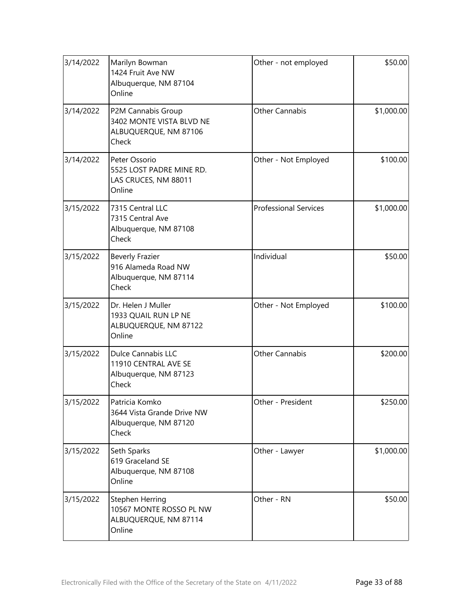| 3/14/2022 | Marilyn Bowman<br>1424 Fruit Ave NW<br>Albuquerque, NM 87104<br>Online              | Other - not employed         | \$50.00    |
|-----------|-------------------------------------------------------------------------------------|------------------------------|------------|
| 3/14/2022 | P2M Cannabis Group<br>3402 MONTE VISTA BLVD NE<br>ALBUQUERQUE, NM 87106<br>Check    | <b>Other Cannabis</b>        | \$1,000.00 |
| 3/14/2022 | Peter Ossorio<br>5525 LOST PADRE MINE RD.<br>LAS CRUCES, NM 88011<br>Online         | Other - Not Employed         | \$100.00   |
| 3/15/2022 | 7315 Central LLC<br>7315 Central Ave<br>Albuquerque, NM 87108<br>Check              | <b>Professional Services</b> | \$1,000.00 |
| 3/15/2022 | <b>Beverly Frazier</b><br>916 Alameda Road NW<br>Albuquerque, NM 87114<br>Check     | Individual                   | \$50.00    |
| 3/15/2022 | Dr. Helen J Muller<br>1933 QUAIL RUN LP NE<br>ALBUQUERQUE, NM 87122<br>Online       | Other - Not Employed         | \$100.00   |
| 3/15/2022 | <b>Dulce Cannabis LLC</b><br>11910 CENTRAL AVE SE<br>Albuquerque, NM 87123<br>Check | <b>Other Cannabis</b>        | \$200.00   |
| 3/15/2022 | Patricia Komko<br>3644 Vista Grande Drive NW<br>Albuquerque, NM 87120<br>Check      | Other - President            | \$250.00   |
| 3/15/2022 | Seth Sparks<br>619 Graceland SE<br>Albuquerque, NM 87108<br>Online                  | Other - Lawyer               | \$1,000.00 |
| 3/15/2022 | Stephen Herring<br>10567 MONTE ROSSO PL NW<br>ALBUQUERQUE, NM 87114<br>Online       | Other - RN                   | \$50.00    |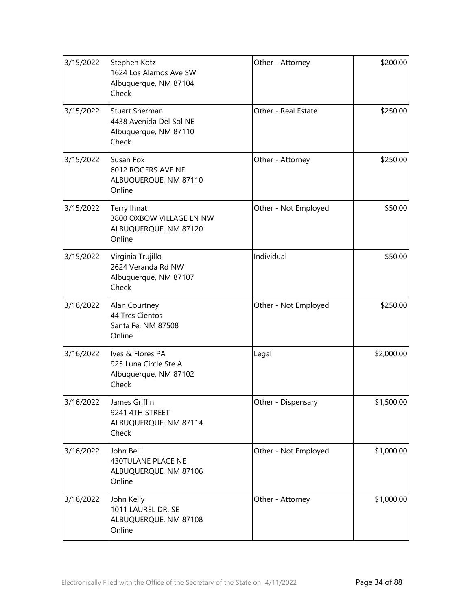| 3/15/2022 | Stephen Kotz<br>1624 Los Alamos Ave SW<br>Albuquerque, NM 87104<br>Check           | Other - Attorney     | \$200.00   |
|-----------|------------------------------------------------------------------------------------|----------------------|------------|
| 3/15/2022 | <b>Stuart Sherman</b><br>4438 Avenida Del Sol NE<br>Albuquerque, NM 87110<br>Check | Other - Real Estate  | \$250.00   |
| 3/15/2022 | Susan Fox<br>6012 ROGERS AVE NE<br>ALBUQUERQUE, NM 87110<br>Online                 | Other - Attorney     | \$250.00   |
| 3/15/2022 | Terry Ihnat<br>3800 OXBOW VILLAGE LN NW<br>ALBUQUERQUE, NM 87120<br>Online         | Other - Not Employed | \$50.00    |
| 3/15/2022 | Virginia Trujillo<br>2624 Veranda Rd NW<br>Albuquerque, NM 87107<br>Check          | Individual           | \$50.00    |
| 3/16/2022 | Alan Courtney<br>44 Tres Cientos<br>Santa Fe, NM 87508<br>Online                   | Other - Not Employed | \$250.00   |
| 3/16/2022 | Ives & Flores PA<br>925 Luna Circle Ste A<br>Albuquerque, NM 87102<br>Check        | Legal                | \$2,000.00 |
| 3/16/2022 | James Griffin<br>9241 4TH STREET<br>ALBUQUERQUE, NM 87114<br>Check                 | Other - Dispensary   | \$1,500.00 |
| 3/16/2022 | John Bell<br>430TULANE PLACE NE<br>ALBUQUERQUE, NM 87106<br>Online                 | Other - Not Employed | \$1,000.00 |
| 3/16/2022 | John Kelly<br>1011 LAUREL DR. SE<br>ALBUQUERQUE, NM 87108<br>Online                | Other - Attorney     | \$1,000.00 |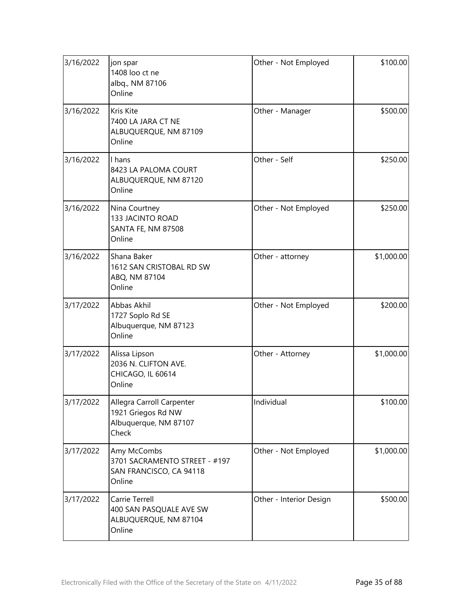| 3/16/2022 | jon spar<br>1408 loo ct ne<br>albq., NM 87106<br>Online                           | Other - Not Employed    | \$100.00   |
|-----------|-----------------------------------------------------------------------------------|-------------------------|------------|
| 3/16/2022 | Kris Kite<br>7400 LA JARA CT NE<br>ALBUQUERQUE, NM 87109<br>Online                | Other - Manager         | \$500.00   |
| 3/16/2022 | I hans<br>8423 LA PALOMA COURT<br>ALBUQUERQUE, NM 87120<br>Online                 | Other - Self            | \$250.00   |
| 3/16/2022 | Nina Courtney<br>133 JACINTO ROAD<br>SANTA FE, NM 87508<br>Online                 | Other - Not Employed    | \$250.00   |
| 3/16/2022 | Shana Baker<br>1612 SAN CRISTOBAL RD SW<br>ABQ, NM 87104<br>Online                | Other - attorney        | \$1,000.00 |
| 3/17/2022 | Abbas Akhil<br>1727 Soplo Rd SE<br>Albuquerque, NM 87123<br>Online                | Other - Not Employed    | \$200.00   |
| 3/17/2022 | Alissa Lipson<br>2036 N. CLIFTON AVE.<br>CHICAGO, IL 60614<br>Online              | Other - Attorney        | \$1,000.00 |
| 3/17/2022 | Allegra Carroll Carpenter<br>1921 Griegos Rd NW<br>Albuquerque, NM 87107<br>Check | Individual              | \$100.00]  |
| 3/17/2022 | Amy McCombs<br>3701 SACRAMENTO STREET - #197<br>SAN FRANCISCO, CA 94118<br>Online | Other - Not Employed    | \$1,000.00 |
| 3/17/2022 | Carrie Terrell<br>400 SAN PASQUALE AVE SW<br>ALBUQUERQUE, NM 87104<br>Online      | Other - Interior Design | \$500.00   |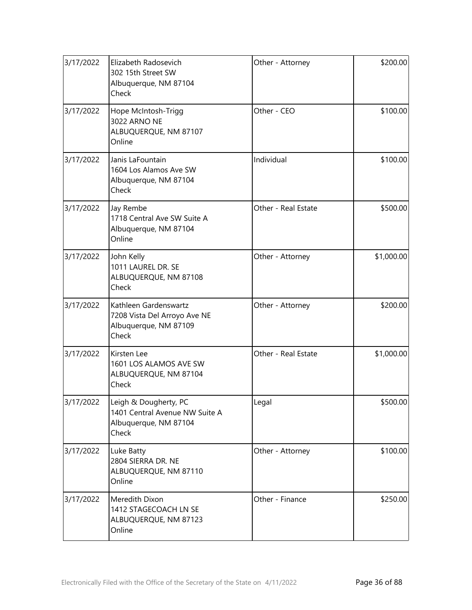| 3/17/2022 | Elizabeth Radosevich<br>302 15th Street SW<br>Albuquerque, NM 87104<br>Check              | Other - Attorney    | \$200.00   |
|-----------|-------------------------------------------------------------------------------------------|---------------------|------------|
| 3/17/2022 | Hope McIntosh-Trigg<br>3022 ARNO NE<br>ALBUQUERQUE, NM 87107<br>Online                    | Other - CEO         | \$100.00   |
| 3/17/2022 | Janis LaFountain<br>1604 Los Alamos Ave SW<br>Albuquerque, NM 87104<br>Check              | Individual          | \$100.00   |
| 3/17/2022 | Jay Rembe<br>1718 Central Ave SW Suite A<br>Albuquerque, NM 87104<br>Online               | Other - Real Estate | \$500.00   |
| 3/17/2022 | John Kelly<br>1011 LAUREL DR. SE<br>ALBUQUERQUE, NM 87108<br>Check                        | Other - Attorney    | \$1,000.00 |
| 3/17/2022 | Kathleen Gardenswartz<br>7208 Vista Del Arroyo Ave NE<br>Albuquerque, NM 87109<br>Check   | Other - Attorney    | \$200.00   |
| 3/17/2022 | Kirsten Lee<br>1601 LOS ALAMOS AVE SW<br>ALBUQUERQUE, NM 87104<br>Check                   | Other - Real Estate | \$1,000.00 |
| 3/17/2022 | Leigh & Dougherty, PC<br>1401 Central Avenue NW Suite A<br>Albuquerque, NM 87104<br>Check | Legal               | \$500.00   |
| 3/17/2022 | Luke Batty<br>2804 SIERRA DR. NE<br>ALBUQUERQUE, NM 87110<br>Online                       | Other - Attorney    | \$100.00   |
| 3/17/2022 | Meredith Dixon<br>1412 STAGECOACH LN SE<br>ALBUQUERQUE, NM 87123<br>Online                | Other - Finance     | \$250.00   |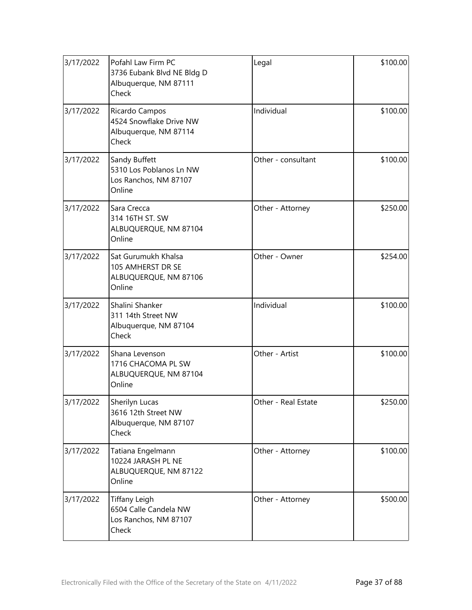| 3/17/2022 | Pofahl Law Firm PC<br>3736 Eubank Blvd NE Bldg D<br>Albuquerque, NM 87111<br>Check | Legal               | \$100.00 |
|-----------|------------------------------------------------------------------------------------|---------------------|----------|
| 3/17/2022 | Ricardo Campos<br>4524 Snowflake Drive NW<br>Albuquerque, NM 87114<br>Check        | Individual          | \$100.00 |
| 3/17/2022 | Sandy Buffett<br>5310 Los Poblanos Ln NW<br>Los Ranchos, NM 87107<br>Online        | Other - consultant  | \$100.00 |
| 3/17/2022 | Sara Crecca<br>314 16TH ST. SW<br>ALBUQUERQUE, NM 87104<br>Online                  | Other - Attorney    | \$250.00 |
| 3/17/2022 | Sat Gurumukh Khalsa<br>105 AMHERST DR SE<br>ALBUQUERQUE, NM 87106<br>Online        | Other - Owner       | \$254.00 |
| 3/17/2022 | Shalini Shanker<br>311 14th Street NW<br>Albuquerque, NM 87104<br>Check            | Individual          | \$100.00 |
| 3/17/2022 | Shana Levenson<br>1716 CHACOMA PL SW<br>ALBUQUERQUE, NM 87104<br>Online            | Other - Artist      | \$100.00 |
| 3/17/2022 | Sherilyn Lucas<br>3616 12th Street NW<br>Albuquerque, NM 87107<br>Check            | Other - Real Estate | \$250.00 |
| 3/17/2022 | Tatiana Engelmann<br>10224 JARASH PL NE<br>ALBUQUERQUE, NM 87122<br>Online         | Other - Attorney    | \$100.00 |
| 3/17/2022 | <b>Tiffany Leigh</b><br>6504 Calle Candela NW<br>Los Ranchos, NM 87107<br>Check    | Other - Attorney    | \$500.00 |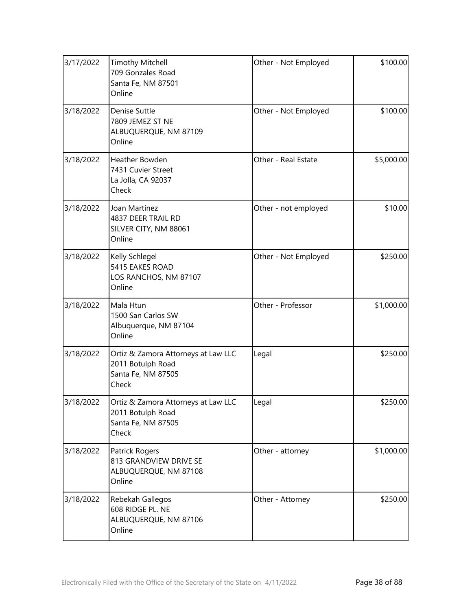| 3/17/2022 | <b>Timothy Mitchell</b><br>709 Gonzales Road<br>Santa Fe, NM 87501<br>Online            | Other - Not Employed | \$100.00   |
|-----------|-----------------------------------------------------------------------------------------|----------------------|------------|
| 3/18/2022 | Denise Suttle<br>7809 JEMEZ ST NE<br>ALBUQUERQUE, NM 87109<br>Online                    | Other - Not Employed | \$100.00   |
| 3/18/2022 | Heather Bowden<br>7431 Cuvier Street<br>La Jolla, CA 92037<br>Check                     | Other - Real Estate  | \$5,000.00 |
| 3/18/2022 | Joan Martinez<br>4837 DEER TRAIL RD<br>SILVER CITY, NM 88061<br>Online                  | Other - not employed | \$10.00    |
| 3/18/2022 | Kelly Schlegel<br>5415 EAKES ROAD<br>LOS RANCHOS, NM 87107<br>Online                    | Other - Not Employed | \$250.00   |
| 3/18/2022 | Mala Htun<br>1500 San Carlos SW<br>Albuquerque, NM 87104<br>Online                      | Other - Professor    | \$1,000.00 |
| 3/18/2022 | Ortiz & Zamora Attorneys at Law LLC<br>2011 Botulph Road<br>Santa Fe, NM 87505<br>Check | Legal                | \$250.00   |
| 3/18/2022 | Ortiz & Zamora Attorneys at Law LLC<br>2011 Botulph Road<br>Santa Fe, NM 87505<br>Check | Legal                | \$250.00   |
| 3/18/2022 | Patrick Rogers<br>813 GRANDVIEW DRIVE SE<br>ALBUQUERQUE, NM 87108<br>Online             | Other - attorney     | \$1,000.00 |
| 3/18/2022 | Rebekah Gallegos<br>608 RIDGE PL. NE<br>ALBUQUERQUE, NM 87106<br>Online                 | Other - Attorney     | \$250.00   |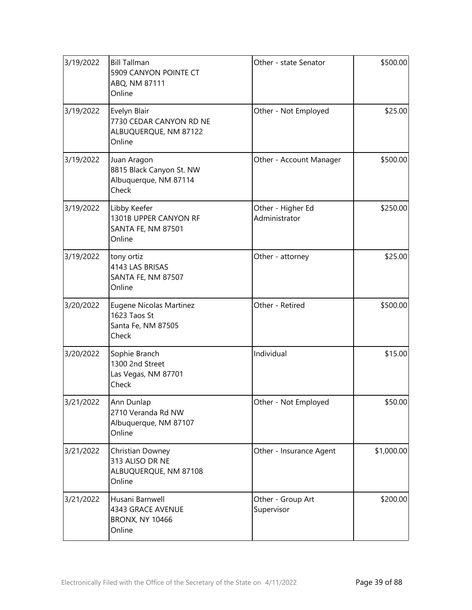| 3/19/2022 | <b>Bill Tallman</b><br>5909 CANYON POINTE CT<br>ABQ, NM 87111<br>Online    | Other - state Senator              | \$500.00   |
|-----------|----------------------------------------------------------------------------|------------------------------------|------------|
| 3/19/2022 | Evelyn Blair<br>7730 CEDAR CANYON RD NE<br>ALBUQUERQUE, NM 87122<br>Online | Other - Not Employed               | \$25.00    |
| 3/19/2022 | Juan Aragon<br>8815 Black Canyon St. NW<br>Albuquerque, NM 87114<br>Check  | Other - Account Manager            | \$500.00   |
| 3/19/2022 | Libby Keefer<br>1301B UPPER CANYON RF<br>SANTA FE, NM 87501<br>Online      | Other - Higher Ed<br>Administrator | \$250.00   |
| 3/19/2022 | tony ortiz<br>4143 LAS BRISAS<br>SANTA FE, NM 87507<br>Online              | Other - attorney                   | \$25.00    |
| 3/20/2022 | Eugene Nicolas Martinez<br>1623 Taos St<br>Santa Fe, NM 87505<br>Check     | Other - Retired                    | \$500.00   |
| 3/20/2022 | Sophie Branch<br>1300 2nd Street<br>Las Vegas, NM 87701<br>Check           | Individual                         | \$15.00    |
| 3/21/2022 | Ann Dunlap<br>2710 Veranda Rd NW<br>Albuquerque, NM 87107<br>Online        | Other - Not Employed               | \$50.00    |
| 3/21/2022 | Christian Downey<br>313 ALISO DR NE<br>ALBUQUERQUE, NM 87108<br>Online     | Other - Insurance Agent            | \$1,000.00 |
| 3/21/2022 | Husani Barnwell<br>4343 GRACE AVENUE<br><b>BRONX, NY 10466</b><br>Online   | Other - Group Art<br>Supervisor    | \$200.00   |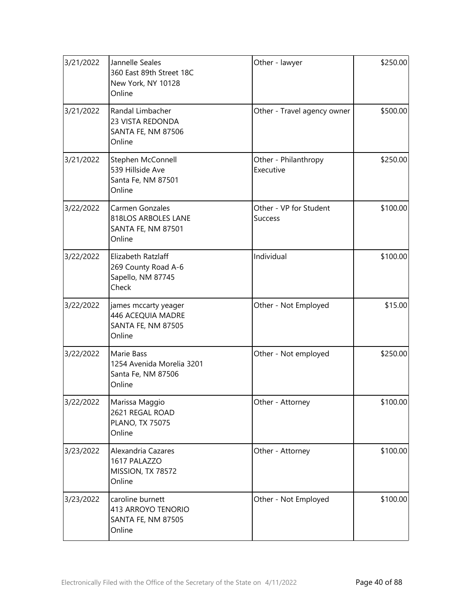| 3/21/2022 | Jannelle Seales<br>360 East 89th Street 18C<br>New York, NY 10128<br>Online   | Other - lawyer                           | \$250.00 |
|-----------|-------------------------------------------------------------------------------|------------------------------------------|----------|
| 3/21/2022 | Randal Limbacher<br>23 VISTA REDONDA<br>SANTA FE, NM 87506<br>Online          | Other - Travel agency owner              | \$500.00 |
| 3/21/2022 | Stephen McConnell<br>539 Hillside Ave<br>Santa Fe, NM 87501<br>Online         | Other - Philanthropy<br>Executive        | \$250.00 |
| 3/22/2022 | Carmen Gonzales<br>818LOS ARBOLES LANE<br><b>SANTA FE, NM 87501</b><br>Online | Other - VP for Student<br><b>Success</b> | \$100.00 |
| 3/22/2022 | Elizabeth Ratzlaff<br>269 County Road A-6<br>Sapello, NM 87745<br>Check       | Individual                               | \$100.00 |
| 3/22/2022 | james mccarty yeager<br>446 ACEQUIA MADRE<br>SANTA FE, NM 87505<br>Online     | Other - Not Employed                     | \$15.00  |
| 3/22/2022 | Marie Bass<br>1254 Avenida Morelia 3201<br>Santa Fe, NM 87506<br>Online       | Other - Not employed                     | \$250.00 |
| 3/22/2022 | Marissa Maggio<br>2621 REGAL ROAD<br>PLANO, TX 75075<br>Online                | Other - Attorney                         | \$100.00 |
| 3/23/2022 | Alexandria Cazares<br>1617 PALAZZO<br>MISSION, TX 78572<br>Online             | Other - Attorney                         | \$100.00 |
| 3/23/2022 | caroline burnett<br>413 ARROYO TENORIO<br><b>SANTA FE, NM 87505</b><br>Online | Other - Not Employed                     | \$100.00 |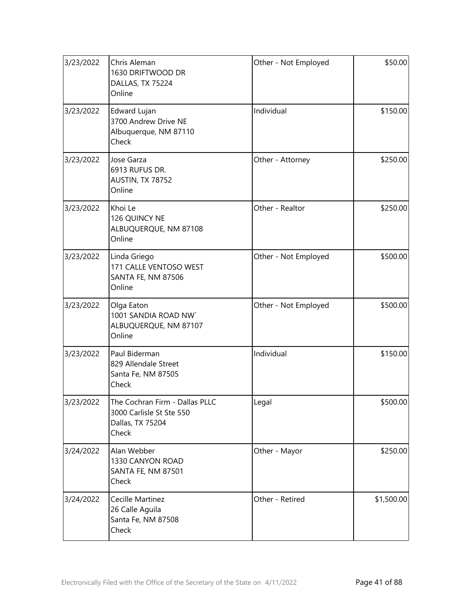| 3/23/2022 | Chris Aleman<br>1630 DRIFTWOOD DR<br>DALLAS, TX 75224<br>Online                         | Other - Not Employed | \$50.00    |
|-----------|-----------------------------------------------------------------------------------------|----------------------|------------|
| 3/23/2022 | Edward Lujan<br>3700 Andrew Drive NE<br>Albuquerque, NM 87110<br>Check                  | Individual           | \$150.00   |
| 3/23/2022 | Jose Garza<br>6913 RUFUS DR.<br>AUSTIN, TX 78752<br>Online                              | Other - Attorney     | \$250.00   |
| 3/23/2022 | Khoi Le<br>126 QUINCY NE<br>ALBUQUERQUE, NM 87108<br>Online                             | Other - Realtor      | \$250.00   |
| 3/23/2022 | Linda Griego<br>171 CALLE VENTOSO WEST<br>SANTA FE, NM 87506<br>Online                  | Other - Not Employed | \$500.00   |
| 3/23/2022 | Olga Eaton<br>1001 SANDIA ROAD NW<br>ALBUQUERQUE, NM 87107<br>Online                    | Other - Not Employed | \$500.00   |
| 3/23/2022 | Paul Biderman<br>829 Allendale Street<br>Santa Fe, NM 87505<br>Check                    | Individual           | \$150.00   |
| 3/23/2022 | The Cochran Firm - Dallas PLLC<br>3000 Carlisle St Ste 550<br>Dallas, TX 75204<br>Check | Legal                | \$500.00   |
| 3/24/2022 | Alan Webber<br>1330 CANYON ROAD<br>SANTA FE, NM 87501<br>Check                          | Other - Mayor        | \$250.00   |
| 3/24/2022 | Cecille Martinez<br>26 Calle Aguila<br>Santa Fe, NM 87508<br>Check                      | Other - Retired      | \$1,500.00 |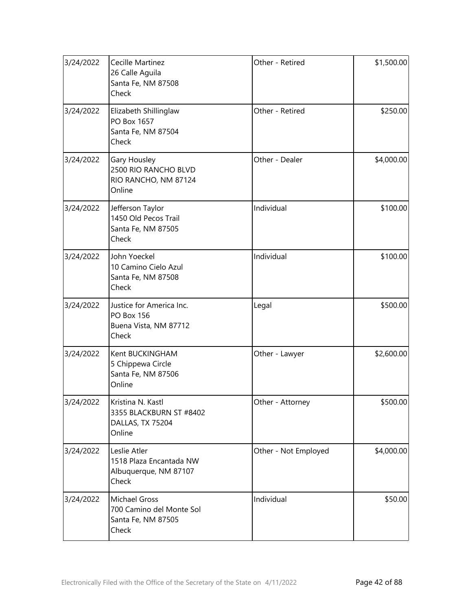| 3/24/2022 | Cecille Martinez<br>26 Calle Aguila<br>Santa Fe, NM 87508<br>Check              | Other - Retired      | \$1,500.00 |
|-----------|---------------------------------------------------------------------------------|----------------------|------------|
| 3/24/2022 | Elizabeth Shillinglaw<br>PO Box 1657<br>Santa Fe, NM 87504<br>Check             | Other - Retired      | \$250.00   |
| 3/24/2022 | Gary Housley<br>2500 RIO RANCHO BLVD<br>RIO RANCHO, NM 87124<br>Online          | Other - Dealer       | \$4,000.00 |
| 3/24/2022 | Jefferson Taylor<br>1450 Old Pecos Trail<br>Santa Fe, NM 87505<br>Check         | Individual           | \$100.00   |
| 3/24/2022 | John Yoeckel<br>10 Camino Cielo Azul<br>Santa Fe, NM 87508<br>Check             | Individual           | \$100.00   |
| 3/24/2022 | Justice for America Inc.<br><b>PO Box 156</b><br>Buena Vista, NM 87712<br>Check | Legal                | \$500.00   |
| 3/24/2022 | Kent BUCKINGHAM<br>5 Chippewa Circle<br>Santa Fe, NM 87506<br>Online            | Other - Lawyer       | \$2,600.00 |
| 3/24/2022 | Kristina N. Kastl<br>3355 BLACKBURN ST #8402<br>DALLAS, TX 75204<br>Online      | Other - Attorney     | \$500.00   |
| 3/24/2022 | Leslie Atler<br>1518 Plaza Encantada NW<br>Albuquerque, NM 87107<br>Check       | Other - Not Employed | \$4,000.00 |
| 3/24/2022 | <b>Michael Gross</b><br>700 Camino del Monte Sol<br>Santa Fe, NM 87505<br>Check | Individual           | \$50.00    |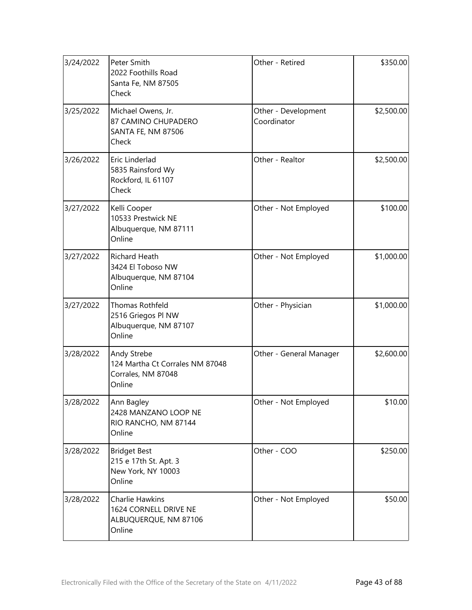| 3/24/2022 | Peter Smith<br>2022 Foothills Road<br>Santa Fe, NM 87505<br>Check               | Other - Retired                    | \$350.00   |
|-----------|---------------------------------------------------------------------------------|------------------------------------|------------|
| 3/25/2022 | Michael Owens, Jr.<br>87 CAMINO CHUPADERO<br><b>SANTA FE, NM 87506</b><br>Check | Other - Development<br>Coordinator | \$2,500.00 |
| 3/26/2022 | Eric Linderlad<br>5835 Rainsford Wy<br>Rockford, IL 61107<br>Check              | Other - Realtor                    | \$2,500.00 |
| 3/27/2022 | Kelli Cooper<br>10533 Prestwick NE<br>Albuquerque, NM 87111<br>Online           | Other - Not Employed               | \$100.00   |
| 3/27/2022 | <b>Richard Heath</b><br>3424 El Toboso NW<br>Albuquerque, NM 87104<br>Online    | Other - Not Employed               | \$1,000.00 |
| 3/27/2022 | Thomas Rothfeld<br>2516 Griegos PI NW<br>Albuquerque, NM 87107<br>Online        | Other - Physician                  | \$1,000.00 |
| 3/28/2022 | Andy Strebe<br>124 Martha Ct Corrales NM 87048<br>Corrales, NM 87048<br>Online  | Other - General Manager            | \$2,600.00 |
| 3/28/2022 | Ann Bagley<br>2428 MANZANO LOOP NE<br>RIO RANCHO, NM 87144<br>Online            | Other - Not Employed               | \$10.00    |
| 3/28/2022 | <b>Bridget Best</b><br>215 e 17th St. Apt. 3<br>New York, NY 10003<br>Online    | Other - COO                        | \$250.00   |
| 3/28/2022 | Charlie Hawkins<br>1624 CORNELL DRIVE NE<br>ALBUQUERQUE, NM 87106<br>Online     | Other - Not Employed               | \$50.00    |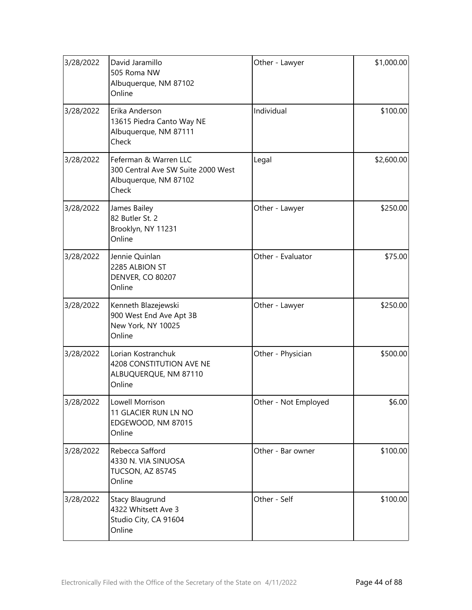| 3/28/2022 | David Jaramillo<br>505 Roma NW<br>Albuquerque, NM 87102<br>Online                             | Other - Lawyer       | \$1,000.00 |
|-----------|-----------------------------------------------------------------------------------------------|----------------------|------------|
| 3/28/2022 | Erika Anderson<br>13615 Piedra Canto Way NE<br>Albuquerque, NM 87111<br>Check                 | Individual           | \$100.00   |
| 3/28/2022 | Feferman & Warren LLC<br>300 Central Ave SW Suite 2000 West<br>Albuquerque, NM 87102<br>Check | Legal                | \$2,600.00 |
| 3/28/2022 | James Bailey<br>82 Butler St. 2<br>Brooklyn, NY 11231<br>Online                               | Other - Lawyer       | \$250.00   |
| 3/28/2022 | Jennie Quinlan<br>2285 ALBION ST<br><b>DENVER, CO 80207</b><br>Online                         | Other - Evaluator    | \$75.00    |
| 3/28/2022 | Kenneth Blazejewski<br>900 West End Ave Apt 3B<br>New York, NY 10025<br>Online                | Other - Lawyer       | \$250.00   |
| 3/28/2022 | Lorian Kostranchuk<br>4208 CONSTITUTION AVE NE<br>ALBUQUERQUE, NM 87110<br>Online             | Other - Physician    | \$500.00   |
| 3/28/2022 | Lowell Morrison<br>11 GLACIER RUN LN NO<br>EDGEWOOD, NM 87015<br>Online                       | Other - Not Employed | \$6.00     |
| 3/28/2022 | Rebecca Safford<br>4330 N. VIA SINUOSA<br>TUCSON, AZ 85745<br>Online                          | Other - Bar owner    | \$100.00   |
| 3/28/2022 | Stacy Blaugrund<br>4322 Whitsett Ave 3<br>Studio City, CA 91604<br>Online                     | Other - Self         | \$100.00   |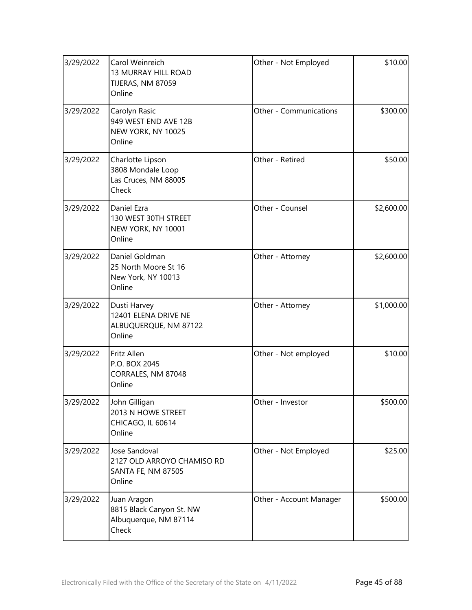| 3/29/2022 | Carol Weinreich<br>13 MURRAY HILL ROAD<br>TIJERAS, NM 87059<br>Online              | Other - Not Employed    | \$10.00    |
|-----------|------------------------------------------------------------------------------------|-------------------------|------------|
| 3/29/2022 | Carolyn Rasic<br>949 WEST END AVE 12B<br>NEW YORK, NY 10025<br>Online              | Other - Communications  | \$300.00   |
| 3/29/2022 | Charlotte Lipson<br>3808 Mondale Loop<br>Las Cruces, NM 88005<br>Check             | Other - Retired         | \$50.00    |
| 3/29/2022 | Daniel Ezra<br>130 WEST 30TH STREET<br>NEW YORK, NY 10001<br>Online                | Other - Counsel         | \$2,600.00 |
| 3/29/2022 | Daniel Goldman<br>25 North Moore St 16<br>New York, NY 10013<br>Online             | Other - Attorney        | \$2,600.00 |
| 3/29/2022 | Dusti Harvey<br>12401 ELENA DRIVE NE<br>ALBUQUERQUE, NM 87122<br>Online            | Other - Attorney        | \$1,000.00 |
| 3/29/2022 | Fritz Allen<br>P.O. BOX 2045<br>CORRALES, NM 87048<br>Online                       | Other - Not employed    | \$10.00    |
| 3/29/2022 | John Gilligan<br>2013 N HOWE STREET<br>CHICAGO, IL 60614<br>Online                 | Other - Investor        | \$500.00   |
| 3/29/2022 | Jose Sandoval<br>2127 OLD ARROYO CHAMISO RD<br><b>SANTA FE, NM 87505</b><br>Online | Other - Not Employed    | \$25.00    |
| 3/29/2022 | Juan Aragon<br>8815 Black Canyon St. NW<br>Albuquerque, NM 87114<br>Check          | Other - Account Manager | \$500.00   |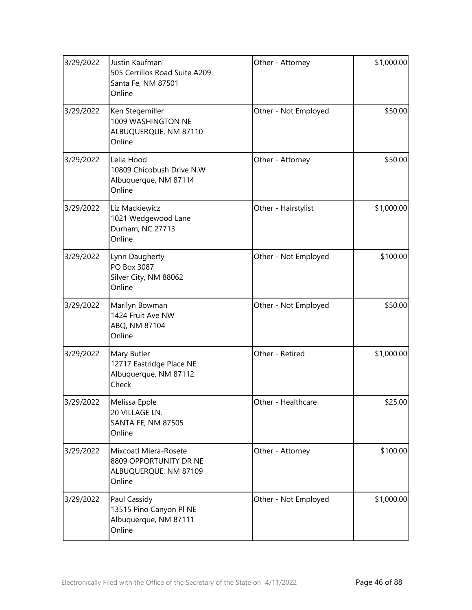| 3/29/2022 | Justin Kaufman<br>505 Cerrillos Road Suite A209<br>Santa Fe, NM 87501<br>Online    | Other - Attorney     | \$1,000.00 |
|-----------|------------------------------------------------------------------------------------|----------------------|------------|
| 3/29/2022 | Ken Stegemiller<br>1009 WASHINGTON NE<br>ALBUQUERQUE, NM 87110<br>Online           | Other - Not Employed | \$50.00    |
| 3/29/2022 | Lelia Hood<br>10809 Chicobush Drive N.W<br>Albuquerque, NM 87114<br>Online         | Other - Attorney     | \$50.00    |
| 3/29/2022 | Liz Mackiewicz<br>1021 Wedgewood Lane<br>Durham, NC 27713<br>Online                | Other - Hairstylist  | \$1,000.00 |
| 3/29/2022 | Lynn Daugherty<br>PO Box 3087<br>Silver City, NM 88062<br>Online                   | Other - Not Employed | \$100.00   |
| 3/29/2022 | Marilyn Bowman<br>1424 Fruit Ave NW<br>ABQ, NM 87104<br>Online                     | Other - Not Employed | \$50.00    |
| 3/29/2022 | Mary Butler<br>12717 Eastridge Place NE<br>Albuquerque, NM 87112<br>Check          | Other - Retired      | \$1,000.00 |
| 3/29/2022 | Melissa Epple<br>20 VILLAGE LN.<br><b>SANTA FE, NM 87505</b><br>Online             | Other - Healthcare   | \$25.00    |
| 3/29/2022 | Mixcoatl Miera-Rosete<br>8809 OPPORTUNITY DR NE<br>ALBUQUERQUE, NM 87109<br>Online | Other - Attorney     | \$100.00   |
| 3/29/2022 | Paul Cassidy<br>13515 Pino Canyon Pl NE<br>Albuquerque, NM 87111<br>Online         | Other - Not Employed | \$1,000.00 |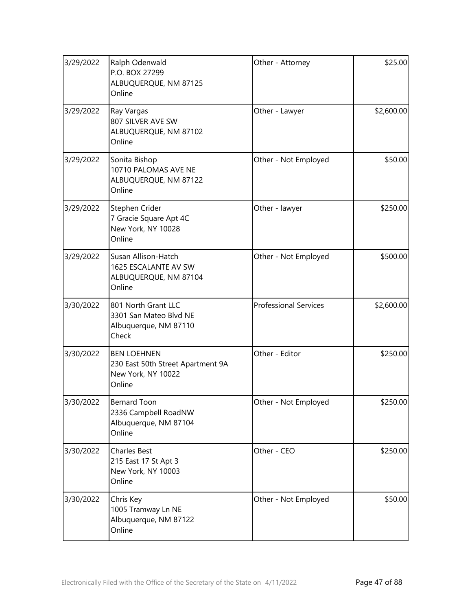| 3/29/2022 | Ralph Odenwald<br>P.O. BOX 27299<br>ALBUQUERQUE, NM 87125<br>Online                     | Other - Attorney             | \$25.00    |
|-----------|-----------------------------------------------------------------------------------------|------------------------------|------------|
| 3/29/2022 | Ray Vargas<br>807 SILVER AVE SW<br>ALBUQUERQUE, NM 87102<br>Online                      | Other - Lawyer               | \$2,600.00 |
| 3/29/2022 | Sonita Bishop<br>10710 PALOMAS AVE NE<br>ALBUQUERQUE, NM 87122<br>Online                | Other - Not Employed         | \$50.00    |
| 3/29/2022 | Stephen Crider<br>7 Gracie Square Apt 4C<br>New York, NY 10028<br>Online                | Other - lawyer               | \$250.00   |
| 3/29/2022 | Susan Allison-Hatch<br>1625 ESCALANTE AV SW<br>ALBUQUERQUE, NM 87104<br>Online          | Other - Not Employed         | \$500.00   |
| 3/30/2022 | 801 North Grant LLC<br>3301 San Mateo Blvd NE<br>Albuquerque, NM 87110<br>Check         | <b>Professional Services</b> | \$2,600.00 |
| 3/30/2022 | <b>BEN LOEHNEN</b><br>230 East 50th Street Apartment 9A<br>New York, NY 10022<br>Online | Other - Editor               | \$250.00   |
| 3/30/2022 | Bernard Toon<br>2336 Campbell RoadNW<br>Albuquerque, NM 87104<br>Online                 | Other - Not Employed         | \$250.00   |
| 3/30/2022 | <b>Charles Best</b><br>215 East 17 St Apt 3<br>New York, NY 10003<br>Online             | Other - CEO                  | \$250.00   |
| 3/30/2022 | Chris Key<br>1005 Tramway Ln NE<br>Albuquerque, NM 87122<br>Online                      | Other - Not Employed         | \$50.00    |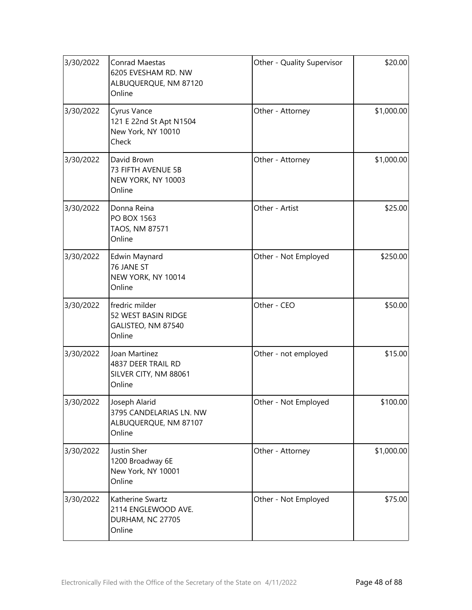| 3/30/2022 | Conrad Maestas<br>6205 EVESHAM RD. NW<br>ALBUQUERQUE, NM 87120<br>Online    | Other - Quality Supervisor | \$20.00    |
|-----------|-----------------------------------------------------------------------------|----------------------------|------------|
| 3/30/2022 | Cyrus Vance<br>121 E 22nd St Apt N1504<br>New York, NY 10010<br>Check       | Other - Attorney           | \$1,000.00 |
| 3/30/2022 | David Brown<br>73 FIFTH AVENUE 5B<br>NEW YORK, NY 10003<br>Online           | Other - Attorney           | \$1,000.00 |
| 3/30/2022 | Donna Reina<br>PO BOX 1563<br>TAOS, NM 87571<br>Online                      | Other - Artist             | \$25.00    |
| 3/30/2022 | Edwin Maynard<br>76 JANE ST<br>NEW YORK, NY 10014<br>Online                 | Other - Not Employed       | \$250.00   |
| 3/30/2022 | fredric milder<br>52 WEST BASIN RIDGE<br>GALISTEO, NM 87540<br>Online       | Other - CEO                | \$50.00    |
| 3/30/2022 | Joan Martinez<br>4837 DEER TRAIL RD<br>SILVER CITY, NM 88061<br>Online      | Other - not employed       | \$15.00    |
| 3/30/2022 | Joseph Alarid<br>3795 CANDELARIAS LN. NW<br>ALBUQUERQUE, NM 87107<br>Online | Other - Not Employed       | \$100.00   |
| 3/30/2022 | Justin Sher<br>1200 Broadway 6E<br>New York, NY 10001<br>Online             | Other - Attorney           | \$1,000.00 |
| 3/30/2022 | Katherine Swartz<br>2114 ENGLEWOOD AVE.<br>DURHAM, NC 27705<br>Online       | Other - Not Employed       | \$75.00    |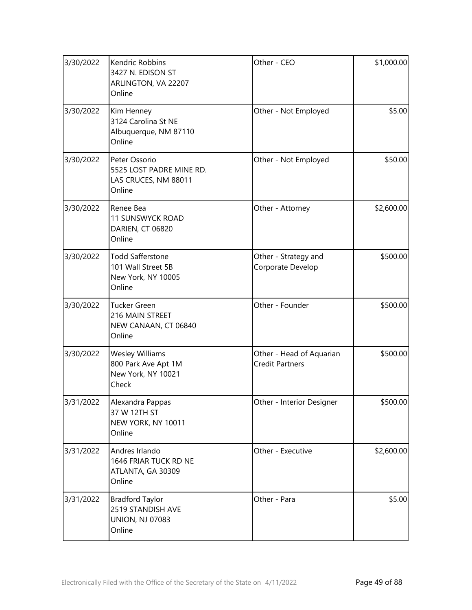| 3/30/2022 | Kendric Robbins<br>3427 N. EDISON ST<br>ARLINGTON, VA 22207<br>Online           | Other - CEO                                        | \$1,000.00 |
|-----------|---------------------------------------------------------------------------------|----------------------------------------------------|------------|
| 3/30/2022 | Kim Henney<br>3124 Carolina St NE<br>Albuquerque, NM 87110<br>Online            | Other - Not Employed                               | \$5.00     |
| 3/30/2022 | Peter Ossorio<br>5525 LOST PADRE MINE RD.<br>LAS CRUCES, NM 88011<br>Online     | Other - Not Employed                               | \$50.00    |
| 3/30/2022 | Renee Bea<br><b>11 SUNSWYCK ROAD</b><br>DARIEN, CT 06820<br>Online              | Other - Attorney                                   | \$2,600.00 |
| 3/30/2022 | <b>Todd Safferstone</b><br>101 Wall Street 5B<br>New York, NY 10005<br>Online   | Other - Strategy and<br>Corporate Develop          | \$500.00   |
| 3/30/2022 | <b>Tucker Green</b><br>216 MAIN STREET<br>NEW CANAAN, CT 06840<br>Online        | Other - Founder                                    | \$500.00   |
| 3/30/2022 | <b>Wesley Williams</b><br>800 Park Ave Apt 1M<br>New York, NY 10021<br>Check    | Other - Head of Aquarian<br><b>Credit Partners</b> | \$500.00   |
| 3/31/2022 | Alexandra Pappas<br>37 W 12TH ST<br>NEW YORK, NY 10011<br>Online                | Other - Interior Designer                          | \$500.00   |
| 3/31/2022 | Andres Irlando<br>1646 FRIAR TUCK RD NE<br>ATLANTA, GA 30309<br>Online          | Other - Executive                                  | \$2,600.00 |
| 3/31/2022 | <b>Bradford Taylor</b><br>2519 STANDISH AVE<br><b>UNION, NJ 07083</b><br>Online | Other - Para                                       | \$5.00     |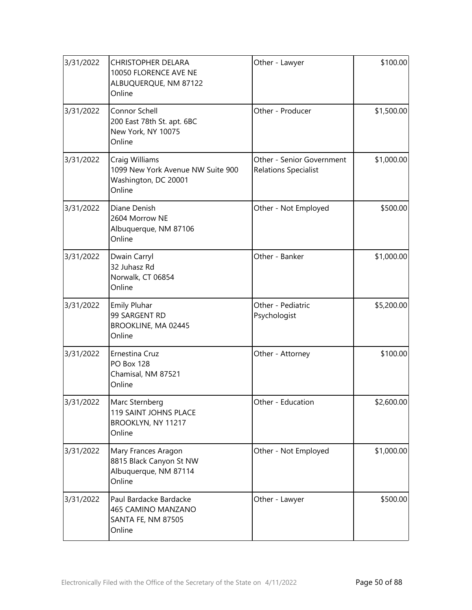| 3/31/2022 | <b>CHRISTOPHER DELARA</b><br>10050 FLORENCE AVE NE<br>ALBUQUERQUE, NM 87122<br>Online | Other - Lawyer                                           | \$100.00   |
|-----------|---------------------------------------------------------------------------------------|----------------------------------------------------------|------------|
| 3/31/2022 | Connor Schell<br>200 East 78th St. apt. 6BC<br>New York, NY 10075<br>Online           | Other - Producer                                         | \$1,500.00 |
| 3/31/2022 | Craig Williams<br>1099 New York Avenue NW Suite 900<br>Washington, DC 20001<br>Online | Other - Senior Government<br><b>Relations Specialist</b> | \$1,000.00 |
| 3/31/2022 | Diane Denish<br>2604 Morrow NE<br>Albuquerque, NM 87106<br>Online                     | Other - Not Employed                                     | \$500.00   |
| 3/31/2022 | Dwain Carryl<br>32 Juhasz Rd<br>Norwalk, CT 06854<br>Online                           | Other - Banker                                           | \$1,000.00 |
| 3/31/2022 | <b>Emily Pluhar</b><br>99 SARGENT RD<br>BROOKLINE, MA 02445<br>Online                 | Other - Pediatric<br>Psychologist                        | \$5,200.00 |
| 3/31/2022 | Ernestina Cruz<br>PO Box 128<br>Chamisal, NM 87521<br>Online                          | Other - Attorney                                         | \$100.00   |
| 3/31/2022 | Marc Sternberg<br>119 SAINT JOHNS PLACE<br>BROOKLYN, NY 11217<br>Online               | Other - Education                                        | \$2,600.00 |
| 3/31/2022 | Mary Frances Aragon<br>8815 Black Canyon St NW<br>Albuquerque, NM 87114<br>Online     | Other - Not Employed                                     | \$1,000.00 |
| 3/31/2022 | Paul Bardacke Bardacke<br>465 CAMINO MANZANO<br>SANTA FE, NM 87505<br>Online          | Other - Lawyer                                           | \$500.00   |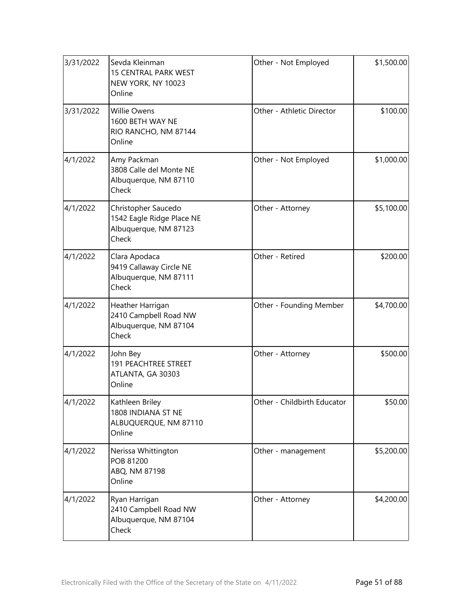| 3/31/2022 | Sevda Kleinman<br><b>15 CENTRAL PARK WEST</b><br>NEW YORK, NY 10023<br>Online      | Other - Not Employed        | \$1,500.00 |
|-----------|------------------------------------------------------------------------------------|-----------------------------|------------|
| 3/31/2022 | Willie Owens<br>1600 BETH WAY NE<br>RIO RANCHO, NM 87144<br>Online                 | Other - Athletic Director   | \$100.00   |
| 4/1/2022  | Amy Packman<br>3808 Calle del Monte NE<br>Albuquerque, NM 87110<br>Check           | Other - Not Employed        | \$1,000.00 |
| 4/1/2022  | Christopher Saucedo<br>1542 Eagle Ridge Place NE<br>Albuquerque, NM 87123<br>Check | Other - Attorney            | \$5,100.00 |
| 4/1/2022  | Clara Apodaca<br>9419 Callaway Circle NE<br>Albuquerque, NM 87111<br>Check         | Other - Retired             | \$200.00   |
| 4/1/2022  | Heather Harrigan<br>2410 Campbell Road NW<br>Albuquerque, NM 87104<br>Check        | Other - Founding Member     | \$4,700.00 |
| 4/1/2022  | John Bey<br><b>191 PEACHTREE STREET</b><br>ATLANTA, GA 30303<br>Online             | Other - Attorney            | \$500.00   |
| 4/1/2022  | Kathleen Briley<br>1808 INDIANA ST NE<br>ALBUQUERQUE, NM 87110<br>Online           | Other - Childbirth Educator | \$50.00    |
| 4/1/2022  | Nerissa Whittington<br>POB 81200<br>ABQ, NM 87198<br>Online                        | Other - management          | \$5,200.00 |
| 4/1/2022  | Ryan Harrigan<br>2410 Campbell Road NW<br>Albuquerque, NM 87104<br>Check           | Other - Attorney            | \$4,200.00 |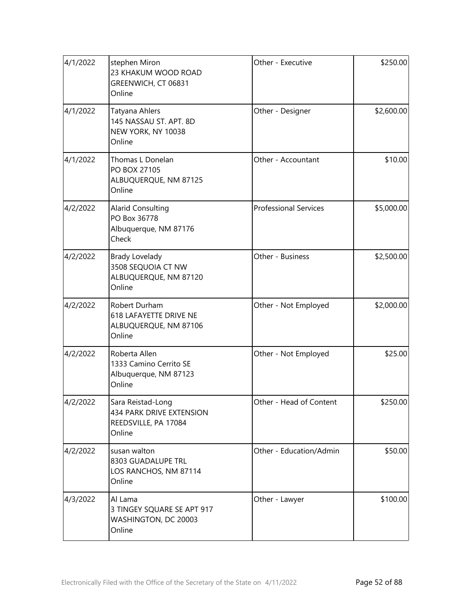| 4/1/2022 | stephen Miron<br>23 KHAKUM WOOD ROAD<br>GREENWICH, CT 06831<br>Online             | Other - Executive            | \$250.00   |
|----------|-----------------------------------------------------------------------------------|------------------------------|------------|
| 4/1/2022 | Tatyana Ahlers<br>145 NASSAU ST. APT. 8D<br>NEW YORK, NY 10038<br>Online          | Other - Designer             | \$2,600.00 |
| 4/1/2022 | Thomas L Donelan<br>PO BOX 27105<br>ALBUQUERQUE, NM 87125<br>Online               | Other - Accountant           | \$10.00    |
| 4/2/2022 | <b>Alarid Consulting</b><br>PO Box 36778<br>Albuquerque, NM 87176<br>Check        | <b>Professional Services</b> | \$5,000.00 |
| 4/2/2022 | <b>Brady Lovelady</b><br>3508 SEQUOIA CT NW<br>ALBUQUERQUE, NM 87120<br>Online    | Other - Business             | \$2,500.00 |
| 4/2/2022 | Robert Durham<br><b>618 LAFAYETTE DRIVE NE</b><br>ALBUQUERQUE, NM 87106<br>Online | Other - Not Employed         | \$2,000.00 |
| 4/2/2022 | Roberta Allen<br>1333 Camino Cerrito SE<br>Albuquerque, NM 87123<br>Online        | Other - Not Employed         | \$25.00    |
| 4/2/2022 | Sara Reistad-Long<br>434 PARK DRIVE EXTENSION<br>REEDSVILLE, PA 17084<br>Online   | Other - Head of Content      | \$250.00   |
| 4/2/2022 | susan walton<br>8303 GUADALUPE TRL<br>LOS RANCHOS, NM 87114<br>Online             | Other - Education/Admin      | \$50.00    |
| 4/3/2022 | Al Lama<br>3 TINGEY SQUARE SE APT 917<br>WASHINGTON, DC 20003<br>Online           | Other - Lawyer               | \$100.00   |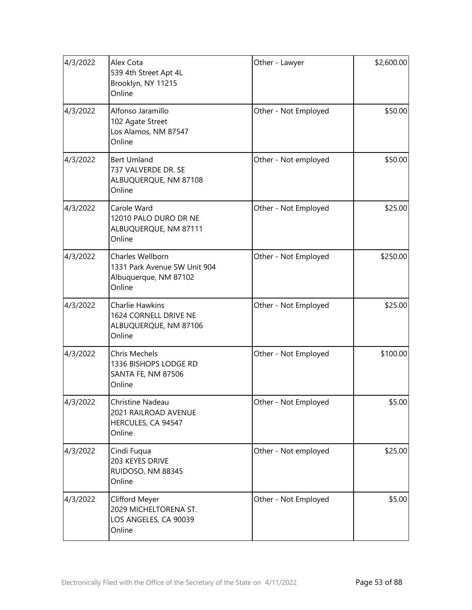| 4/3/2022 | Alex Cota<br>539 4th Street Apt 4L<br>Brooklyn, NY 11215<br>Online                  | Other - Lawyer       | \$2,600.00 |
|----------|-------------------------------------------------------------------------------------|----------------------|------------|
| 4/3/2022 | Alfonso Jaramillo<br>102 Agate Street<br>Los Alamos, NM 87547<br>Online             | Other - Not Employed | \$50.00    |
| 4/3/2022 | <b>Bert Umland</b><br>737 VALVERDE DR. SE<br>ALBUQUERQUE, NM 87108<br>Online        | Other - Not employed | \$50.00    |
| 4/3/2022 | Carole Ward<br>12010 PALO DURO DR NE<br>ALBUQUERQUE, NM 87111<br>Online             | Other - Not Employed | \$25.00    |
| 4/3/2022 | Charles Wellborn<br>1331 Park Avenue SW Unit 904<br>Albuquerque, NM 87102<br>Online | Other - Not Employed | \$250.00   |
| 4/3/2022 | Charlie Hawkins<br>1624 CORNELL DRIVE NE<br>ALBUQUERQUE, NM 87106<br>Online         | Other - Not Employed | \$25.00    |
| 4/3/2022 | <b>Chris Mechels</b><br>1336 BISHOPS LODGE RD<br>SANTA FE, NM 87506<br>Online       | Other - Not Employed | \$100.00   |
| 4/3/2022 | Christine Nadeau<br>2021 RAILROAD AVENUE<br>HERCULES, CA 94547<br>Online            | Other - Not Employed | \$5.00     |
| 4/3/2022 | Cindi Fuqua<br>203 KEYES DRIVE<br>RUIDOSO, NM 88345<br>Online                       | Other - Not employed | \$25.00    |
| 4/3/2022 | Clifford Meyer<br>2029 MICHELTORENA ST.<br>LOS ANGELES, CA 90039<br>Online          | Other - Not Employed | \$5.00     |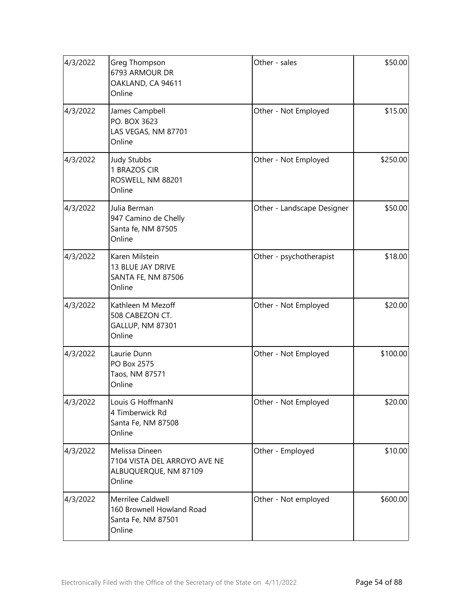| 4/3/2022 | Greg Thompson<br>6793 ARMOUR DR<br>OAKLAND, CA 94611<br>Online                    | Other - sales              | \$50.00  |
|----------|-----------------------------------------------------------------------------------|----------------------------|----------|
| 4/3/2022 | James Campbell<br>PO. BOX 3623<br>LAS VEGAS, NM 87701<br>Online                   | Other - Not Employed       | \$15.00  |
| 4/3/2022 | <b>Judy Stubbs</b><br>1 BRAZOS CIR<br>ROSWELL, NM 88201<br>Online                 | Other - Not Employed       | \$250.00 |
| 4/3/2022 | Julia Berman<br>947 Camino de Chelly<br>Santa fe, NM 87505<br>Online              | Other - Landscape Designer | \$50.00  |
| 4/3/2022 | Karen Milstein<br>13 BLUE JAY DRIVE<br><b>SANTA FE, NM 87506</b><br>Online        | Other - psychotherapist    | \$18.00  |
| 4/3/2022 | Kathleen M Mezoff<br>508 CABEZON CT.<br>GALLUP, NM 87301<br>Online                | Other - Not Employed       | \$20.00  |
| 4/3/2022 | Laurie Dunn<br>PO Box 2575<br>Taos, NM 87571<br>Online                            | Other - Not Employed       | \$100.00 |
| 4/3/2022 | Louis G HoffmanN<br>4 Timberwick Rd<br>Santa Fe, NM 87508<br>Online               | Other - Not Employed       | \$20.00  |
| 4/3/2022 | Melissa Dineen<br>7104 VISTA DEL ARROYO AVE NE<br>ALBUQUERQUE, NM 87109<br>Online | Other - Employed           | \$10.00  |
| 4/3/2022 | Merrilee Caldwell<br>160 Brownell Howland Road<br>Santa Fe, NM 87501<br>Online    | Other - Not employed       | \$600.00 |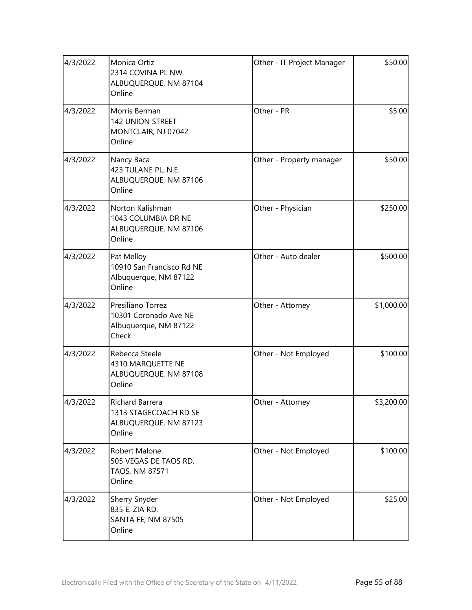| 4/3/2022 | Monica Ortiz<br>2314 COVINA PL NW<br>ALBUQUERQUE, NM 87104<br>Online         | Other - IT Project Manager | \$50.00    |
|----------|------------------------------------------------------------------------------|----------------------------|------------|
| 4/3/2022 | Morris Berman<br>142 UNION STREET<br>MONTCLAIR, NJ 07042<br>Online           | Other - PR                 | \$5.00     |
| 4/3/2022 | Nancy Baca<br>423 TULANE PL. N.E.<br>ALBUQUERQUE, NM 87106<br>Online         | Other - Property manager   | \$50.00    |
| 4/3/2022 | Norton Kalishman<br>1043 COLUMBIA DR NE<br>ALBUQUERQUE, NM 87106<br>Online   | Other - Physician          | \$250.00   |
| 4/3/2022 | Pat Melloy<br>10910 San Francisco Rd NE<br>Albuquerque, NM 87122<br>Online   | Other - Auto dealer        | \$500.00   |
| 4/3/2022 | Presiliano Torrez<br>10301 Coronado Ave NE<br>Albuquerque, NM 87122<br>Check | Other - Attorney           | \$1,000.00 |
| 4/3/2022 | Rebecca Steele<br>4310 MARQUETTE NE<br>ALBUQUERQUE, NM 87108<br>Online       | Other - Not Employed       | \$100.00   |
| 4/3/2022 | Richard Barrera<br>1313 STAGECOACH RD SE<br>ALBUQUERQUE, NM 87123<br>Online  | Other - Attorney           | \$3,200.00 |
| 4/3/2022 | Robert Malone<br>505 VEGAS DE TAOS RD.<br>TAOS, NM 87571<br>Online           | Other - Not Employed       | \$100.00   |
| 4/3/2022 | Sherry Snyder<br>835 E. ZIA RD.<br><b>SANTA FE, NM 87505</b><br>Online       | Other - Not Employed       | \$25.00    |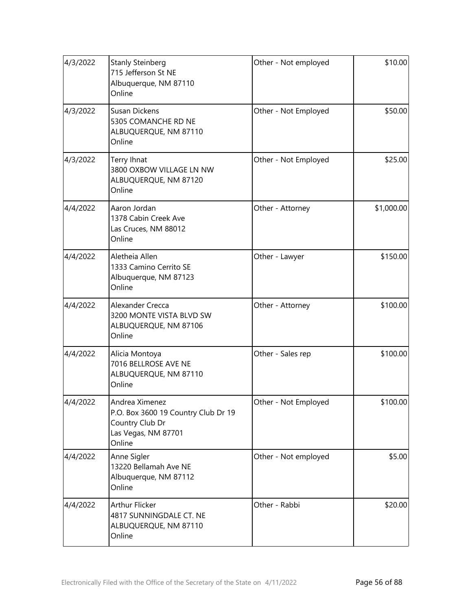| 4/3/2022 | <b>Stanly Steinberg</b><br>715 Jefferson St NE<br>Albuquerque, NM 87110<br>Online                         | Other - Not employed | \$10.00    |
|----------|-----------------------------------------------------------------------------------------------------------|----------------------|------------|
| 4/3/2022 | <b>Susan Dickens</b><br>5305 COMANCHE RD NE<br>ALBUQUERQUE, NM 87110<br>Online                            | Other - Not Employed | \$50.00    |
| 4/3/2022 | Terry Ihnat<br>3800 OXBOW VILLAGE LN NW<br>ALBUQUERQUE, NM 87120<br>Online                                | Other - Not Employed | \$25.00    |
| 4/4/2022 | Aaron Jordan<br>1378 Cabin Creek Ave<br>Las Cruces, NM 88012<br>Online                                    | Other - Attorney     | \$1,000.00 |
| 4/4/2022 | Aletheia Allen<br>1333 Camino Cerrito SE<br>Albuquerque, NM 87123<br>Online                               | Other - Lawyer       | \$150.00   |
| 4/4/2022 | Alexander Crecca<br>3200 MONTE VISTA BLVD SW<br>ALBUQUERQUE, NM 87106<br>Online                           | Other - Attorney     | \$100.00   |
| 4/4/2022 | Alicia Montoya<br>7016 BELLROSE AVE NE<br>ALBUQUERQUE, NM 87110<br>Online                                 | Other - Sales rep    | \$100.00   |
| 4/4/2022 | Andrea Ximenez<br>P.O. Box 3600 19 Country Club Dr 19<br>Country Club Dr<br>Las Vegas, NM 87701<br>Online | Other - Not Employed | \$100.00   |
| 4/4/2022 | Anne Sigler<br>13220 Bellamah Ave NE<br>Albuquerque, NM 87112<br>Online                                   | Other - Not employed | \$5.00     |
| 4/4/2022 | Arthur Flicker<br>4817 SUNNINGDALE CT. NE<br>ALBUQUERQUE, NM 87110<br>Online                              | Other - Rabbi        | \$20.00    |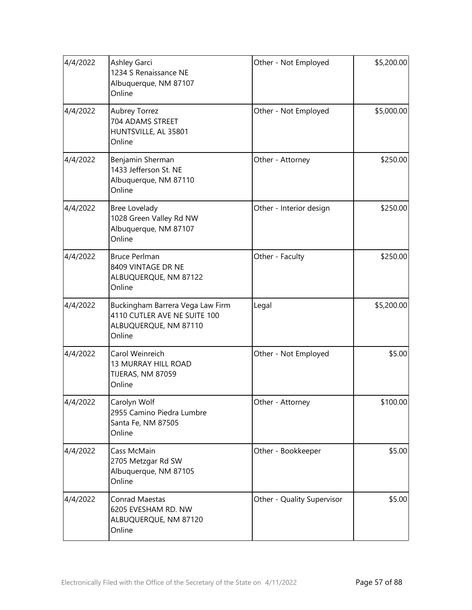| 4/4/2022 | Ashley Garci<br>1234 S Renaissance NE<br>Albuquerque, NM 87107<br>Online                            | Other - Not Employed       | \$5,200.00 |
|----------|-----------------------------------------------------------------------------------------------------|----------------------------|------------|
| 4/4/2022 | <b>Aubrey Torrez</b><br>704 ADAMS STREET<br>HUNTSVILLE, AL 35801<br>Online                          | Other - Not Employed       | \$5,000.00 |
| 4/4/2022 | Benjamin Sherman<br>1433 Jefferson St. NE<br>Albuquerque, NM 87110<br>Online                        | Other - Attorney           | \$250.00   |
| 4/4/2022 | Bree Lovelady<br>1028 Green Valley Rd NW<br>Albuquerque, NM 87107<br>Online                         | Other - Interior design    | \$250.00   |
| 4/4/2022 | <b>Bruce Perlman</b><br>8409 VINTAGE DR NE<br>ALBUQUERQUE, NM 87122<br>Online                       | Other - Faculty            | \$250.00   |
| 4/4/2022 | Buckingham Barrera Vega Law Firm<br>4110 CUTLER AVE NE SUITE 100<br>ALBUQUERQUE, NM 87110<br>Online | Legal                      | \$5,200.00 |
| 4/4/2022 | Carol Weinreich<br>13 MURRAY HILL ROAD<br>TIJERAS, NM 87059<br>Online                               | Other - Not Employed       | \$5.00     |
| 4/4/2022 | Carolyn Wolf<br>2955 Camino Piedra Lumbre<br>Santa Fe, NM 87505<br>Online                           | Other - Attorney           | \$100.00   |
| 4/4/2022 | Cass McMain<br>2705 Metzgar Rd SW<br>Albuquerque, NM 87105<br>Online                                | Other - Bookkeeper         | \$5.00     |
| 4/4/2022 | Conrad Maestas<br>6205 EVESHAM RD. NW<br>ALBUQUERQUE, NM 87120<br>Online                            | Other - Quality Supervisor | \$5.00     |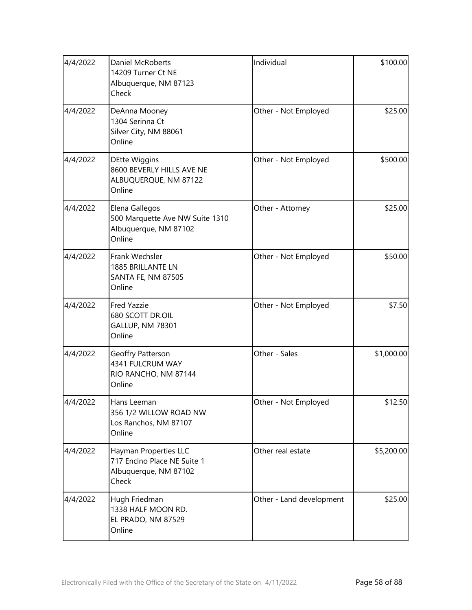| 4/4/2022 | Daniel McRoberts<br>14209 Turner Ct NE<br>Albuquerque, NM 87123<br>Check               | Individual               | \$100.00   |
|----------|----------------------------------------------------------------------------------------|--------------------------|------------|
| 4/4/2022 | DeAnna Mooney<br>1304 Serinna Ct<br>Silver City, NM 88061<br>Online                    | Other - Not Employed     | \$25.00    |
| 4/4/2022 | <b>DEtte Wiggins</b><br>8600 BEVERLY HILLS AVE NE<br>ALBUQUERQUE, NM 87122<br>Online   | Other - Not Employed     | \$500.00   |
| 4/4/2022 | Elena Gallegos<br>500 Marquette Ave NW Suite 1310<br>Albuquerque, NM 87102<br>Online   | Other - Attorney         | \$25.00    |
| 4/4/2022 | Frank Wechsler<br>1885 BRILLANTE LN<br><b>SANTA FE, NM 87505</b><br>Online             | Other - Not Employed     | \$50.00    |
| 4/4/2022 | <b>Fred Yazzie</b><br>680 SCOTT DR.OIL<br>GALLUP, NM 78301<br>Online                   | Other - Not Employed     | \$7.50     |
| 4/4/2022 | Geoffry Patterson<br>4341 FULCRUM WAY<br>RIO RANCHO, NM 87144<br>Online                | Other - Sales            | \$1,000.00 |
| 4/4/2022 | Hans Leeman<br>356 1/2 WILLOW ROAD NW<br>Los Ranchos, NM 87107<br>Online               | Other - Not Employed     | \$12.50    |
| 4/4/2022 | Hayman Properties LLC<br>717 Encino Place NE Suite 1<br>Albuquerque, NM 87102<br>Check | Other real estate        | \$5,200.00 |
| 4/4/2022 | Hugh Friedman<br>1338 HALF MOON RD.<br>EL PRADO, NM 87529<br>Online                    | Other - Land development | \$25.00    |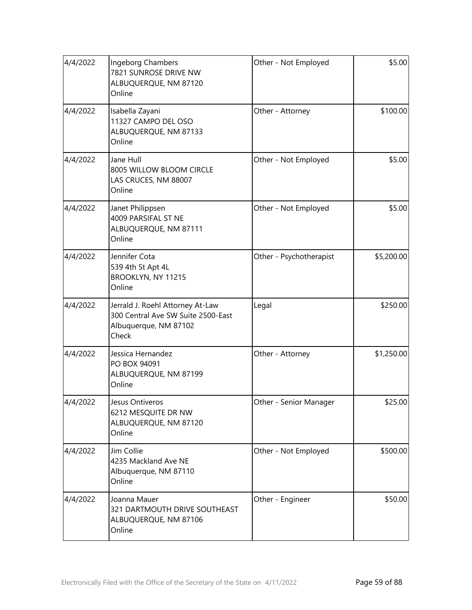| 4/4/2022 | Ingeborg Chambers<br>7821 SUNROSE DRIVE NW<br>ALBUQUERQUE, NM 87120<br>Online                            | Other - Not Employed    | \$5.00     |
|----------|----------------------------------------------------------------------------------------------------------|-------------------------|------------|
| 4/4/2022 | Isabella Zayani<br>11327 CAMPO DEL OSO<br>ALBUQUERQUE, NM 87133<br>Online                                | Other - Attorney        | \$100.00   |
| 4/4/2022 | Jane Hull<br>8005 WILLOW BLOOM CIRCLE<br>LAS CRUCES, NM 88007<br>Online                                  | Other - Not Employed    | \$5.00     |
| 4/4/2022 | Janet Philippsen<br>4009 PARSIFAL ST NE<br>ALBUQUERQUE, NM 87111<br>Online                               | Other - Not Employed    | \$5.00     |
| 4/4/2022 | Jennifer Cota<br>539 4th St Apt 4L<br>BROOKLYN, NY 11215<br>Online                                       | Other - Psychotherapist | \$5,200.00 |
| 4/4/2022 | Jerrald J. Roehl Attorney At-Law<br>300 Central Ave SW Suite 2500-East<br>Albuquerque, NM 87102<br>Check | Legal                   | \$250.00   |
| 4/4/2022 | Jessica Hernandez<br>PO BOX 94091<br>ALBUQUERQUE, NM 87199<br>Online                                     | Other - Attorney        | \$1,250.00 |
| 4/4/2022 | Jesus Ontiveros<br>6212 MESQUITE DR NW<br>ALBUQUERQUE, NM 87120<br>Online                                | Other - Senior Manager  | \$25.00    |
| 4/4/2022 | Jim Collie<br>4235 Mackland Ave NE<br>Albuquerque, NM 87110<br>Online                                    | Other - Not Employed    | \$500.00   |
| 4/4/2022 | Joanna Mauer<br>321 DARTMOUTH DRIVE SOUTHEAST<br>ALBUQUERQUE, NM 87106<br>Online                         | Other - Engineer        | \$50.00    |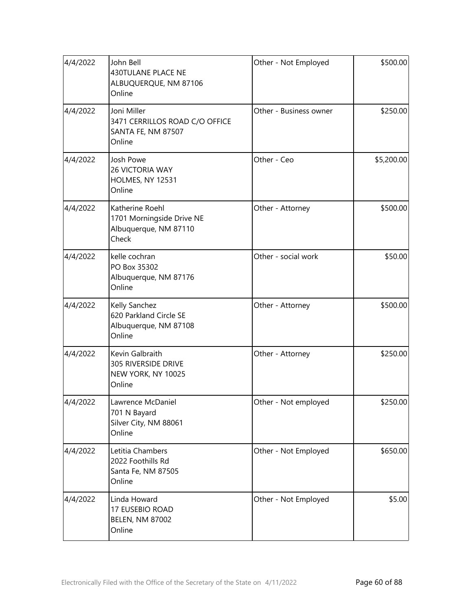| 4/4/2022 | John Bell<br>430TULANE PLACE NE<br>ALBUQUERQUE, NM 87106<br>Online             | Other - Not Employed   | \$500.00   |
|----------|--------------------------------------------------------------------------------|------------------------|------------|
| 4/4/2022 | Joni Miller<br>3471 CERRILLOS ROAD C/O OFFICE<br>SANTA FE, NM 87507<br>Online  | Other - Business owner | \$250.00   |
| 4/4/2022 | Josh Powe<br>26 VICTORIA WAY<br>HOLMES, NY 12531<br>Online                     | Other - Ceo            | \$5,200.00 |
| 4/4/2022 | Katherine Roehl<br>1701 Morningside Drive NE<br>Albuquerque, NM 87110<br>Check | Other - Attorney       | \$500.00   |
| 4/4/2022 | kelle cochran<br>PO Box 35302<br>Albuquerque, NM 87176<br>Online               | Other - social work    | \$50.00    |
| 4/4/2022 | Kelly Sanchez<br>620 Parkland Circle SE<br>Albuquerque, NM 87108<br>Online     | Other - Attorney       | \$500.00   |
| 4/4/2022 | Kevin Galbraith<br>305 RIVERSIDE DRIVE<br>NEW YORK, NY 10025<br>Online         | Other - Attorney       | \$250.00   |
| 4/4/2022 | Lawrence McDaniel<br>701 N Bayard<br>Silver City, NM 88061<br>Online           | Other - Not employed   | \$250.00   |
| 4/4/2022 | Letitia Chambers<br>2022 Foothills Rd<br>Santa Fe, NM 87505<br>Online          | Other - Not Employed   | \$650.00   |
| 4/4/2022 | Linda Howard<br>17 EUSEBIO ROAD<br><b>BELEN, NM 87002</b><br>Online            | Other - Not Employed   | \$5.00     |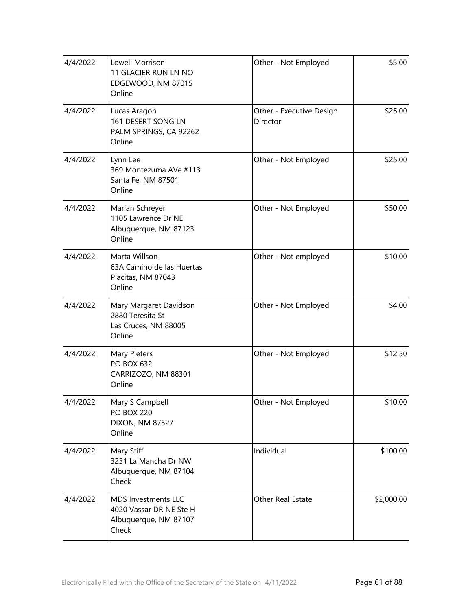| 4/4/2022 | Lowell Morrison<br>11 GLACIER RUN LN NO<br>EDGEWOOD, NM 87015<br>Online                 | \$5.00<br>Other - Not Employed                  |            |
|----------|-----------------------------------------------------------------------------------------|-------------------------------------------------|------------|
| 4/4/2022 | Lucas Aragon<br>161 DESERT SONG LN<br>PALM SPRINGS, CA 92262<br>Online                  | \$25.00<br>Other - Executive Design<br>Director |            |
| 4/4/2022 | Lynn Lee<br>369 Montezuma AVe.#113<br>Santa Fe, NM 87501<br>Online                      | \$25.00<br>Other - Not Employed                 |            |
| 4/4/2022 | Marian Schreyer<br>1105 Lawrence Dr NE<br>Albuquerque, NM 87123<br>Online               | Other - Not Employed                            |            |
| 4/4/2022 | Marta Willson<br>63A Camino de las Huertas<br>Placitas, NM 87043<br>Online              | Other - Not employed                            |            |
| 4/4/2022 | Mary Margaret Davidson<br>2880 Teresita St<br>Las Cruces, NM 88005<br>Online            | Other - Not Employed                            | \$4.00     |
| 4/4/2022 | Mary Pieters<br><b>PO BOX 632</b><br>CARRIZOZO, NM 88301<br>Online                      | \$12.50<br>Other - Not Employed                 |            |
| 4/4/2022 | Mary S Campbell<br><b>PO BOX 220</b><br><b>DIXON, NM 87527</b><br>Online                | Other - Not Employed<br>\$10.00                 |            |
| 4/4/2022 | Mary Stiff<br>3231 La Mancha Dr NW<br>Albuquerque, NM 87104<br>Check                    | Individual<br>\$100.00                          |            |
| 4/4/2022 | <b>MDS Investments LLC</b><br>4020 Vassar DR NE Ste H<br>Albuquerque, NM 87107<br>Check | Other Real Estate                               | \$2,000.00 |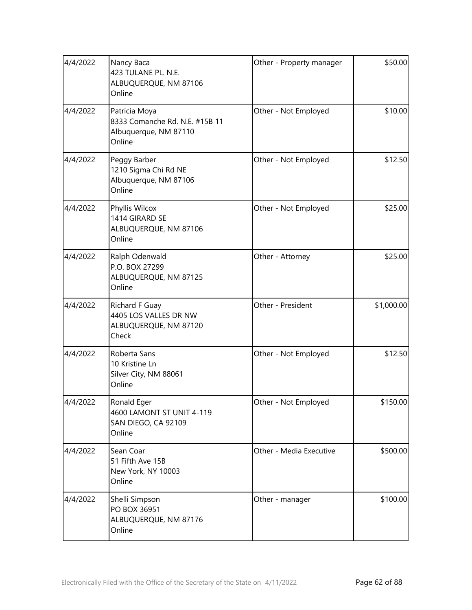| 4/4/2022 | Nancy Baca<br>423 TULANE PL. N.E.<br>ALBUQUERQUE, NM 87106<br>Online               | \$50.00<br>Other - Property manager |            |
|----------|------------------------------------------------------------------------------------|-------------------------------------|------------|
| 4/4/2022 | Patricia Moya<br>8333 Comanche Rd. N.E. #15B 11<br>Albuquerque, NM 87110<br>Online | \$10.00<br>Other - Not Employed     |            |
| 4/4/2022 | Peggy Barber<br>1210 Sigma Chi Rd NE<br>Albuquerque, NM 87106<br>Online            | \$12.50<br>Other - Not Employed     |            |
| 4/4/2022 | Phyllis Wilcox<br>1414 GIRARD SE<br>ALBUQUERQUE, NM 87106<br>Online                | Other - Not Employed                |            |
| 4/4/2022 | Ralph Odenwald<br>P.O. BOX 27299<br>ALBUQUERQUE, NM 87125<br>Online                | Other - Attorney                    | \$25.00    |
| 4/4/2022 | Richard F Guay<br>4405 LOS VALLES DR NW<br>ALBUQUERQUE, NM 87120<br>Check          | Other - President                   | \$1,000.00 |
| 4/4/2022 | Roberta Sans<br>10 Kristine Ln<br>Silver City, NM 88061<br>Online                  | \$12.50<br>Other - Not Employed     |            |
| 4/4/2022 | Ronald Eger<br>4600 LAMONT ST UNIT 4-119<br>SAN DIEGO, CA 92109<br>Online          | Other - Not Employed<br>\$150.00    |            |
| 4/4/2022 | Sean Coar<br>51 Fifth Ave 15B<br>New York, NY 10003<br>Online                      | Other - Media Executive             | \$500.00   |
| 4/4/2022 | Shelli Simpson<br>PO BOX 36951<br>ALBUQUERQUE, NM 87176<br>Online                  | Other - manager                     | \$100.00   |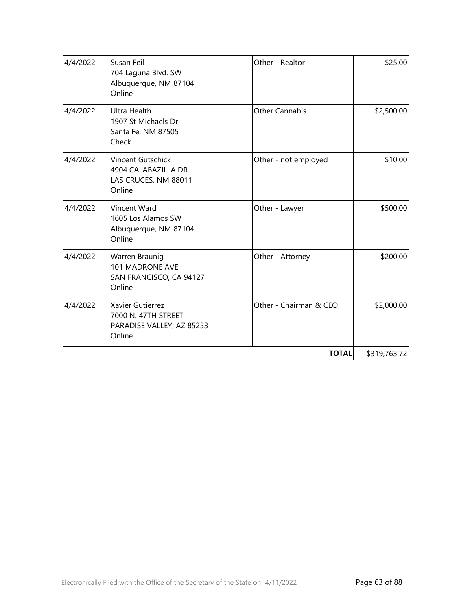| 4/4/2022 | Susan Feil<br>704 Laguna Blvd. SW<br>Albuquerque, NM 87104<br>Online           | Other - Realtor        | \$25.00      |
|----------|--------------------------------------------------------------------------------|------------------------|--------------|
| 4/4/2022 | <b>Ultra Health</b><br>1907 St Michaels Dr<br>Santa Fe, NM 87505<br>Check      | <b>Other Cannabis</b>  | \$2,500.00   |
| 4/4/2022 | Vincent Gutschick<br>4904 CALABAZILLA DR.<br>LAS CRUCES, NM 88011<br>Online    | Other - not employed   | \$10.00      |
| 4/4/2022 | Vincent Ward<br>1605 Los Alamos SW<br>Albuquerque, NM 87104<br>Online          | Other - Lawyer         | \$500.00     |
| 4/4/2022 | Warren Braunig<br>101 MADRONE AVE<br>SAN FRANCISCO, CA 94127<br>Online         | Other - Attorney       | \$200.00     |
| 4/4/2022 | Xavier Gutierrez<br>7000 N. 47TH STREET<br>PARADISE VALLEY, AZ 85253<br>Online | Other - Chairman & CEO | \$2,000.00   |
|          |                                                                                | <b>TOTAL</b>           | \$319,763.72 |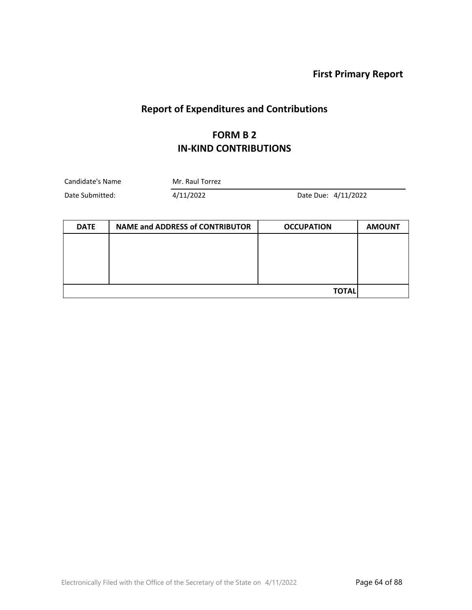**First Primary Report**

# **Report of Expenditures and Contributions**

#### **FORM B 2 IN-KIND CONTRIBUTIONS**

| Candidate's Name | Mr. Raul Torrez |                     |  |
|------------------|-----------------|---------------------|--|
| Date Submitted:  | 4/11/2022       | Date Due: 4/11/2022 |  |

| <b>DATE</b> | <b>NAME and ADDRESS of CONTRIBUTOR</b> | <b>OCCUPATION</b> | <b>AMOUNT</b> |
|-------------|----------------------------------------|-------------------|---------------|
|             |                                        |                   |               |
|             |                                        |                   |               |
|             |                                        |                   |               |
|             |                                        |                   |               |
|             |                                        | <b>TOTAL</b>      |               |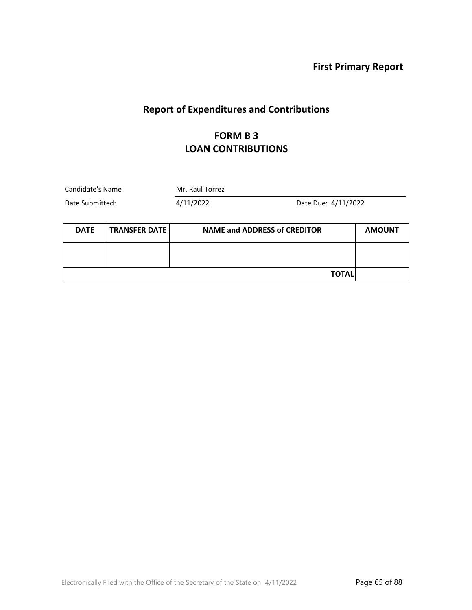**First Primary Report**

## **Report of Expenditures and Contributions**

#### **FORM B 3 LOAN CONTRIBUTIONS**

| Candidate's Name |                      | Mr. Raul Torrez                     |              |               |
|------------------|----------------------|-------------------------------------|--------------|---------------|
| Date Submitted:  |                      | 4/11/2022<br>Date Due: 4/11/2022    |              |               |
| <b>DATE</b>      | <b>TRANSFER DATE</b> | <b>NAME and ADDRESS of CREDITOR</b> |              | <b>AMOUNT</b> |
|                  |                      |                                     |              |               |
|                  |                      |                                     | <b>TOTAL</b> |               |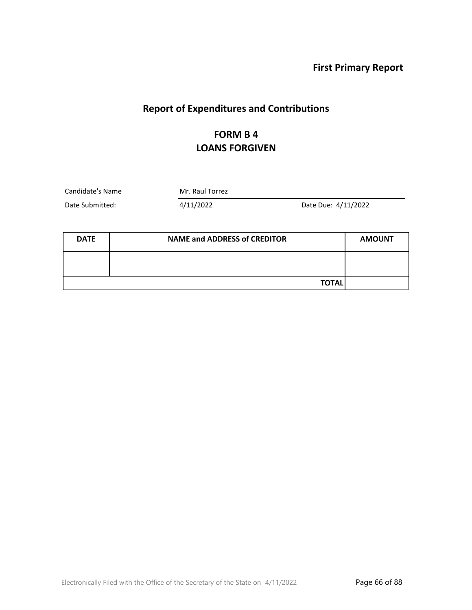**First Primary Report**

## **Report of Expenditures and Contributions**

#### **FORM B 4 LOANS FORGIVEN**

Candidate's Name Mr. Raul Torrez

Date Submitted: 4/11/2022 Date Due: 4/11/2022

| <b>DATE</b> | <b>NAME and ADDRESS of CREDITOR</b> | <b>AMOUNT</b> |
|-------------|-------------------------------------|---------------|
|             |                                     |               |
|             | <b>TOTAL</b>                        |               |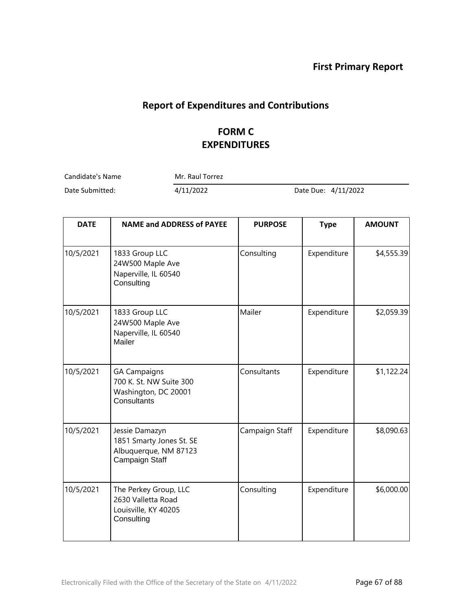## **Report of Expenditures and Contributions**

## **FORM C EXPENDITURES**

Candidate's Name Mr. Raul Torrez

Date Submitted: 4/11/2022 Date Due: 4/11/2022

| <b>DATE</b> | <b>NAME and ADDRESS of PAYEE</b>                                                      | <b>PURPOSE</b> | <b>Type</b> | <b>AMOUNT</b> |
|-------------|---------------------------------------------------------------------------------------|----------------|-------------|---------------|
| 10/5/2021   | 1833 Group LLC<br>24W500 Maple Ave<br>Naperville, IL 60540<br>Consulting              | Consulting     | Expenditure | \$4,555.39    |
| 10/5/2021   | 1833 Group LLC<br>24W500 Maple Ave<br>Naperville, IL 60540<br>Mailer                  | Mailer         | Expenditure | \$2,059.39    |
| 10/5/2021   | <b>GA Campaigns</b><br>700 K. St. NW Suite 300<br>Washington, DC 20001<br>Consultants | Consultants    | Expenditure | \$1,122.24    |
| 10/5/2021   | Jessie Damazyn<br>1851 Smarty Jones St. SE<br>Albuquerque, NM 87123<br>Campaign Staff | Campaign Staff | Expenditure | \$8,090.63    |
| 10/5/2021   | The Perkey Group, LLC<br>2630 Valletta Road<br>Louisville, KY 40205<br>Consulting     | Consulting     | Expenditure | \$6,000.00    |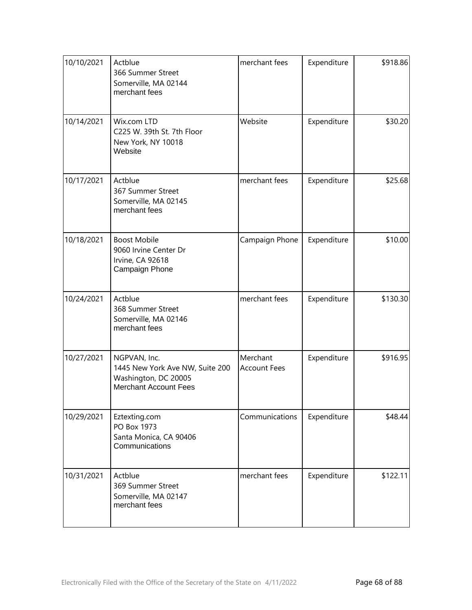| 10/10/2021 | Actblue<br>366 Summer Street<br>Somerville, MA 02144<br>merchant fees                            | merchant fees                   | Expenditure | \$918.86 |
|------------|--------------------------------------------------------------------------------------------------|---------------------------------|-------------|----------|
| 10/14/2021 | Wix.com LTD<br>C225 W. 39th St. 7th Floor<br>New York, NY 10018<br>Website                       | Website                         | Expenditure | \$30.20  |
| 10/17/2021 | Actblue<br>367 Summer Street<br>Somerville, MA 02145<br>merchant fees                            | merchant fees                   | Expenditure | \$25.68  |
| 10/18/2021 | <b>Boost Mobile</b><br>9060 Irvine Center Dr<br>Irvine, CA 92618<br>Campaign Phone               | Campaign Phone                  | Expenditure | \$10.00  |
| 10/24/2021 | Actblue<br>368 Summer Street<br>Somerville, MA 02146<br>merchant fees                            | merchant fees                   | Expenditure | \$130.30 |
| 10/27/2021 | NGPVAN, Inc.<br>1445 New York Ave NW, Suite 200<br>Washington, DC 20005<br>Merchant Account Fees | Merchant<br><b>Account Fees</b> | Expenditure | \$916.95 |
| 10/29/2021 | Eztexting.com<br>PO Box 1973<br>Santa Monica, CA 90406<br>Communications                         | Communications                  | Expenditure | \$48.44  |
| 10/31/2021 | Actblue<br>369 Summer Street<br>Somerville, MA 02147<br>merchant fees                            | merchant fees                   | Expenditure | \$122.11 |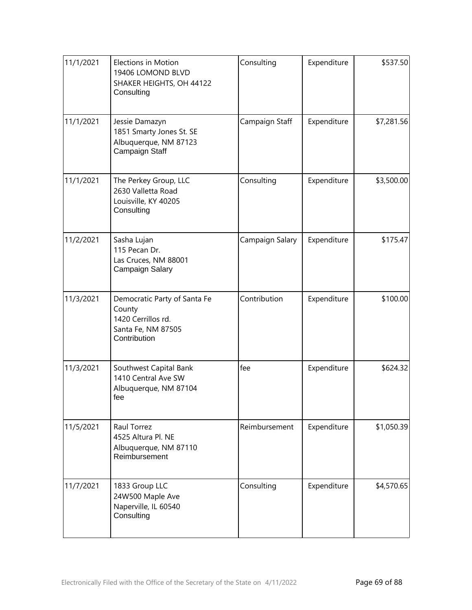| 11/1/2021 | <b>Elections in Motion</b><br>19406 LOMOND BLVD<br>SHAKER HEIGHTS, OH 44122<br>Consulting          | Consulting      | Expenditure | \$537.50   |
|-----------|----------------------------------------------------------------------------------------------------|-----------------|-------------|------------|
| 11/1/2021 | Jessie Damazyn<br>1851 Smarty Jones St. SE<br>Albuquerque, NM 87123<br>Campaign Staff              | Campaign Staff  | Expenditure | \$7,281.56 |
| 11/1/2021 | The Perkey Group, LLC<br>2630 Valletta Road<br>Louisville, KY 40205<br>Consulting                  | Consulting      | Expenditure | \$3,500.00 |
| 11/2/2021 | Sasha Lujan<br>115 Pecan Dr.<br>Las Cruces, NM 88001<br>Campaign Salary                            | Campaign Salary | Expenditure | \$175.47   |
| 11/3/2021 | Democratic Party of Santa Fe<br>County<br>1420 Cerrillos rd.<br>Santa Fe, NM 87505<br>Contribution | Contribution    | Expenditure | \$100.00   |
| 11/3/2021 | Southwest Capital Bank<br>1410 Central Ave SW<br>Albuquerque, NM 87104<br>fee                      | fee             | Expenditure | \$624.32   |
| 11/5/2021 | Raul Torrez<br>4525 Altura Pl. NE<br>Albuquerque, NM 87110<br>Reimbursement                        | Reimbursement   | Expenditure | \$1,050.39 |
| 11/7/2021 | 1833 Group LLC<br>24W500 Maple Ave<br>Naperville, IL 60540<br>Consulting                           | Consulting      | Expenditure | \$4,570.65 |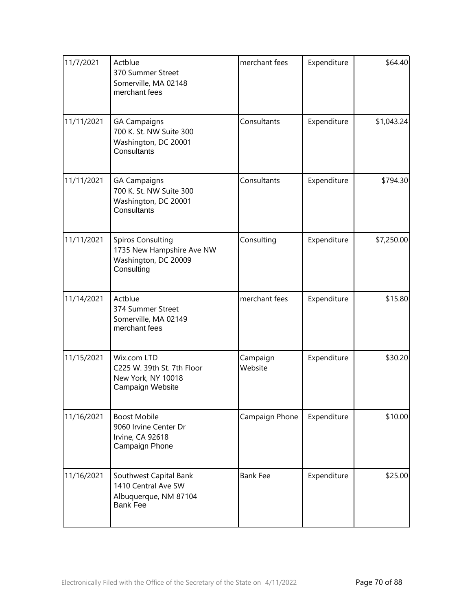| 11/7/2021  | Actblue<br>370 Summer Street<br>Somerville, MA 02148<br>merchant fees                       | merchant fees       | Expenditure | \$64.40    |
|------------|---------------------------------------------------------------------------------------------|---------------------|-------------|------------|
| 11/11/2021 | <b>GA Campaigns</b><br>700 K. St. NW Suite 300<br>Washington, DC 20001<br>Consultants       | Consultants         | Expenditure | \$1,043.24 |
| 11/11/2021 | <b>GA Campaigns</b><br>700 K. St. NW Suite 300<br>Washington, DC 20001<br>Consultants       | Consultants         | Expenditure | \$794.30   |
| 11/11/2021 | <b>Spiros Consulting</b><br>1735 New Hampshire Ave NW<br>Washington, DC 20009<br>Consulting | Consulting          | Expenditure | \$7,250.00 |
| 11/14/2021 | Actblue<br>374 Summer Street<br>Somerville, MA 02149<br>merchant fees                       | merchant fees       | Expenditure | \$15.80    |
| 11/15/2021 | Wix.com LTD<br>C225 W. 39th St. 7th Floor<br>New York, NY 10018<br>Campaign Website         | Campaign<br>Website | Expenditure | \$30.20    |
| 11/16/2021 | <b>Boost Mobile</b><br>9060 Irvine Center Dr<br>Irvine, CA 92618<br>Campaign Phone          | Campaign Phone      | Expenditure | \$10.00    |
| 11/16/2021 | Southwest Capital Bank<br>1410 Central Ave SW<br>Albuquerque, NM 87104<br><b>Bank Fee</b>   | <b>Bank Fee</b>     | Expenditure | \$25.00    |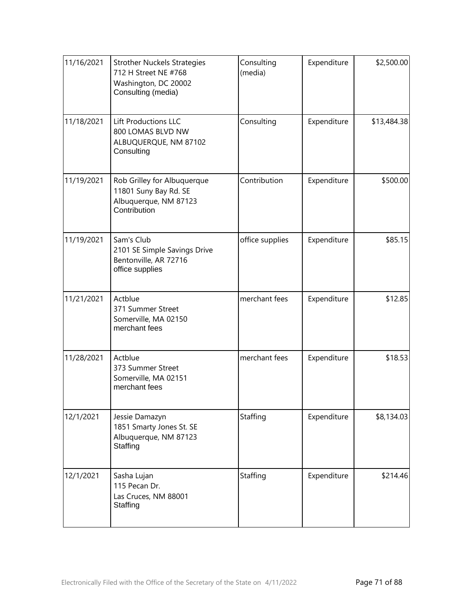| 11/16/2021 | <b>Strother Nuckels Strategies</b><br>712 H Street NE #768<br>Washington, DC 20002<br>Consulting (media) | Consulting<br>(media) | Expenditure | \$2,500.00  |
|------------|----------------------------------------------------------------------------------------------------------|-----------------------|-------------|-------------|
| 11/18/2021 | Lift Productions LLC<br>800 LOMAS BLVD NW<br>ALBUQUERQUE, NM 87102<br>Consulting                         | Consulting            | Expenditure | \$13,484.38 |
| 11/19/2021 | Rob Grilley for Albuquerque<br>11801 Suny Bay Rd. SE<br>Albuquerque, NM 87123<br>Contribution            | Contribution          | Expenditure | \$500.00    |
| 11/19/2021 | Sam's Club<br>2101 SE Simple Savings Drive<br>Bentonville, AR 72716<br>office supplies                   | office supplies       | Expenditure | \$85.15     |
| 11/21/2021 | Actblue<br>371 Summer Street<br>Somerville, MA 02150<br>merchant fees                                    | merchant fees         | Expenditure | \$12.85     |
| 11/28/2021 | Actblue<br>373 Summer Street<br>Somerville, MA 02151<br>merchant fees                                    | merchant fees         | Expenditure | \$18.53     |
| 12/1/2021  | Jessie Damazyn<br>1851 Smarty Jones St. SE<br>Albuquerque, NM 87123<br>Staffing                          | Staffing              | Expenditure | \$8,134.03  |
| 12/1/2021  | Sasha Lujan<br>115 Pecan Dr.<br>Las Cruces, NM 88001<br>Staffing                                         | Staffing              | Expenditure | \$214.46    |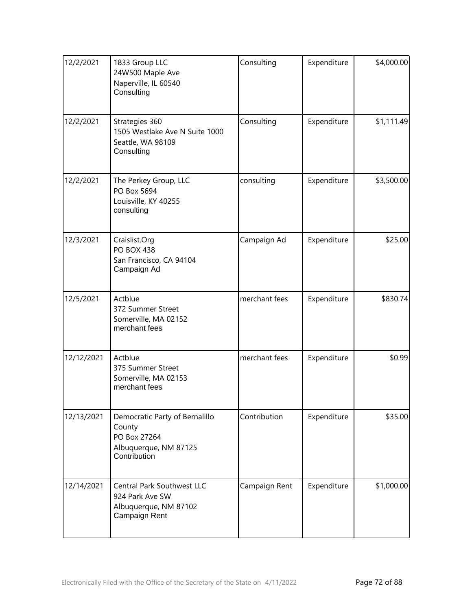| 12/2/2021  | 1833 Group LLC<br>24W500 Maple Ave<br>Naperville, IL 60540<br>Consulting                          | Consulting    | Expenditure | \$4,000.00 |
|------------|---------------------------------------------------------------------------------------------------|---------------|-------------|------------|
| 12/2/2021  | Strategies 360<br>1505 Westlake Ave N Suite 1000<br>Seattle, WA 98109<br>Consulting               | Consulting    | Expenditure | \$1,111.49 |
| 12/2/2021  | The Perkey Group, LLC<br>PO Box 5694<br>Louisville, KY 40255<br>consulting                        | consulting    | Expenditure | \$3,500.00 |
| 12/3/2021  | Craislist.Org<br><b>PO BOX 438</b><br>San Francisco, CA 94104<br>Campaign Ad                      | Campaign Ad   | Expenditure | \$25.00    |
| 12/5/2021  | Actblue<br>372 Summer Street<br>Somerville, MA 02152<br>merchant fees                             | merchant fees | Expenditure | \$830.74   |
| 12/12/2021 | Actblue<br>375 Summer Street<br>Somerville, MA 02153<br>merchant fees                             | merchant fees | Expenditure | \$0.99     |
| 12/13/2021 | Democratic Party of Bernalillo<br>County<br>PO Box 27264<br>Albuquerque, NM 87125<br>Contribution | Contribution  | Expenditure | \$35.00    |
| 12/14/2021 | Central Park Southwest LLC<br>924 Park Ave SW<br>Albuquerque, NM 87102<br>Campaign Rent           | Campaign Rent | Expenditure | \$1,000.00 |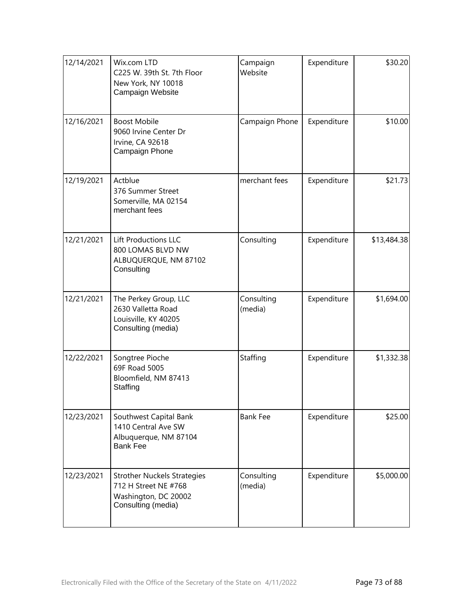| 12/14/2021 | Wix.com LTD<br>C225 W. 39th St. 7th Floor<br>New York, NY 10018<br>Campaign Website                      | Campaign<br>Website   | Expenditure | \$30.20     |
|------------|----------------------------------------------------------------------------------------------------------|-----------------------|-------------|-------------|
| 12/16/2021 | <b>Boost Mobile</b><br>9060 Irvine Center Dr<br>Irvine, CA 92618<br>Campaign Phone                       | Campaign Phone        | Expenditure | \$10.00     |
| 12/19/2021 | Actblue<br>376 Summer Street<br>Somerville, MA 02154<br>merchant fees                                    | merchant fees         | Expenditure | \$21.73     |
| 12/21/2021 | Lift Productions LLC<br>800 LOMAS BLVD NW<br>ALBUQUERQUE, NM 87102<br>Consulting                         | Consulting            | Expenditure | \$13,484.38 |
| 12/21/2021 | The Perkey Group, LLC<br>2630 Valletta Road<br>Louisville, KY 40205<br>Consulting (media)                | Consulting<br>(media) | Expenditure | \$1,694.00  |
| 12/22/2021 | Songtree Pioche<br>69F Road 5005<br>Bloomfield, NM 87413<br>Staffing                                     | Staffing              | Expenditure | \$1,332.38  |
| 12/23/2021 | Southwest Capital Bank<br>1410 Central Ave SW<br>Albuquerque, NM 87104<br><b>Bank Fee</b>                | <b>Bank Fee</b>       | Expenditure | \$25.00     |
| 12/23/2021 | <b>Strother Nuckels Strategies</b><br>712 H Street NE #768<br>Washington, DC 20002<br>Consulting (media) | Consulting<br>(media) | Expenditure | \$5,000.00  |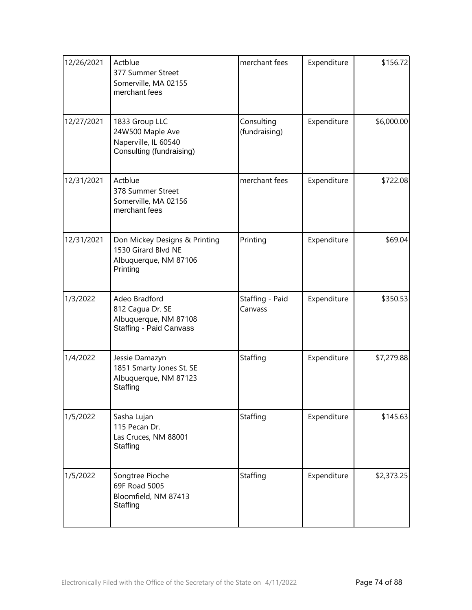| 12/26/2021 | Actblue<br>377 Summer Street<br>Somerville, MA 02155<br>merchant fees                        | merchant fees               | Expenditure | \$156.72   |
|------------|----------------------------------------------------------------------------------------------|-----------------------------|-------------|------------|
| 12/27/2021 | 1833 Group LLC<br>24W500 Maple Ave<br>Naperville, IL 60540<br>Consulting (fundraising)       | Consulting<br>(fundraising) | Expenditure | \$6,000.00 |
| 12/31/2021 | Actblue<br>378 Summer Street<br>Somerville, MA 02156<br>merchant fees                        | merchant fees               | Expenditure | \$722.08   |
| 12/31/2021 | Don Mickey Designs & Printing<br>1530 Girard Blvd NE<br>Albuquerque, NM 87106<br>Printing    | Printing                    | Expenditure | \$69.04    |
| 1/3/2022   | Adeo Bradford<br>812 Cagua Dr. SE<br>Albuquerque, NM 87108<br><b>Staffing - Paid Canvass</b> | Staffing - Paid<br>Canvass  | Expenditure | \$350.53   |
| 1/4/2022   | Jessie Damazyn<br>1851 Smarty Jones St. SE<br>Albuquerque, NM 87123<br>Staffing              | Staffing                    | Expenditure | \$7,279.88 |
| 1/5/2022   | Sasha Lujan<br>115 Pecan Dr.<br>Las Cruces, NM 88001<br>Staffing                             | Staffing                    | Expenditure | \$145.63   |
| 1/5/2022   | Songtree Pioche<br>69F Road 5005<br>Bloomfield, NM 87413<br>Staffing                         | Staffing                    | Expenditure | \$2,373.25 |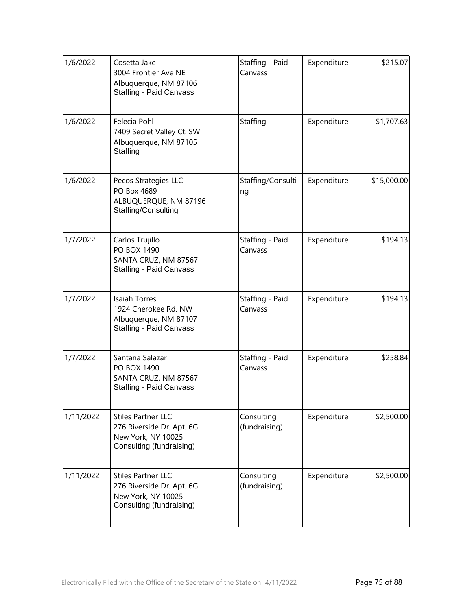| 1/6/2022  | Cosetta Jake<br>3004 Frontier Ave NE<br>Albuquerque, NM 87106<br><b>Staffing - Paid Canvass</b>          | Staffing - Paid<br>Canvass  | Expenditure | \$215.07    |
|-----------|----------------------------------------------------------------------------------------------------------|-----------------------------|-------------|-------------|
| 1/6/2022  | Felecia Pohl<br>7409 Secret Valley Ct. SW<br>Albuquerque, NM 87105<br>Staffing                           | Staffing                    | Expenditure | \$1,707.63  |
| 1/6/2022  | Pecos Strategies LLC<br>PO Box 4689<br>ALBUQUERQUE, NM 87196<br>Staffing/Consulting                      | Staffing/Consulti<br>ng     | Expenditure | \$15,000.00 |
| 1/7/2022  | Carlos Trujillo<br><b>PO BOX 1490</b><br>SANTA CRUZ, NM 87567<br><b>Staffing - Paid Canvass</b>          | Staffing - Paid<br>Canvass  | Expenditure | \$194.13    |
| 1/7/2022  | <b>Isaiah Torres</b><br>1924 Cherokee Rd. NW<br>Albuquerque, NM 87107<br><b>Staffing - Paid Canvass</b>  | Staffing - Paid<br>Canvass  | Expenditure | \$194.13    |
| 1/7/2022  | Santana Salazar<br>PO BOX 1490<br>SANTA CRUZ, NM 87567<br><b>Staffing - Paid Canvass</b>                 | Staffing - Paid<br>Canvass  | Expenditure | \$258.84    |
| 1/11/2022 | <b>Stiles Partner LLC</b><br>276 Riverside Dr. Apt. 6G<br>New York, NY 10025<br>Consulting (fundraising) | Consulting<br>(fundraising) | Expenditure | \$2,500.00  |
| 1/11/2022 | <b>Stiles Partner LLC</b><br>276 Riverside Dr. Apt. 6G<br>New York, NY 10025<br>Consulting (fundraising) | Consulting<br>(fundraising) | Expenditure | \$2,500.00  |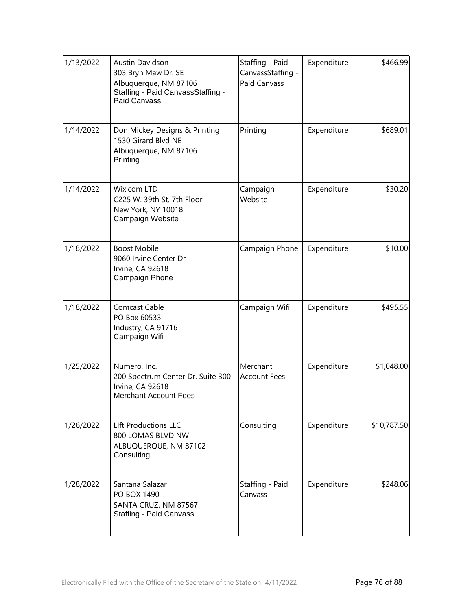| 1/13/2022 | <b>Austin Davidson</b><br>303 Bryn Maw Dr. SE<br>Albuquerque, NM 87106<br>Staffing - Paid CanvassStaffing -<br>Paid Canvass | Staffing - Paid<br>CanvassStaffing -<br><b>Paid Canvass</b> | Expenditure | \$466.99    |
|-----------|-----------------------------------------------------------------------------------------------------------------------------|-------------------------------------------------------------|-------------|-------------|
| 1/14/2022 | Don Mickey Designs & Printing<br>1530 Girard Blvd NE<br>Albuquerque, NM 87106<br>Printing                                   | Printing                                                    | Expenditure | \$689.01    |
| 1/14/2022 | Wix.com LTD<br>C225 W. 39th St. 7th Floor<br>New York, NY 10018<br>Campaign Website                                         | Campaign<br>Website                                         | Expenditure | \$30.20     |
| 1/18/2022 | <b>Boost Mobile</b><br>9060 Irvine Center Dr<br>Irvine, CA 92618<br>Campaign Phone                                          | Campaign Phone                                              | Expenditure | \$10.00     |
| 1/18/2022 | Comcast Cable<br>PO Box 60533<br>Industry, CA 91716<br>Campaign Wifi                                                        | Campaign Wifi                                               | Expenditure | \$495.55    |
| 1/25/2022 | Numero, Inc.<br>200 Spectrum Center Dr. Suite 300<br>Irvine, CA 92618<br><b>Merchant Account Fees</b>                       | Merchant<br><b>Account Fees</b>                             | Expenditure | \$1,048.00  |
| 1/26/2022 | <b>LIft Productions LLC</b><br>800 LOMAS BLVD NW<br>ALBUQUERQUE, NM 87102<br>Consulting                                     | Consulting                                                  | Expenditure | \$10,787.50 |
| 1/28/2022 | Santana Salazar<br><b>PO BOX 1490</b><br>SANTA CRUZ, NM 87567<br><b>Staffing - Paid Canvass</b>                             | Staffing - Paid<br>Canvass                                  | Expenditure | \$248.06    |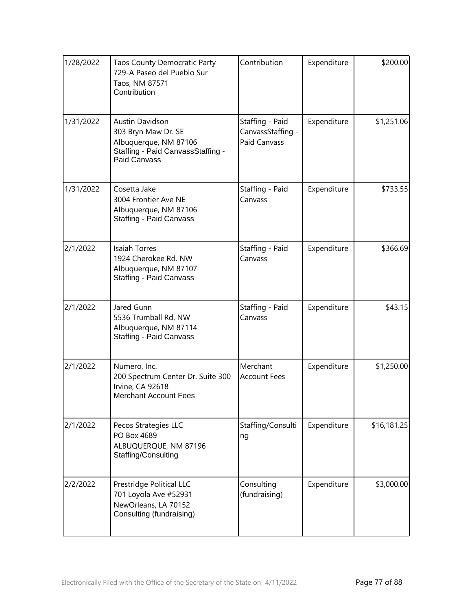| 1/28/2022 | <b>Taos County Democratic Party</b><br>729-A Paseo del Pueblo Sur<br>Taos, NM 87571<br>Contribution                                | Contribution                                         | Expenditure | \$200.00    |
|-----------|------------------------------------------------------------------------------------------------------------------------------------|------------------------------------------------------|-------------|-------------|
| 1/31/2022 | <b>Austin Davidson</b><br>303 Bryn Maw Dr. SE<br>Albuquerque, NM 87106<br>Staffing - Paid CanvassStaffing -<br><b>Paid Canvass</b> | Staffing - Paid<br>CanvassStaffing -<br>Paid Canvass | Expenditure | \$1,251.06  |
| 1/31/2022 | Cosetta Jake<br>3004 Frontier Ave NE<br>Albuquerque, NM 87106<br><b>Staffing - Paid Canvass</b>                                    | Staffing - Paid<br>Canvass                           | Expenditure | \$733.55    |
| 2/1/2022  | <b>Isaiah Torres</b><br>1924 Cherokee Rd. NW<br>Albuquerque, NM 87107<br><b>Staffing - Paid Canvass</b>                            | Staffing - Paid<br>Canvass                           | Expenditure | \$366.69    |
| 2/1/2022  | Jared Gunn<br>5536 Trumball Rd. NW<br>Albuquerque, NM 87114<br>Staffing - Paid Canvass                                             | Staffing - Paid<br>Canvass                           | Expenditure | \$43.15     |
| 2/1/2022  | Numero, Inc.<br>200 Spectrum Center Dr. Suite 300<br>Irvine, CA 92618<br><b>Merchant Account Fees</b>                              | Merchant<br><b>Account Fees</b>                      | Expenditure | \$1,250.00  |
| 2/1/2022  | Pecos Strategies LLC<br>PO Box 4689<br>ALBUQUERQUE, NM 87196<br>Staffing/Consulting                                                | Staffing/Consulti<br>ng                              | Expenditure | \$16,181.25 |
| 2/2/2022  | Prestridge Political LLC<br>701 Loyola Ave #52931<br>NewOrleans, LA 70152<br>Consulting (fundraising)                              | Consulting<br>(fundraising)                          | Expenditure | \$3,000.00  |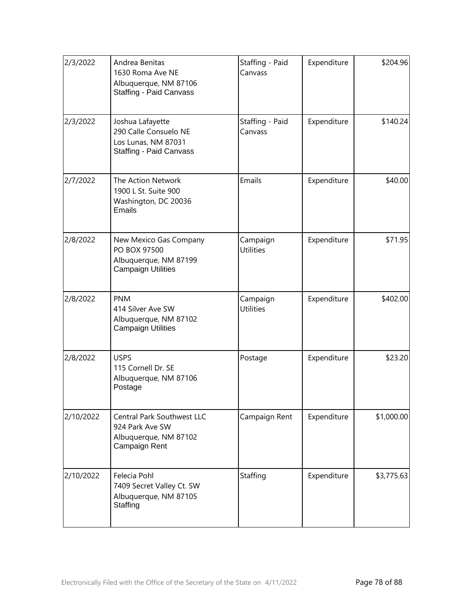| 2/3/2022  | Andrea Benitas<br>1630 Roma Ave NE<br>Albuquerque, NM 87106<br><b>Staffing - Paid Canvass</b>      | Staffing - Paid<br>Canvass   | Expenditure | \$204.96   |
|-----------|----------------------------------------------------------------------------------------------------|------------------------------|-------------|------------|
| 2/3/2022  | Joshua Lafayette<br>290 Calle Consuelo NE<br>Los Lunas, NM 87031<br><b>Staffing - Paid Canvass</b> | Staffing - Paid<br>Canvass   | Expenditure | \$140.24   |
| 2/7/2022  | The Action Network<br>1900 L St. Suite 900<br>Washington, DC 20036<br>Emails                       | Emails                       | Expenditure | \$40.00    |
| 2/8/2022  | New Mexico Gas Company<br>PO BOX 97500<br>Albuquerque, NM 87199<br><b>Campaign Utilities</b>       | Campaign<br><b>Utilities</b> | Expenditure | \$71.95    |
| 2/8/2022  | <b>PNM</b><br>414 Silver Ave SW<br>Albuquerque, NM 87102<br><b>Campaign Utilities</b>              | Campaign<br><b>Utilities</b> | Expenditure | \$402.00   |
| 2/8/2022  | <b>USPS</b><br>115 Cornell Dr. SE<br>Albuquerque, NM 87106<br>Postage                              | Postage                      | Expenditure | \$23.20    |
| 2/10/2022 | Central Park Southwest LLC<br>924 Park Ave SW<br>Albuquerque, NM 87102<br>Campaign Rent            | Campaign Rent                | Expenditure | \$1,000.00 |
| 2/10/2022 | Felecia Pohl<br>7409 Secret Valley Ct. SW<br>Albuquerque, NM 87105<br>Staffing                     | Staffing                     | Expenditure | \$3,775.63 |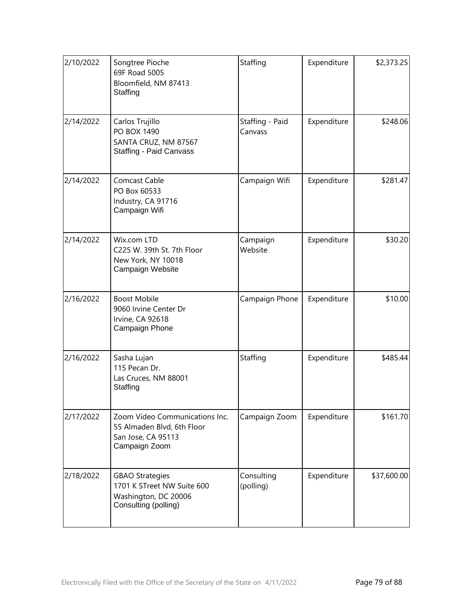| 2/10/2022 | Songtree Pioche<br>69F Road 5005<br>Bloomfield, NM 87413<br>Staffing                                 | Staffing                   | Expenditure | \$2,373.25  |
|-----------|------------------------------------------------------------------------------------------------------|----------------------------|-------------|-------------|
| 2/14/2022 | Carlos Trujillo<br><b>PO BOX 1490</b><br>SANTA CRUZ, NM 87567<br><b>Staffing - Paid Canvass</b>      | Staffing - Paid<br>Canvass | Expenditure | \$248.06    |
| 2/14/2022 | <b>Comcast Cable</b><br>PO Box 60533<br>Industry, CA 91716<br>Campaign Wifi                          | Campaign Wifi              | Expenditure | \$281.47    |
| 2/14/2022 | Wix.com LTD<br>C225 W. 39th St. 7th Floor<br>New York, NY 10018<br>Campaign Website                  | Campaign<br>Website        | Expenditure | \$30.20     |
| 2/16/2022 | <b>Boost Mobile</b><br>9060 Irvine Center Dr<br>Irvine, CA 92618<br>Campaign Phone                   | Campaign Phone             | Expenditure | \$10.00     |
| 2/16/2022 | Sasha Lujan<br>115 Pecan Dr.<br>Las Cruces, NM 88001<br>Staffing                                     | Staffing                   | Expenditure | \$485.44    |
| 2/17/2022 | Zoom Video Communications Inc.<br>55 Almaden Blvd, 6th Floor<br>San Jose, CA 95113<br>Campaign Zoom  | Campaign Zoom              | Expenditure | \$161.70    |
| 2/18/2022 | <b>GBAO Strategies</b><br>1701 K STreet NW Suite 600<br>Washington, DC 20006<br>Consulting (polling) | Consulting<br>(polling)    | Expenditure | \$37,600.00 |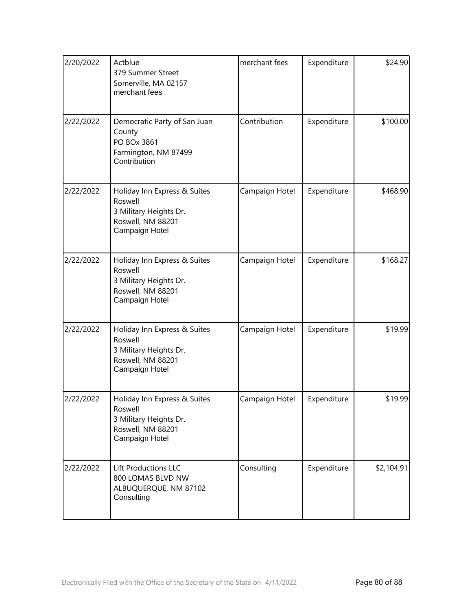| 2/20/2022 | Actblue<br>379 Summer Street<br>Somerville, MA 02157<br>merchant fees                                    | merchant fees  | Expenditure | \$24.90    |
|-----------|----------------------------------------------------------------------------------------------------------|----------------|-------------|------------|
| 2/22/2022 | Democratic Party of San Juan<br>County<br>PO BOx 3861<br>Farmington, NM 87499<br>Contribution            | Contribution   | Expenditure | \$100.00   |
| 2/22/2022 | Holiday Inn Express & Suites<br>Roswell<br>3 Military Heights Dr.<br>Roswell, NM 88201<br>Campaign Hotel | Campaign Hotel | Expenditure | \$468.90   |
| 2/22/2022 | Holiday Inn Express & Suites<br>Roswell<br>3 Military Heights Dr.<br>Roswell, NM 88201<br>Campaign Hotel | Campaign Hotel | Expenditure | \$168.27   |
| 2/22/2022 | Holiday Inn Express & Suites<br>Roswell<br>3 Military Heights Dr.<br>Roswell, NM 88201<br>Campaign Hotel | Campaign Hotel | Expenditure | \$19.99    |
| 2/22/2022 | Holiday Inn Express & Suites<br>Roswell<br>3 Military Heights Dr.<br>Roswell, NM 88201<br>Campaign Hotel | Campaign Hotel | Expenditure | \$19.99    |
| 2/22/2022 | Lift Productions LLC<br>800 LOMAS BLVD NW<br>ALBUQUERQUE, NM 87102<br>Consulting                         | Consulting     | Expenditure | \$2,104.91 |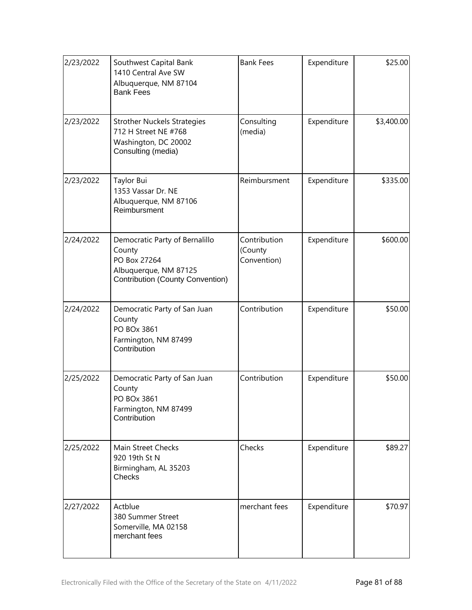| 2/23/2022 | Southwest Capital Bank<br>1410 Central Ave SW<br>Albuquerque, NM 87104<br><b>Bank Fees</b>                            | <b>Bank Fees</b>                       | Expenditure | \$25.00    |
|-----------|-----------------------------------------------------------------------------------------------------------------------|----------------------------------------|-------------|------------|
| 2/23/2022 | <b>Strother Nuckels Strategies</b><br>712 H Street NE #768<br>Washington, DC 20002<br>Consulting (media)              | Consulting<br>(media)                  | Expenditure | \$3,400.00 |
| 2/23/2022 | Taylor Bui<br>1353 Vassar Dr. NE<br>Albuquerque, NM 87106<br>Reimbursment                                             | Reimbursment                           | Expenditure | \$335.00   |
| 2/24/2022 | Democratic Party of Bernalillo<br>County<br>PO Box 27264<br>Albuquerque, NM 87125<br>Contribution (County Convention) | Contribution<br>(County<br>Convention) | Expenditure | \$600.00   |
| 2/24/2022 | Democratic Party of San Juan<br>County<br>PO BOx 3861<br>Farmington, NM 87499<br>Contribution                         | Contribution                           | Expenditure | \$50.00    |
| 2/25/2022 | Democratic Party of San Juan<br>County<br>PO BOx 3861<br>Farmington, NM 87499<br>Contribution                         | Contribution                           | Expenditure | \$50.00    |
| 2/25/2022 | Main Street Checks<br>920 19th St N<br>Birmingham, AL 35203<br><b>Checks</b>                                          | Checks                                 | Expenditure | \$89.27    |
| 2/27/2022 | Actblue<br>380 Summer Street<br>Somerville, MA 02158<br>merchant fees                                                 | merchant fees                          | Expenditure | \$70.97    |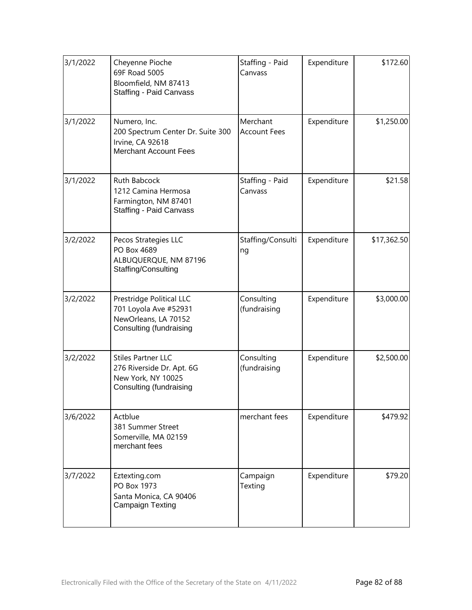| 3/1/2022 | Cheyenne Pioche<br>69F Road 5005<br>Bloomfield, NM 87413<br><b>Staffing - Paid Canvass</b>              | Staffing - Paid<br>Canvass      | Expenditure | \$172.60    |
|----------|---------------------------------------------------------------------------------------------------------|---------------------------------|-------------|-------------|
| 3/1/2022 | Numero, Inc.<br>200 Spectrum Center Dr. Suite 300<br>Irvine, CA 92618<br><b>Merchant Account Fees</b>   | Merchant<br><b>Account Fees</b> | Expenditure | \$1,250.00  |
| 3/1/2022 | Ruth Babcock<br>1212 Camina Hermosa<br>Farmington, NM 87401<br><b>Staffing - Paid Canvass</b>           | Staffing - Paid<br>Canvass      | Expenditure | \$21.58     |
| 3/2/2022 | Pecos Strategies LLC<br>PO Box 4689<br>ALBUQUERQUE, NM 87196<br>Staffing/Consulting                     | Staffing/Consulti<br>ng         | Expenditure | \$17,362.50 |
| 3/2/2022 | Prestridge Political LLC<br>701 Loyola Ave #52931<br>NewOrleans, LA 70152<br>Consulting (fundraising    | Consulting<br>(fundraising      | Expenditure | \$3,000.00  |
| 3/2/2022 | <b>Stiles Partner LLC</b><br>276 Riverside Dr. Apt. 6G<br>New York, NY 10025<br>Consulting (fundraising | Consulting<br>(fundraising      | Expenditure | \$2,500.00  |
| 3/6/2022 | Actblue<br>381 Summer Street<br>Somerville, MA 02159<br>merchant fees                                   | merchant fees                   | Expenditure | \$479.92    |
| 3/7/2022 | Eztexting.com<br>PO Box 1973<br>Santa Monica, CA 90406<br><b>Campaign Texting</b>                       | Campaign<br>Texting             | Expenditure | \$79.20     |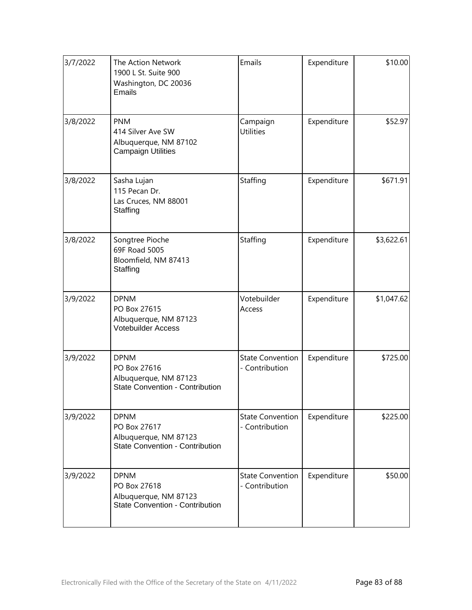| 3/7/2022 | The Action Network<br>1900 L St. Suite 900<br>Washington, DC 20036<br><b>Emails</b>            | Emails                                    | Expenditure | \$10.00    |
|----------|------------------------------------------------------------------------------------------------|-------------------------------------------|-------------|------------|
| 3/8/2022 | <b>PNM</b><br>414 Silver Ave SW<br>Albuquerque, NM 87102<br><b>Campaign Utilities</b>          | Campaign<br><b>Utilities</b>              | Expenditure | \$52.97    |
| 3/8/2022 | Sasha Lujan<br>115 Pecan Dr.<br>Las Cruces, NM 88001<br>Staffing                               | Staffing                                  | Expenditure | \$671.91   |
| 3/8/2022 | Songtree Pioche<br>69F Road 5005<br>Bloomfield, NM 87413<br>Staffing                           | Staffing                                  | Expenditure | \$3,622.61 |
| 3/9/2022 | <b>DPNM</b><br>PO Box 27615<br>Albuquerque, NM 87123<br>Votebuilder Access                     | Votebuilder<br>Access                     | Expenditure | \$1,047.62 |
| 3/9/2022 | <b>DPNM</b><br>PO Box 27616<br>Albuquerque, NM 87123<br><b>State Convention - Contribution</b> | <b>State Convention</b><br>- Contribution | Expenditure | \$725.00   |
| 3/9/2022 | <b>DPNM</b><br>PO Box 27617<br>Albuquerque, NM 87123<br><b>State Convention - Contribution</b> | <b>State Convention</b><br>- Contribution | Expenditure | \$225.00   |
| 3/9/2022 | <b>DPNM</b><br>PO Box 27618<br>Albuquerque, NM 87123<br><b>State Convention - Contribution</b> | <b>State Convention</b><br>- Contribution | Expenditure | \$50.00    |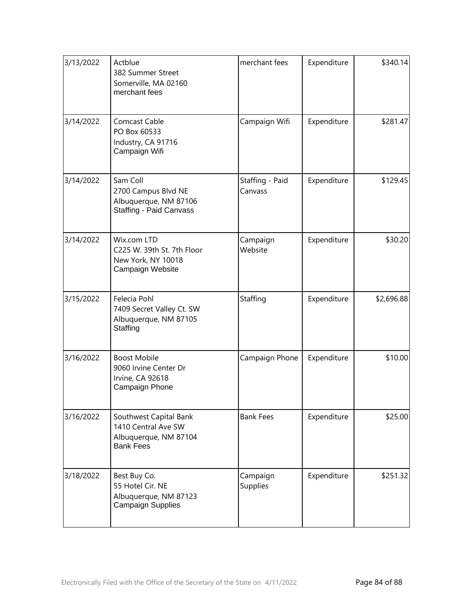| 3/13/2022 | Actblue<br>382 Summer Street<br>Somerville, MA 02160<br>merchant fees                      | merchant fees              | Expenditure | \$340.14   |
|-----------|--------------------------------------------------------------------------------------------|----------------------------|-------------|------------|
| 3/14/2022 | <b>Comcast Cable</b><br>PO Box 60533<br>Industry, CA 91716<br>Campaign Wifi                | Campaign Wifi              | Expenditure | \$281.47   |
| 3/14/2022 | Sam Coll<br>2700 Campus Blvd NE<br>Albuquerque, NM 87106<br><b>Staffing - Paid Canvass</b> | Staffing - Paid<br>Canvass | Expenditure | \$129.45   |
| 3/14/2022 | Wix.com LTD<br>C225 W. 39th St. 7th Floor<br>New York, NY 10018<br>Campaign Website        | Campaign<br>Website        | Expenditure | \$30.20    |
| 3/15/2022 | Felecia Pohl<br>7409 Secret Valley Ct. SW<br>Albuquerque, NM 87105<br>Staffing             | Staffing                   | Expenditure | \$2,696.88 |
| 3/16/2022 | <b>Boost Mobile</b><br>9060 Irvine Center Dr<br>Irvine, CA 92618<br>Campaign Phone         | Campaign Phone             | Expenditure | \$10.00    |
| 3/16/2022 | Southwest Capital Bank<br>1410 Central Ave SW<br>Albuquerque, NM 87104<br><b>Bank Fees</b> | <b>Bank Fees</b>           | Expenditure | \$25.00    |
| 3/18/2022 | Best Buy Co.<br>55 Hotel Cir. NE<br>Albuquerque, NM 87123<br><b>Campaign Supplies</b>      | Campaign<br>Supplies       | Expenditure | \$251.32   |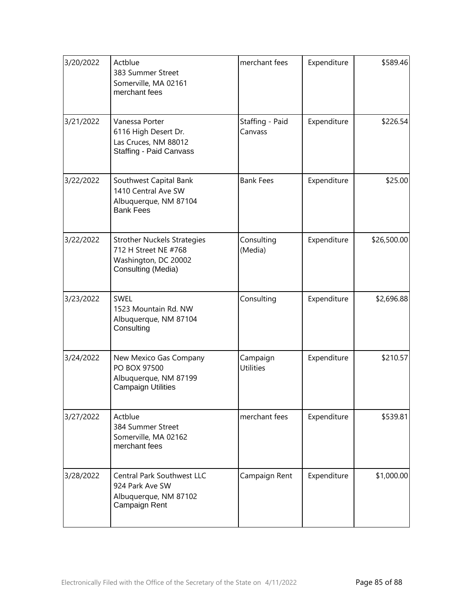| 3/20/2022 | Actblue<br>383 Summer Street<br>Somerville, MA 02161<br>merchant fees                                    | merchant fees                | Expenditure | \$589.46    |
|-----------|----------------------------------------------------------------------------------------------------------|------------------------------|-------------|-------------|
| 3/21/2022 | Vanessa Porter<br>6116 High Desert Dr.<br>Las Cruces, NM 88012<br><b>Staffing - Paid Canvass</b>         | Staffing - Paid<br>Canvass   | Expenditure | \$226.54    |
| 3/22/2022 | Southwest Capital Bank<br>1410 Central Ave SW<br>Albuquerque, NM 87104<br><b>Bank Fees</b>               | <b>Bank Fees</b>             | Expenditure | \$25.00     |
| 3/22/2022 | <b>Strother Nuckels Strategies</b><br>712 H Street NE #768<br>Washington, DC 20002<br>Consulting (Media) | Consulting<br>(Media)        | Expenditure | \$26,500.00 |
| 3/23/2022 | <b>SWEL</b><br>1523 Mountain Rd. NW<br>Albuquerque, NM 87104<br>Consulting                               | Consulting                   | Expenditure | \$2,696.88  |
| 3/24/2022 | New Mexico Gas Company<br>PO BOX 97500<br>Albuquerque, NM 87199<br><b>Campaign Utilities</b>             | Campaign<br><b>Utilities</b> | Expenditure | \$210.57    |
| 3/27/2022 | Actblue<br>384 Summer Street<br>Somerville, MA 02162<br>merchant fees                                    | merchant fees                | Expenditure | \$539.81    |
| 3/28/2022 | Central Park Southwest LLC<br>924 Park Ave SW<br>Albuquerque, NM 87102<br>Campaign Rent                  | Campaign Rent                | Expenditure | \$1,000.00  |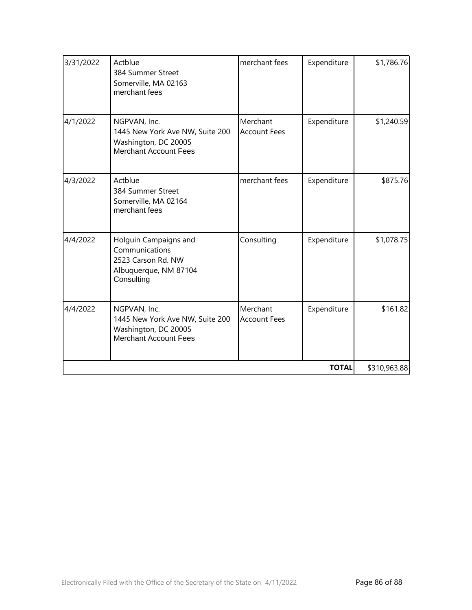| 3/31/2022 | Actblue<br>384 Summer Street<br>Somerville, MA 02163<br>merchant fees                                   | merchant fees                   | Expenditure  | \$1,786.76   |
|-----------|---------------------------------------------------------------------------------------------------------|---------------------------------|--------------|--------------|
| 4/1/2022  | NGPVAN, Inc.<br>1445 New York Ave NW, Suite 200<br>Washington, DC 20005<br>Merchant Account Fees        | Merchant<br><b>Account Fees</b> | Expenditure  | \$1,240.59   |
| 4/3/2022  | Actblue<br>384 Summer Street<br>Somerville, MA 02164<br>merchant fees                                   | merchant fees                   | Expenditure  | \$875.76     |
| 4/4/2022  | Holguin Campaigns and<br>Communications<br>2523 Carson Rd. NW<br>Albuquerque, NM 87104<br>Consulting    | Consulting                      | Expenditure  | \$1,078.75   |
| 4/4/2022  | NGPVAN, Inc.<br>1445 New York Ave NW, Suite 200<br>Washington, DC 20005<br><b>Merchant Account Fees</b> | Merchant<br><b>Account Fees</b> | Expenditure  | \$161.82     |
|           |                                                                                                         |                                 | <b>TOTAL</b> | \$310,963.88 |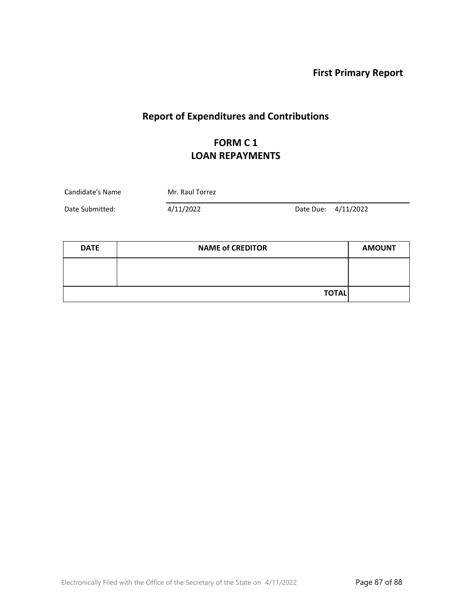**First Primary Report**

# **Report of Expenditures and Contributions**

### **FORM C 1 LOAN REPAYMENTS**

| Candidate's Name | Mr. Raul Torrez |  |                     |
|------------------|-----------------|--|---------------------|
| Date Submitted:  | 4/11/2022       |  | Date Due: 4/11/2022 |

| <b>DATE</b> | <b>NAME of CREDITOR</b> | <b>AMOUNT</b> |
|-------------|-------------------------|---------------|
|             |                         |               |
|             |                         |               |
|             | <b>TOTAL</b>            |               |